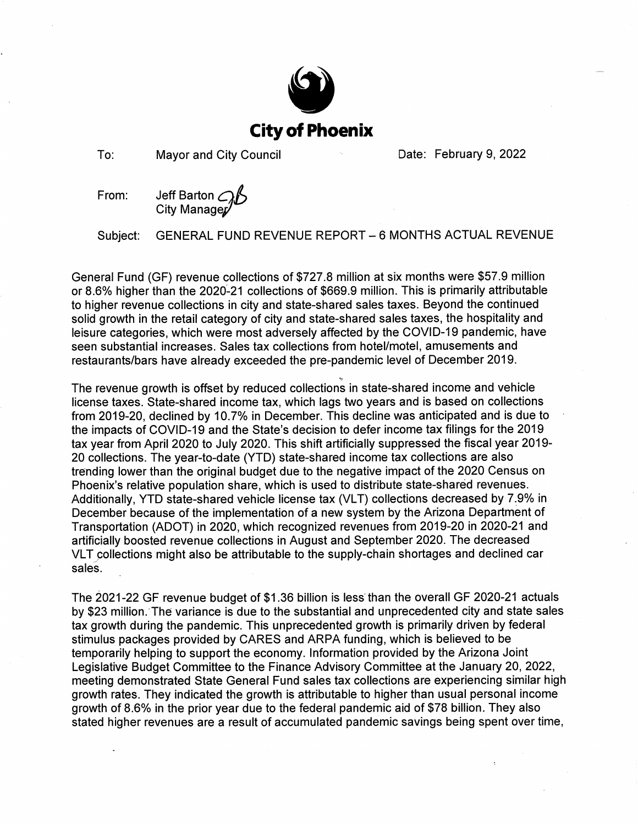

To: **Mayor and City Council**  Date: February 9, 2022

Jeff Barton AB<br>City Manager From:

GENERAL FUND REVENUE REPORT - 6 MONTHS ACTUAL REVENUE Subject:

General Fund (GF) revenue collections of \$727.8 million at six months were \$57.9 million or 8.6% higher than the 2020-21 collections of \$669.9 million. This is primarily attributable to higher revenue collections in city and state-shared sales taxes. Beyond the continued solid growth in the retail category of city and state-shared sales taxes, the hospitality and leisure categories, which were most adversely affected by the COVID-19 pandemic, have seen substantial increases. Sales tax collections from hotel/motel, amusements and restaurants/bars have already exceeded the pre-pandemic level of December 2019.

The revenue growth is offset by reduced collections in state-shared income and vehicle license taxes. State-shared income tax, which lags two years and is based on collections from 2019-20, declined by 10.7% in December. This decline was anticipated and is due to the impacts of COVID-19 and the State's decision to defer income tax filings for the 2019 tax year from April 2020 to July 2020. This shift artificially suppressed the fiscal year 2019-20 collections. The year-to-date (YTD) state-shared income tax collections are also trending lower than the original budget due to the negative impact of the 2020 Census on Phoenix's relative population share, which is used to distribute state-shared revenues. Additionally, YTD state-shared vehicle license tax (VLT) collections decreased by 7.9% in December because of the implementation of a new system by the Arizona Department of Transportation (ADOT) in 2020, which recognized revenues from 2019-20 in 2020-21 and artificially boosted revenue collections in August and September 2020. The decreased VLT collections might also be attributable to the supply-chain shortages and declined car sales.

The 2021-22 GF revenue budget of \$1.36 billion is less than the overall GF 2020-21 actuals by \$23 million. The variance is due to the substantial and unprecedented city and state sales tax growth during the pandemic. This unprecedented growth is primarily driven by federal stimulus packages provided by CARES and ARPA funding, which is believed to be temporarily helping to support the economy. Information provided by the Arizona Joint Legislative Budget Committee to the Finance Advisory Committee at the January 20, 2022, meeting demonstrated State General Fund sales tax collections are experiencing similar high growth rates. They indicated the growth is attributable to higher than usual personal income growth of 8.6% in the prior year due to the federal pandemic aid of \$78 billion. They also stated higher revenues are a result of accumulated pandemic savings being spent over time,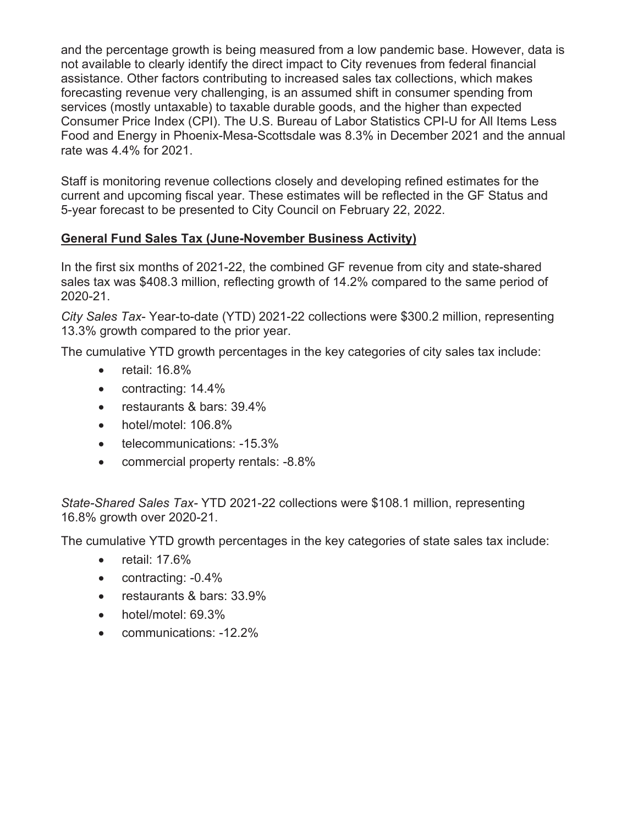and the percentage growth is being measured from a low pandemic base. However, data is not available to clearly identify the direct impact to City revenues from federal financial assistance. Other factors contributing to increased sales tax collections, which makes forecasting revenue very challenging, is an assumed shift in consumer spending from services (mostly untaxable) to taxable durable goods, and the higher than expected Consumer Price Index (CPI). The U.S. Bureau of Labor Statistics CPI-U for All Items Less Food and Energy in Phoenix-Mesa-Scottsdale was 8.3% in December 2021 and the annual rate was 4.4% for 2021.

Staff is monitoring revenue collections closely and developing refined estimates for the current and upcoming fiscal year. These estimates will be reflected in the GF Status and 5-year forecast to be presented to City Council on February 22, 2022.

# **General Fund Sales Tax (June-November Business Activity)**

In the first six months of 2021-22, the combined GF revenue from city and state-shared sales tax was \$408.3 million, reflecting growth of 14.2% compared to the same period of 2020-21.

*City Sales Tax*- Year-to-date (YTD) 2021-22 collections were \$300.2 million, representing 13.3% growth compared to the prior year.

The cumulative YTD growth percentages in the key categories of city sales tax include:

- $\bullet$  retail: 16.8%
- $\bullet$  contracting: 14.4%
- $\bullet$  restaurants & bars: 39.4%
- $\bullet$  hotel/motel: 106.8%
- telecommunications: -15.3%
- commercial property rentals: -8.8%

*State-Shared Sales Tax-* YTD 2021-22 collections were \$108.1 million, representing 16.8% growth over 2020-21.

The cumulative YTD growth percentages in the key categories of state sales tax include:

- $\bullet$  retail: 17.6%
- $\bullet$  contracting:  $-0.4\%$
- restaurants & bars: 33.9%
- $\bullet$  hotel/motel: 69.3%
- x communications: -12.2%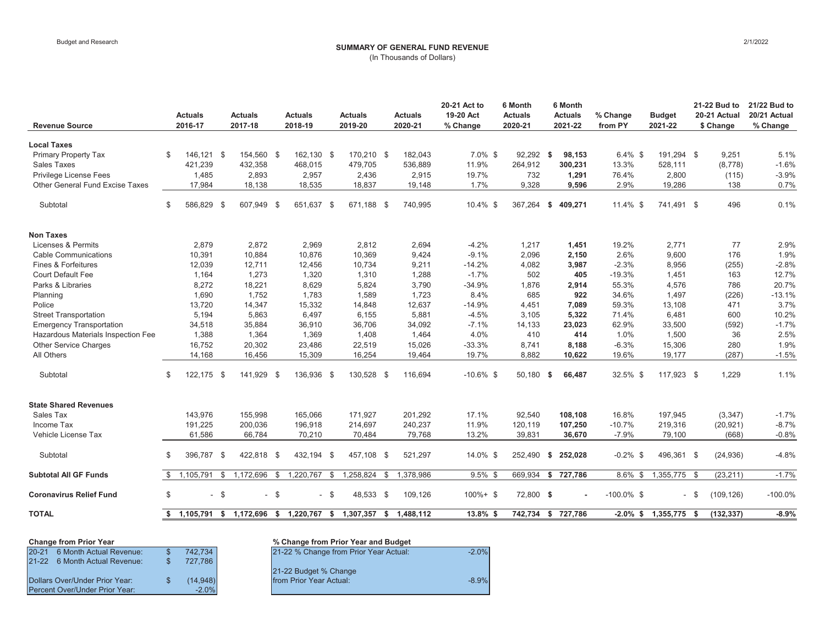# Budget and Research 2/1/2022 **SUMMARY OF GENERAL FUND REVENUE**

| (In Thousands of Dollars) |  |  |  |
|---------------------------|--|--|--|
|---------------------------|--|--|--|

| <b>Revenue Source</b>              |              | <b>Actuals</b><br>2016-17 |                | <b>Actuals</b><br>2017-18 |        | <b>Actuals</b><br>2018-19 |              | <b>Actuals</b><br>2019-20 | <b>Actuals</b><br>2020-21 | 20-21 Act to<br>19-20 Act<br>% Change | 6 Month<br><b>Actuals</b><br>2020-21 |      | 6 Month<br><b>Actuals</b><br>2021-22 | % Change<br>from PY | <b>Budget</b><br>2021-22 |        | 21-22 Bud to<br>20-21 Actual<br>\$ Change | 21/22 Bud to<br>20/21 Actual<br>% Change |
|------------------------------------|--------------|---------------------------|----------------|---------------------------|--------|---------------------------|--------------|---------------------------|---------------------------|---------------------------------------|--------------------------------------|------|--------------------------------------|---------------------|--------------------------|--------|-------------------------------------------|------------------------------------------|
| <b>Local Taxes</b>                 |              |                           |                |                           |        |                           |              |                           |                           |                                       |                                      |      |                                      |                     |                          |        |                                           |                                          |
| <b>Primary Property Tax</b>        | \$           | 146,121 \$                |                | 154,560 \$                |        | 162,130 \$                |              | 170,210 \$                | 182,043                   | $7.0\%$ \$                            | 92,292 \$                            |      | 98,153                               | $6.4\%$ \$          | 191,294 \$               |        | 9,251                                     | 5.1%                                     |
| <b>Sales Taxes</b>                 |              | 421,239                   |                | 432,358                   |        | 468,015                   |              | 479,705                   | 536,889                   | 11.9%                                 | 264,912                              |      | 300,231                              | 13.3%               | 528,111                  |        | (8,778)                                   | $-1.6%$                                  |
| Privilege License Fees             |              | 1,485                     |                | 2,893                     |        | 2,957                     |              | 2,436                     | 2,915                     | 19.7%                                 | 732                                  |      | 1,291                                | 76.4%               | 2,800                    |        | (115)                                     | $-3.9%$                                  |
| Other General Fund Excise Taxes    |              | 17,984                    |                | 18,138                    |        | 18,535                    |              | 18,837                    | 19,148                    | 1.7%                                  | 9,328                                |      | 9,596                                | 2.9%                | 19,286                   |        | 138                                       | 0.7%                                     |
| Subtotal                           | \$           | 586,829 \$                |                | 607,949 \$                |        | 651,637                   | - \$         | 671.188 \$                | 740,995                   | 10.4% \$                              | 367,264                              | - \$ | 409,271                              | 11.4% \$            | 741.491 \$               |        | 496                                       | 0.1%                                     |
| <b>Non Taxes</b>                   |              |                           |                |                           |        |                           |              |                           |                           |                                       |                                      |      |                                      |                     |                          |        |                                           |                                          |
| Licenses & Permits                 |              | 2,879                     |                | 2,872                     |        | 2,969                     |              | 2,812                     | 2,694                     | $-4.2%$                               | 1,217                                |      | 1,451                                | 19.2%               | 2,771                    |        | 77                                        | 2.9%                                     |
| <b>Cable Communications</b>        |              | 10,391                    |                | 10,884                    |        | 10,876                    |              | 10,369                    | 9,424                     | $-9.1%$                               | 2,096                                |      | 2,150                                | 2.6%                | 9,600                    |        | 176                                       | 1.9%                                     |
| Fines & Forfeitures                |              | 12,039                    |                | 12,711                    |        | 12,456                    |              | 10,734                    | 9,211                     | $-14.2%$                              | 4,082                                |      | 3,987                                | $-2.3%$             | 8,956                    |        | (255)                                     | $-2.8%$                                  |
| <b>Court Default Fee</b>           |              | 1,164                     |                | 1,273                     |        | 1,320                     |              | 1,310                     | 1,288                     | $-1.7%$                               | 502                                  |      | 405                                  | $-19.3%$            | 1,451                    |        | 163                                       | 12.7%                                    |
| Parks & Libraries                  |              | 8,272                     |                | 18,221                    |        | 8,629                     |              | 5,824                     | 3,790                     | $-34.9%$                              | 1,876                                |      | 2,914                                | 55.3%               | 4,576                    |        | 786                                       | 20.7%                                    |
| Planning                           |              | 1,690                     |                | 1,752                     |        | 1,783                     |              | 1,589                     | 1,723                     | 8.4%                                  | 685                                  |      | 922                                  | 34.6%               | 1,497                    |        | (226)                                     | $-13.1%$                                 |
| Police                             |              | 13,720                    |                | 14,347                    |        | 15,332                    |              | 14,848                    | 12,637                    | $-14.9%$                              | 4,451                                |      | 7.089                                | 59.3%               | 13,108                   |        | 471                                       | 3.7%                                     |
| <b>Street Transportation</b>       |              | 5,194                     |                | 5,863                     |        | 6,497                     |              | 6,155                     | 5,881                     | $-4.5%$                               | 3.105                                |      | 5,322                                | 71.4%               | 6,481                    |        | 600                                       | 10.2%                                    |
| <b>Emergency Transportation</b>    |              | 34,518                    |                | 35,884                    |        | 36,910                    |              | 36,706                    | 34,092                    | $-7.1%$                               | 14,133                               |      | 23,023                               | 62.9%               | 33,500                   |        | (592)                                     | $-1.7%$                                  |
| Hazardous Materials Inspection Fee |              | 1,388                     |                | 1,364                     |        | 1,369                     |              | 1,408                     | 1,464                     | 4.0%                                  | 410                                  |      | 414                                  | 1.0%                | 1,500                    |        | 36                                        | 2.5%                                     |
| Other Service Charges              |              | 16,752                    |                | 20,302                    |        | 23,486                    |              | 22,519                    | 15,026                    | $-33.3%$                              | 8,741                                |      | 8,188                                | $-6.3%$             | 15,306                   |        | 280                                       | 1.9%                                     |
| All Others                         |              | 14,168                    |                | 16,456                    |        | 15,309                    |              | 16,254                    | 19,464                    | 19.7%                                 | 8,882                                |      | 10,622                               | 19.6%               | 19,177                   |        | (287)                                     | $-1.5%$                                  |
| Subtotal                           | \$           | 122,175 \$                |                | 141,929 \$                |        | 136,936 \$                |              | 130,528 \$                | 116,694                   | $-10.6\%$ \$                          | 50,180 \$                            |      | 66,487                               | 32.5% \$            | 117,923 \$               |        | 1,229                                     | 1.1%                                     |
| <b>State Shared Revenues</b>       |              |                           |                |                           |        |                           |              |                           |                           |                                       |                                      |      |                                      |                     |                          |        |                                           |                                          |
| Sales Tax                          |              | 143.976                   |                | 155,998                   |        | 165,066                   |              | 171,927                   | 201,292                   | 17.1%                                 | 92,540                               |      | 108,108                              | 16.8%               | 197,945                  |        | (3,347)                                   | $-1.7%$                                  |
| Income Tax                         |              | 191,225                   |                | 200,036                   |        | 196,918                   |              | 214,697                   | 240,237                   | 11.9%                                 | 120,119                              |      | 107,250                              | $-10.7%$            | 219,316                  |        | (20, 921)                                 | $-8.7%$                                  |
| Vehicle License Tax                |              | 61,586                    |                | 66,784                    |        | 70,210                    |              | 70,484                    | 79,768                    | 13.2%                                 | 39,831                               |      | 36,670                               | $-7.9%$             | 79,100                   |        | (668)                                     | $-0.8%$                                  |
| Subtotal                           | \$           | 396,787                   | $\sqrt{2}$     | 422,818 \$                |        | 432,194 \$                |              | 457,108 \$                | 521,297                   | 14.0% \$                              | 252,490                              | - \$ | 252,028                              | $-0.2\%$ \$         | 496,361 \$               |        | (24, 936)                                 | $-4.8%$                                  |
| <b>Subtotal All GF Funds</b>       | $\mathbb{S}$ | 1,105,791                 | $\mathfrak{S}$ | 1,172,696                 | \$     | 1,220,767                 | $\mathbb{S}$ | 1,258,824                 | \$<br>1,378,986           | $9.5\%$ \$                            | 669,934                              | \$   | 727,786                              | $8.6\%$ \$          | 1,355,775 \$             |        | (23, 211)                                 | $-1.7%$                                  |
| <b>Coronavirus Relief Fund</b>     | \$           |                           | $-$ \$         |                           | $-$ \$ | $\sim$                    | - \$         | 48,533 \$                 | 109,126                   | $100\% + $$                           | 72,800 \$                            |      |                                      | $-100.0\%$ \$       |                          | $-$ \$ | (109, 126)                                | $-100.0%$                                |
| <b>TOTAL</b>                       | s.           |                           |                | 1,105,791 \$ 1,172,696 \$ |        | 1,220,767 \$              |              | 1,307,357                 | \$1,488,112               | 13.8% \$                              | 742,734 \$ 727,786                   |      |                                      |                     | $-2.0\%$ \$ 1,355,775    | - \$   | (132, 337)                                | $-8.9%$                                  |

|                                           | <b>Change from Prior Year</b>  |  |           |  |  |  |  |  |  |  |  |  |
|-------------------------------------------|--------------------------------|--|-----------|--|--|--|--|--|--|--|--|--|
|                                           | 20-21 6 Month Actual Revenue:  |  | 742,734   |  |  |  |  |  |  |  |  |  |
|                                           | 21-22 6 Month Actual Revenue:  |  | 727,786   |  |  |  |  |  |  |  |  |  |
|                                           |                                |  |           |  |  |  |  |  |  |  |  |  |
|                                           | Dollars Over/Under Prior Year: |  | (14, 948) |  |  |  |  |  |  |  |  |  |
| $-2.0%$<br>Percent Over/Under Prior Year: |                                |  |           |  |  |  |  |  |  |  |  |  |

# **Change from Prior Year % Change from Prior Year and Budget** 21-22 % Change from Prior Year Actual: -2.0% 21-22 Budget % Change **The Prior Year Actual:**  $\overline{160}$  **From Prior Year Actual:**  $\overline{80}$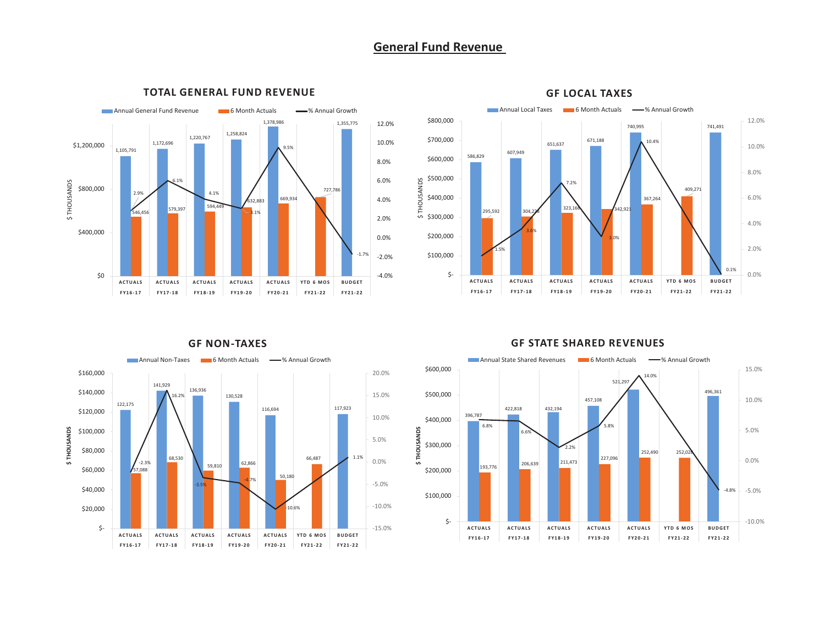## **General Fund Revenue**



### **TOTAL GENERAL FUND REVENUE**



**GF LOCAL TAXES**

#### Annual Non-Taxes 6 Month Actuals - 4 % Annual Growth \$160,000 20.0%141,929 136,936 \$140,000 130,528 16.2%15.0% 122,175 116,694 117,923 \$120,000 10.0%\$THOUSANDS **\$ THOUSANDS** \$100,000 5.0% \$80,000 1.1%68,530 66,487 0.0%59,810 62,866 -2.3% \$60,000 57,088 50,180 -4.7%-5.0%-3.5% \$40,000 -10.0% \$20,000  $-10.6%$  \$- -15.0%**ACTUALS ACTUALS ACTUALS ACTUALS ACTUALS YTD 6 MOS BUDGET FY16-17 FY17-18 FY18-19 FY19-20 FY20-21 FY21-22 FY21-22** FY21-22

**GF NON-TAXES**

### **GF STATE SHARED REVENUES**

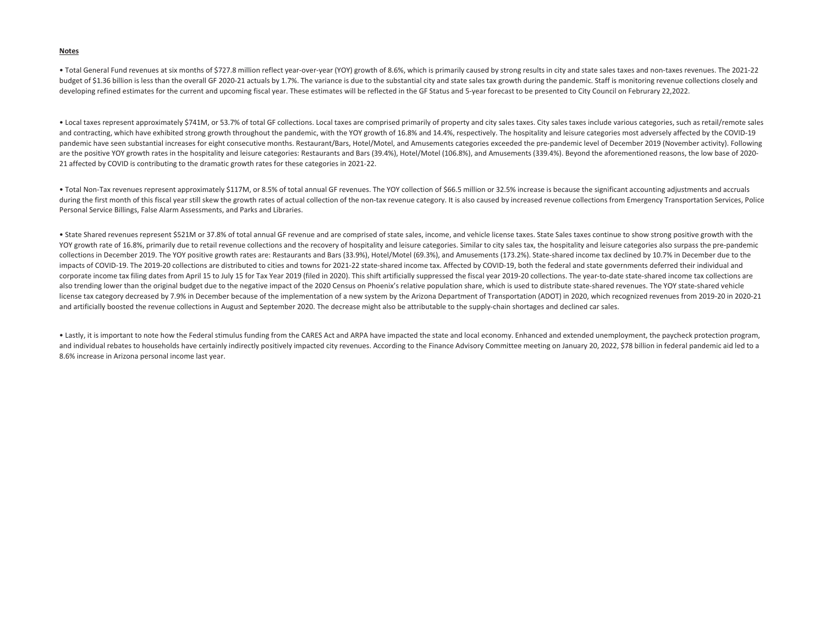#### **Notes**

• Total General Fund revenues at six months of \$727.8 million reflect year-over-year (YOY) growth of 8.6%, which is primarily caused by strong results in city and state sales taxes and non-taxes revenues. The 2021-22 budget of \$1.36 billion is less than the overall GF 2020-21 actuals by 1.7%. The variance is due to the substantial city and state sales tax growth during the pandemic. Staff is monitoring revenue collections closely and developing refined estimates for the current and upcoming fiscal year. These estimates will be reflected in the GF Status and 5-year forecast to be presented to City Council on Februrary 22,2022.

• Local taxes represent approximately \$741M, or 53.7% of total GF collections. Local taxes are comprised primarily of property and city sales taxes. City sales taxes include various categories, such as retail/remote sales and contracting, which have exhibited strong growth throughout the pandemic, with the YOY growth of 16.8% and 14.4%, respectively. The hospitality and leisure categories most adversely affected by the COVID-19 pandemic have seen substantial increases for eight consecutive months. Restaurant/Bars, Hotel/Motel, and Amusements categories exceeded the pre-pandemic level of December 2019 (November activity). Following are the positive YOY growth rates in the hospitality and leisure categories: Restaurants and Bars (39.4%), Hotel/Motel (106.8%), and Amusements (339.4%). Beyond the aforementioned reasons, the low base of 2020-21 affected by COVID is contributing to the dramatic growth rates for these categories in 2021-22.

• Total Non-Tax revenues represent approximately \$117M, or 8.5% of total annual GF revenues. The YOY collection of \$66.5 million or 32.5% increase is because the significant accounting adjustments and accruals during the first month of this fiscal year still skew the growth rates of actual collection of the non-tax revenue category. It is also caused by increased revenue collections from Emergency Transportation Services, Police Personal Service Billings, False Alarm Assessments, and Parks and Libraries.

• State Shared revenues represent \$521M or 37.8% of total annual GF revenue and are comprised of state sales, income, and vehicle license taxes. State Sales taxes continue to show strong positive growth with the YOY growth rate of 16.8%, primarily due to retail revenue collections and the recovery of hospitality and leisure categories. Similar to city sales tax, the hospitality and leisure categories also surpass the pre-pandemic collections in December 2019. The YOY positive growth rates are: Restaurants and Bars (33.9%), Hotel/Motel (69.3%), and Amusements (173.2%). State-shared income tax declined by 10.7% in December due to the impacts of COVID-19. The 2019-20 collections are distributed to cities and towns for 2021-22 state-shared income tax. Affected by COVID-19, both the federal and state governments deferred their individual and corporate income tax filing dates from April 15 to July 15 for Tax Year 2019 (filed in 2020). This shift artificially suppressed the fiscal year 2019-20 collections. The year-to-date state-shared income tax collections are also trending lower than the original budget due to the negative impact of the 2020 Census on Phoenix's relative population share, which is used to distribute state-shared revenues. The YOY state-shared vehicle license tax category decreased by 7.9% in December because of the implementation of a new system by the Arizona Department of Transportation (ADOT) in 2020, which recognized revenues from 2019-20 in 2020-21 and artificially boosted the revenue collections in August and September 2020. The decrease might also be attributable to the supply-chain shortages and declined car sales.

• Lastly, it is important to note how the Federal stimulus funding from the CARES Act and ARPA have impacted the state and local economy. Enhanced and extended unemployment, the paycheck protection program, and individual rebates to households have certainly indirectly positively impacted city revenues. According to the Finance Advisory Committee meeting on January 20, 2022, \$78 billion in federal pandemic aid led to a 8.6% increase in Arizona personal income last year.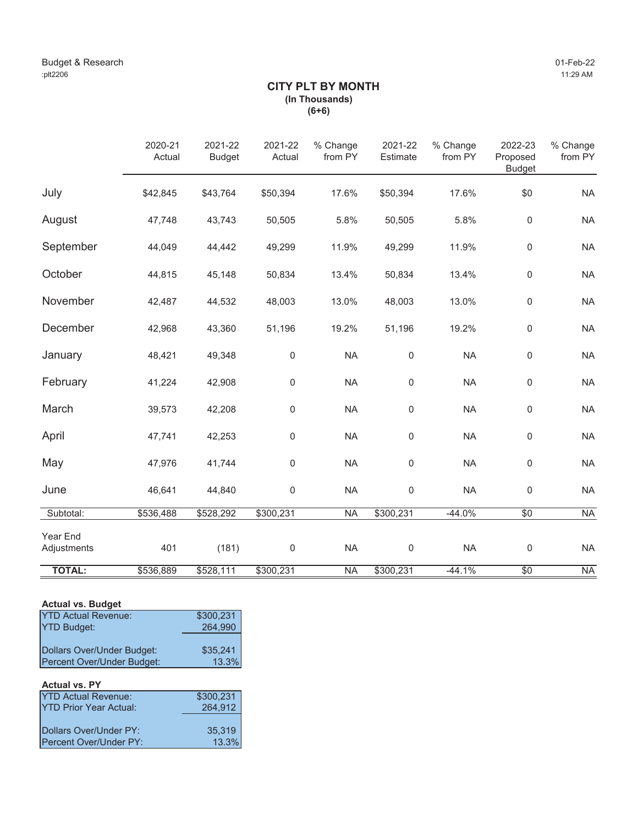# **CITY PLT BY MONTH (In Thousands) (6+6)**

|                         | 2020-21<br>Actual | 2021-22<br><b>Budget</b> | 2021-22<br>Actual | % Change<br>from PY | 2021-22<br>Estimate | % Change<br>from PY | 2022-23<br>Proposed<br><b>Budget</b> | % Change<br>from PY      |
|-------------------------|-------------------|--------------------------|-------------------|---------------------|---------------------|---------------------|--------------------------------------|--------------------------|
| July                    | \$42,845          | \$43,764                 | \$50,394          | 17.6%               | \$50,394            | 17.6%               | \$0                                  | <b>NA</b>                |
| August                  | 47,748            | 43,743                   | 50,505            | 5.8%                | 50,505              | 5.8%                | 0                                    | <b>NA</b>                |
| September               | 44,049            | 44,442                   | 49,299            | 11.9%               | 49,299              | 11.9%               | 0                                    | <b>NA</b>                |
| October                 | 44,815            | 45,148                   | 50,834            | 13.4%               | 50,834              | 13.4%               | $\mathbf 0$                          | <b>NA</b>                |
| November                | 42,487            | 44,532                   | 48,003            | 13.0%               | 48,003              | 13.0%               | $\mathbf 0$                          | <b>NA</b>                |
| December                | 42,968            | 43,360                   | 51,196            | 19.2%               | 51,196              | 19.2%               | $\mathbf 0$                          | <b>NA</b>                |
| January                 | 48,421            | 49,348                   | $\mathbf 0$       | <b>NA</b>           | $\mathbf 0$         | <b>NA</b>           | 0                                    | <b>NA</b>                |
| February                | 41,224            | 42,908                   | $\mathbf 0$       | <b>NA</b>           | $\mathbf 0$         | <b>NA</b>           | $\mathbf 0$                          | <b>NA</b>                |
| March                   | 39,573            | 42,208                   | $\mathbf 0$       | <b>NA</b>           | $\mathbf 0$         | <b>NA</b>           | $\mathbf 0$                          | <b>NA</b>                |
| April                   | 47,741            | 42,253                   | $\mathbf 0$       | <b>NA</b>           | 0                   | <b>NA</b>           | $\mathbf 0$                          | <b>NA</b>                |
| May                     | 47,976            | 41,744                   | $\mathbf 0$       | <b>NA</b>           | $\mathbf 0$         | <b>NA</b>           | $\mathbf 0$                          | <b>NA</b>                |
| June                    | 46,641            | 44,840                   | $\boldsymbol{0}$  | <b>NA</b>           | $\mathbf 0$         | <b>NA</b>           | $\mathsf 0$                          | <b>NA</b>                |
| Subtotal:               | \$536,488         | \$528,292                | \$300,231         | <b>NA</b>           | \$300,231           | $-44.0%$            | $\overline{60}$                      | $\overline{\mathsf{NA}}$ |
| Year End<br>Adjustments | 401               | (181)                    | $\mathbf 0$       | <b>NA</b>           | $\mathbf 0$         | <b>NA</b>           | $\mathsf 0$                          | <b>NA</b>                |
| <b>TOTAL:</b>           | \$536,889         | \$528,111                | \$300,231         | <b>NA</b>           | \$300,231           | $-44.1%$            | \$0                                  | <b>NA</b>                |

# **Actual vs. Budget**

| <b>YTD Actual Revenue:</b> | \$300,231 |
|----------------------------|-----------|
| <b>YTD Budget:</b>         | 264,990   |
|                            |           |
| Dollars Over/Under Budget: | \$35.241  |
| Percent Over/Under Budget: | 13.3%     |

### **Actual vs. PY**

| <b>YTD Actual Revenue:</b>     | \$300,231 |
|--------------------------------|-----------|
| <b>IYTD Prior Year Actual:</b> | 264,912   |
|                                |           |
| Dollars Over/Under PY:         | 35,319    |
| <b>IPercent Over/Under PY:</b> | 13.3%     |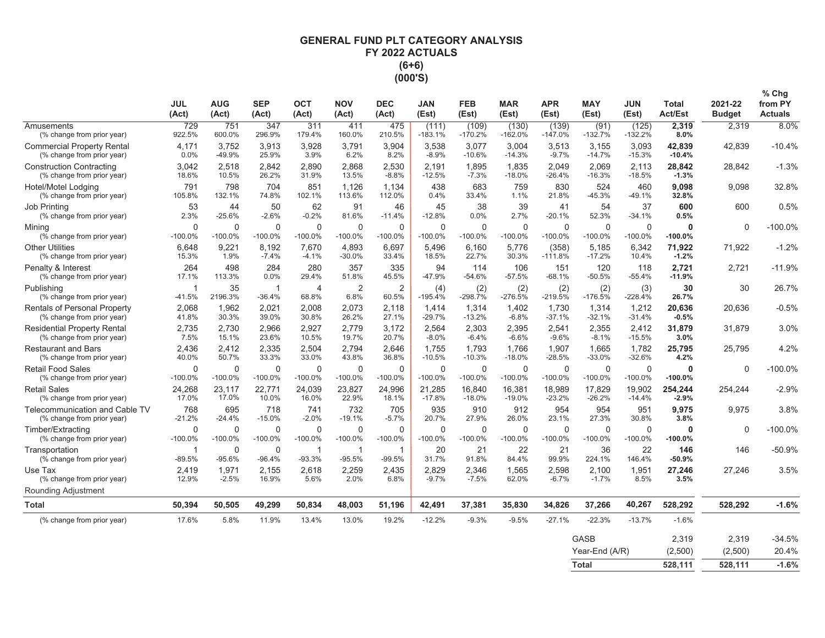# **GENERAL FUND PLT CATEGORY ANALYSIS** FY 2022 ACTUALS  $(6+6)$ (000'S)

|                                                                   | <b>JUL</b><br>(Act)      | <b>AUG</b><br>(Act)   | <b>SEP</b><br>(Act)      | <b>OCT</b><br>(Act)      | <b>NOV</b><br>(Act)      | <b>DEC</b><br>(Act)      | <b>JAN</b><br>(Est)      | <b>FEB</b><br>(Est)       | <b>MAR</b><br>(Est)      | <b>APR</b><br>(Est)      | <b>MAY</b><br>(Est)       | JUN<br>(Est)             | Total<br><b>Act/Est</b> | 2021-22<br><b>Budget</b> | $%$ Chg<br>from PY<br><b>Actuals</b> |
|-------------------------------------------------------------------|--------------------------|-----------------------|--------------------------|--------------------------|--------------------------|--------------------------|--------------------------|---------------------------|--------------------------|--------------------------|---------------------------|--------------------------|-------------------------|--------------------------|--------------------------------------|
| Amusements<br>(% change from prior year)                          | 729<br>922.5%            | 751<br>600.0%         | 347<br>296.9%            | 311<br>179.4%            | 411<br>160.0%            | 475<br>210.5%            | (111)<br>$-183.1%$       | (109)<br>$-170.2%$        | (130)<br>$-162.0%$       | (139)<br>$-147.0%$       | (91)<br>$-132.7%$         | (125)<br>$-132.2%$       | 2,319<br>8.0%           | 2,319                    | 8.0%                                 |
| <b>Commercial Property Rental</b><br>(% change from prior year)   | 4,171<br>0.0%            | 3,752<br>-49.9%       | 3,913<br>25.9%           | 3,928<br>3.9%            | 3.791<br>6.2%            | 3,904<br>8.2%            | 3,538<br>$-8.9%$         | 3,077<br>$-10.6%$         | 3,004<br>$-14.3%$        | 3,513<br>$-9.7%$         | 3,155<br>$-14.7%$         | 3,093<br>$-15.3%$        | 42,839<br>$-10.4%$      | 42,839                   | $-10.4%$                             |
| <b>Construction Contracting</b><br>(% change from prior year)     | 3,042<br>18.6%           | 2,518<br>10.5%        | 2,842<br>26.2%           | 2,890<br>31.9%           | 2,868<br>13.5%           | 2,530<br>$-8.8%$         | 2,191<br>$-12.5%$        | 1,895<br>$-7.3%$          | 1,835<br>$-18.0%$        | 2,049<br>$-26.4%$        | 2,069<br>$-16.3%$         | 2,113<br>$-18.5%$        | 28,842<br>$-1.3%$       | 28,842                   | $-1.3%$                              |
| Hotel/Motel Lodging<br>(% change from prior year)                 | 791<br>105.8%            | 798<br>132.1%         | 704<br>74.8%             | 851<br>102.1%            | 1.126<br>113.6%          | 1.134<br>112.0%          | 438<br>0.4%              | 683<br>33.4%              | 759<br>1.1%              | 830<br>21.8%             | 524<br>$-45.3%$           | 460<br>$-49.1%$          | 9.098<br>32.8%          | 9,098                    | 32.8%                                |
| Job Printing<br>(% change from prior year)                        | 53<br>2.3%               | 44<br>$-25.6%$        | 50<br>$-2.6%$            | 62<br>$-0.2%$            | 91<br>81.6%              | 46<br>$-11.4%$           | 45<br>$-12.8%$           | 38<br>0.0%                | 39<br>2.7%               | 41<br>$-20.1%$           | 54<br>52.3%               | 37<br>$-34.1%$           | 600<br>0.5%             | 600                      | 0.5%                                 |
| Mining<br>(% change from prior year)                              | $\mathbf 0$<br>$-100.0%$ | $\Omega$<br>$-100.0%$ | $\mathbf 0$<br>$-100.0%$ | $\mathbf 0$<br>$-100.0%$ | $\mathbf 0$<br>$-100.0%$ | 0<br>$-100.0%$           | $\mathbf 0$<br>$-100.0%$ | $\mathbf 0$<br>$-100.0\%$ | $\mathbf 0$<br>$-100.0%$ | $\mathbf 0$<br>$-100.0%$ | $\mathbf 0$<br>$-100.0%$  | $\mathbf 0$<br>$-100.0%$ | $\bf{0}$<br>$-100.0%$   | $\Omega$                 | $-100.0%$                            |
| <b>Other Utilities</b><br>(% change from prior year)              | 6.648<br>15.3%           | 9,221<br>1.9%         | 8.192<br>$-7.4%$         | 7.670<br>$-4.1%$         | 4.893<br>$-30.0%$        | 6.697<br>33.4%           | 5.496<br>18.5%           | 6.160<br>22.7%            | 5,776<br>30.3%           | (358)<br>$-111.8%$       | 5,185<br>$-17.2%$         | 6,342<br>10.4%           | 71,922<br>$-1.2%$       | 71.922                   | $-1.2%$                              |
| Penalty & Interest<br>(% change from prior year)                  | 264<br>17.1%             | 498<br>113.3%         | 284<br>0.0%              | 280<br>29.4%             | 357<br>51.8%             | 335<br>45.5%             | 94<br>-47.9%             | 114<br>$-54.6%$           | 106<br>$-57.5%$          | 151<br>$-68.1%$          | 120<br>$-50.5%$           | 118<br>$-55.4%$          | 2,721<br>$-11.9%$       | 2,721                    | $-11.9%$                             |
| Publishing<br>(% change from prior year)                          | -1<br>$-41.5%$           | 35<br>2196.3%         | $\mathbf{1}$<br>$-36.4%$ | $\overline{4}$<br>68.8%  | $\overline{2}$<br>6.8%   | $\overline{2}$<br>60.5%  | (4)<br>$-195.4%$         | (2)<br>-298.7%            | (2)<br>-276.5%           | (2)<br>$-219.5%$         | (2)<br>-176.5%            | (3)<br>$-228.4%$         | 30<br>26.7%             | 30                       | 26.7%                                |
| <b>Rentals of Personal Property</b><br>(% change from prior year) | 2,068<br>41.8%           | 1,962<br>30.3%        | 2,021<br>39.0%           | 2.008<br>30.8%           | 2,073<br>26.2%           | 2.118<br>27.1%           | 1,414<br>$-29.7%$        | 1,314<br>$-13.2%$         | 1,402<br>$-6.8%$         | 1,730<br>$-37.1%$        | 1,314<br>$-32.1%$         | 1,212<br>$-31.4%$        | 20,636<br>$-0.5%$       | 20,636                   | $-0.5%$                              |
| <b>Residential Property Rental</b><br>(% change from prior year)  | 2.735<br>7.5%            | 2.730<br>15.1%        | 2.966<br>23.6%           | 2.927<br>10.5%           | 2.779<br>19.7%           | 3.172<br>20.7%           | 2.564<br>$-8.0%$         | 2.303<br>$-6.4%$          | 2.395<br>$-6.6%$         | 2.541<br>$-9.6%$         | 2.355<br>$-8.1%$          | 2.412<br>$-15.5%$        | 31,879<br>3.0%          | 31,879                   | 3.0%                                 |
| <b>Restaurant and Bars</b><br>(% change from prior year)          | 2,436<br>40.0%           | 2,412<br>50.7%        | 2,335<br>33.3%           | 2,504<br>33.0%           | 2,794<br>43.8%           | 2.646<br>36.8%           | 1,755<br>$-10.5%$        | 1,793<br>$-10.3%$         | 1,766<br>$-18.0%$        | 1,907<br>$-28.5%$        | 1,665<br>$-33.0%$         | 1,782<br>$-32.6%$        | 25,795<br>4.2%          | 25,795                   | 4.2%                                 |
| <b>Retail Food Sales</b><br>(% change from prior year)            | $\mathbf 0$<br>$-100.0%$ | $\Omega$<br>$-100.0%$ | $\Omega$<br>$-100.0%$    | $\mathbf 0$<br>$-100.0%$ | $\Omega$<br>$-100.0%$    | $\Omega$<br>$-100.0%$    | $\mathbf 0$<br>$-100.0%$ | $\mathbf 0$<br>$-100.0%$  | $\mathbf 0$<br>$-100.0%$ | $\mathbf 0$<br>$-100.0%$ | $\mathbf 0$<br>$-100.0%$  | $\Omega$<br>$-100.0%$    | $\bf{0}$<br>$-100.0%$   | $\Omega$                 | -100.0%                              |
| <b>Retail Sales</b><br>(% change from prior year)                 | 24,268<br>17.0%          | 23,117<br>17.0%       | 22,771<br>10.0%          | 24,039<br>16.0%          | 23,827<br>22.9%          | 24,996<br>18.1%          | 21,285<br>$-17.8%$       | 16,840<br>$-18.0%$        | 16,381<br>$-19.0%$       | 18,989<br>$-23.2%$       | 17,829<br>$-26.2%$        | 19,902<br>$-14.4%$       | 254,244<br>$-2.9%$      | 254,244                  | $-2.9%$                              |
| Telecommunication and Cable TV<br>(% change from prior year)      | 768<br>$-21.2%$          | 695<br>$-24.4%$       | 718<br>$-15.0%$          | 741<br>$-2.0%$           | 732<br>$-19.1%$          | 705<br>$-5.7%$           | 935<br>20.7%             | 910<br>27.9%              | 912<br>26.0%             | 954<br>23.1%             | 954<br>27.3%              | 951<br>30.8%             | 9,975<br>3.8%           | 9,975                    | 3.8%                                 |
| Timber/Extracting<br>(% change from prior year)                   | $\mathbf 0$<br>$-100.0%$ | $\Omega$<br>$-100.0%$ | $\mathbf 0$<br>$-100.0%$ | $\mathbf 0$<br>$-100.0%$ | $\mathbf 0$<br>$-100.0%$ | $\mathbf 0$<br>$-100.0%$ | $\mathbf 0$<br>$-100.0%$ | $\mathbf 0$<br>$-100.0\%$ | $\mathbf 0$<br>$-100.0%$ | $\mathbf 0$<br>$-100.0%$ | $\mathbf 0$<br>$-100.0\%$ | $\mathbf 0$<br>$-100.0%$ | 0<br>$-100.0\%$         | $\Omega$                 | $-100.0\%$                           |
| Transportation<br>(% change from prior year)                      | -1<br>$-89.5%$           | $\Omega$<br>$-95.6%$  | $\mathbf 0$<br>$-96.4%$  | -1<br>$-93.3%$           | -1<br>$-95.5%$           | $\mathbf{1}$<br>$-99.5%$ | 20<br>31.7%              | 21<br>91.8%               | 22<br>84.4%              | 21<br>99.9%              | 36<br>224.1%              | 22<br>146.4%             | 146<br>$-50.9%$         | 146                      | $-50.9%$                             |
| Use Tax<br>(% change from prior year)                             | 2,419<br>12.9%           | 1,971<br>$-2.5%$      | 2,155<br>16.9%           | 2,618<br>5.6%            | 2,259<br>2.0%            | 2,435<br>6.8%            | 2,829<br>$-9.7%$         | 2,346<br>$-7.5%$          | 1,565<br>62.0%           | 2,598<br>$-6.7%$         | 2,100<br>$-1.7%$          | 1,951<br>8.5%            | 27,246<br>3.5%          | 27,246                   | 3.5%                                 |
| Rounding Adjustment                                               |                          |                       |                          |                          |                          |                          |                          |                           |                          |                          |                           |                          |                         |                          |                                      |
| Total                                                             | 50,394                   | 50,505                | 49,299                   | 50,834                   | 48,003                   | 51,196                   | 42,491                   | 37,381                    | 35,830                   | 34,826                   | 37,266                    | 40,267                   | 528,292                 | 528,292                  | $-1.6%$                              |
| (% change from prior year)                                        | 17.6%                    | 5.8%                  | 11.9%                    | 13.4%                    | 13.0%                    | 19.2%                    | $-12.2%$                 | $-9.3%$                   | $-9.5%$                  | $-27.1%$                 | $-22.3%$                  | $-13.7%$                 | $-1.6%$                 |                          |                                      |
|                                                                   |                          |                       |                          |                          |                          |                          |                          |                           |                          |                          | <b>GASB</b>               |                          | 2,319                   | 2,319                    | $-34.5%$                             |
|                                                                   |                          |                       |                          |                          |                          |                          |                          |                           |                          |                          | Year-End (A/R)            |                          | (2,500)                 | (2,500)                  | 20.4%                                |
|                                                                   |                          |                       |                          |                          |                          |                          |                          |                           |                          |                          | <b>Total</b>              |                          | 528.111                 | 528.111                  | $-1.6%$                              |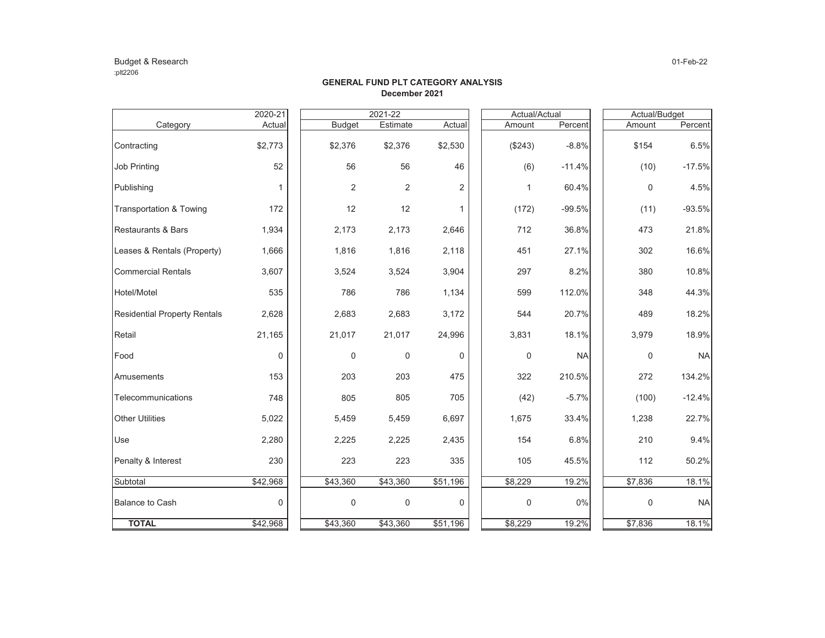### Budget & Research 01-Feb-22 :plt2206

|                                     | 2020-21  | 2021-22          |                |                |  | Actual/Actual |           | Actual/Budget |           |  |
|-------------------------------------|----------|------------------|----------------|----------------|--|---------------|-----------|---------------|-----------|--|
| Category                            | Actual   | <b>Budget</b>    | Estimate       | Actual         |  | Amount        | Percent   | Amount        | Percent   |  |
| Contracting                         | \$2,773  | \$2,376          | \$2,376        | \$2,530        |  | (\$243)       | $-8.8%$   | \$154         | 6.5%      |  |
| <b>Job Printing</b>                 | 52       | 56               | 56             | 46             |  | (6)           | $-11.4%$  | (10)          | $-17.5%$  |  |
| Publishing                          | 1        | $\overline{2}$   | $\overline{2}$ | $\overline{2}$ |  | 1             | 60.4%     | 0             | 4.5%      |  |
| Transportation & Towing             | 172      | 12               | 12             | 1              |  | (172)         | $-99.5%$  | (11)          | $-93.5%$  |  |
| Restaurants & Bars                  | 1,934    | 2,173            | 2,173          | 2,646          |  | 712           | 36.8%     | 473           | 21.8%     |  |
| Leases & Rentals (Property)         | 1,666    | 1,816            | 1,816          | 2,118          |  | 451           | 27.1%     | 302           | 16.6%     |  |
| <b>Commercial Rentals</b>           | 3,607    | 3,524            | 3,524          | 3,904          |  | 297           | 8.2%      | 380           | 10.8%     |  |
| Hotel/Motel                         | 535      | 786              | 786            | 1,134          |  | 599           | 112.0%    | 348           | 44.3%     |  |
| <b>Residential Property Rentals</b> | 2,628    | 2,683            | 2,683          | 3,172          |  | 544           | 20.7%     | 489           | 18.2%     |  |
| Retail                              | 21,165   | 21,017           | 21,017         | 24,996         |  | 3,831         | 18.1%     | 3,979         | 18.9%     |  |
| Food                                | 0        | $\mathbf 0$      | $\mathbf 0$    | $\Omega$       |  | 0             | <b>NA</b> | 0             | <b>NA</b> |  |
| Amusements                          | 153      | 203              | 203            | 475            |  | 322           | 210.5%    | 272           | 134.2%    |  |
| Telecommunications                  | 748      | 805              | 805            | 705            |  | (42)          | $-5.7%$   | (100)         | $-12.4%$  |  |
| <b>Other Utilities</b>              | 5,022    | 5,459            | 5,459          | 6,697          |  | 1,675         | 33.4%     | 1,238         | 22.7%     |  |
| Use                                 | 2,280    | 2,225            | 2,225          | 2,435          |  | 154           | 6.8%      | 210           | 9.4%      |  |
| Penalty & Interest                  | 230      | 223              | 223            | 335            |  | 105           | 45.5%     | 112           | 50.2%     |  |
| Subtotal                            | \$42,968 | \$43,360         | \$43,360       | \$51,196       |  | \$8,229       | 19.2%     | \$7,836       | 18.1%     |  |
| <b>Balance to Cash</b>              | 0        | $\boldsymbol{0}$ | 0              | 0              |  | 0             | 0%        | 0             | <b>NA</b> |  |
| <b>TOTAL</b>                        | \$42,968 | \$43,360         | \$43,360       | \$51,196       |  | \$8,229       | 19.2%     | \$7,836       | 18.1%     |  |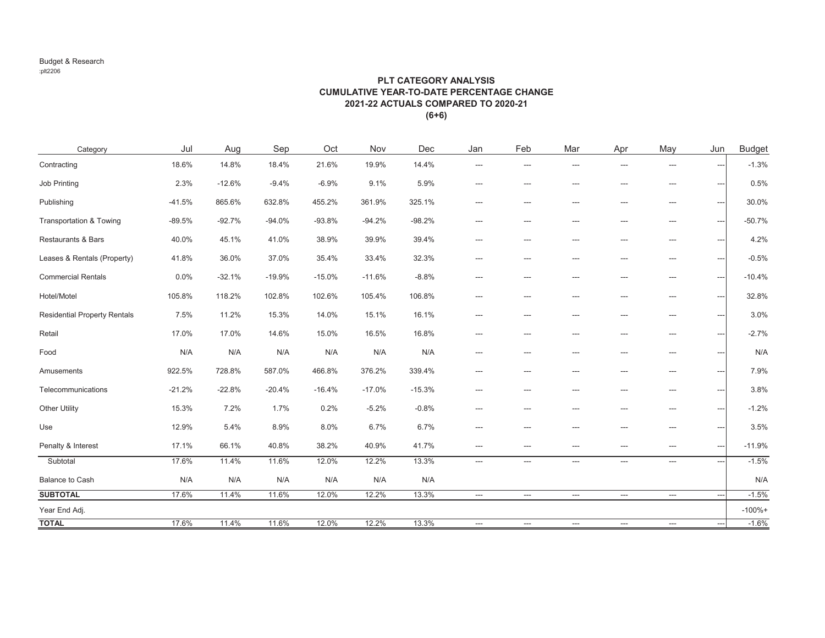#### Budget & Research :plt2206

### **PLT CATEGORY ANALYSIS CUMULATIVE YEAR-TO-DATE PERCENTAGE CHANGE2021-22 ACTUALS COMPARED TO 2020-21(6+6)**

| Category                            | Jul      | Aug      | Sep      | Oct      | Nov      | Dec      | Jan                      | Feb                      | Mar | Apr   | May                                      | Jun            | <b>Budget</b> |
|-------------------------------------|----------|----------|----------|----------|----------|----------|--------------------------|--------------------------|-----|-------|------------------------------------------|----------------|---------------|
| Contracting                         | 18.6%    | 14.8%    | 18.4%    | 21.6%    | 19.9%    | 14.4%    | ---                      | ---                      | --- | ---   | $---$                                    | ---            | $-1.3%$       |
| <b>Job Printing</b>                 | 2.3%     | $-12.6%$ | $-9.4%$  | $-6.9%$  | 9.1%     | 5.9%     | ---                      | ---                      | --- | ---   | $---$                                    | ---            | 0.5%          |
| Publishing                          | $-41.5%$ | 865.6%   | 632.8%   | 455.2%   | 361.9%   | 325.1%   | $\qquad \qquad -\qquad$  | $---$                    | --- | $---$ | $\qquad \qquad \cdots$                   | ---            | 30.0%         |
| <b>Transportation &amp; Towing</b>  | $-89.5%$ | $-92.7%$ | $-94.0%$ | $-93.8%$ | $-94.2%$ | $-98.2%$ | ---                      | ---                      | --- | ---   | ---                                      | ---            | $-50.7%$      |
| Restaurants & Bars                  | 40.0%    | 45.1%    | 41.0%    | 38.9%    | 39.9%    | 39.4%    | $---$                    | $-$                      | --- | $-$   | $- - -$                                  | ---            | 4.2%          |
| Leases & Rentals (Property)         | 41.8%    | 36.0%    | 37.0%    | 35.4%    | 33.4%    | 32.3%    | ---                      | ---                      | --- | ---   | $\qquad \qquad \cdots$                   | ---            | $-0.5%$       |
| <b>Commercial Rentals</b>           | 0.0%     | $-32.1%$ | $-19.9%$ | $-15.0%$ | $-11.6%$ | $-8.8%$  | ---                      | ---                      | --- | $-$   | $- - -$                                  | ---            | $-10.4%$      |
| Hotel/Motel                         | 105.8%   | 118.2%   | 102.8%   | 102.6%   | 105.4%   | 106.8%   | ---                      | ---                      | --- | ---   | $\qquad \qquad -$                        | ---            | 32.8%         |
| <b>Residential Property Rentals</b> | 7.5%     | 11.2%    | 15.3%    | 14.0%    | 15.1%    | 16.1%    | ---                      | ---                      | --- | ---   | $---$                                    | ---            | 3.0%          |
| Retail                              | 17.0%    | 17.0%    | 14.6%    | 15.0%    | 16.5%    | 16.8%    | $\overline{a}$           | $---$                    | --- | ---   | $---$                                    | ---            | $-2.7%$       |
| Food                                | N/A      | N/A      | N/A      | N/A      | N/A      | N/A      | ---                      | ---                      | --- | ---   | ---                                      | ---            | N/A           |
| Amusements                          | 922.5%   | 728.8%   | 587.0%   | 466.8%   | 376.2%   | 339.4%   | ---                      | ---                      | --- | ---   | $---$                                    | ---            | 7.9%          |
| Telecommunications                  | $-21.2%$ | $-22.8%$ | $-20.4%$ | $-16.4%$ | $-17.0%$ | $-15.3%$ | ---                      | ---                      | --- |       |                                          | ---            | 3.8%          |
| <b>Other Utility</b>                | 15.3%    | 7.2%     | 1.7%     | 0.2%     | $-5.2%$  | $-0.8%$  | $---$                    | ---                      | --- | ---   | $---$                                    | ---            | $-1.2%$       |
| Use                                 | 12.9%    | 5.4%     | 8.9%     | 8.0%     | 6.7%     | 6.7%     | ---                      | ---                      | --- | ---   | $---$                                    | ---            | 3.5%          |
| Penalty & Interest                  | 17.1%    | 66.1%    | 40.8%    | 38.2%    | 40.9%    | 41.7%    | ---                      | ---                      | --- | ---   | $---$                                    | ---            | $-11.9%$      |
| Subtotal                            | 17.6%    | 11.4%    | 11.6%    | 12.0%    | 12.2%    | 13.3%    | ---                      | ---                      | --- | ---   | $\qquad \qquad -$                        | $\overline{a}$ | $-1.5%$       |
| Balance to Cash                     | N/A      | N/A      | N/A      | N/A      | N/A      | N/A      |                          |                          |     |       |                                          |                | N/A           |
| <b>SUBTOTAL</b>                     | 17.6%    | 11.4%    | 11.6%    | 12.0%    | 12.2%    | 13.3%    | $\hspace{0.05cm} \ldots$ | $\hspace{0.05cm} \ldots$ | --- | ---   | $\hspace{0.05cm} \ldots \hspace{0.05cm}$ |                | $-1.5%$       |
| Year End Adj.                       |          |          |          |          |          |          |                          |                          |     |       |                                          |                | $-100% +$     |
| <b>TOTAL</b>                        | 17.6%    | 11.4%    | 11.6%    | 12.0%    | 12.2%    | 13.3%    | $---$                    | $---$                    | --- | ---   | $\hspace{0.05cm} \ldots$                 | $\overline{a}$ | $-1.6%$       |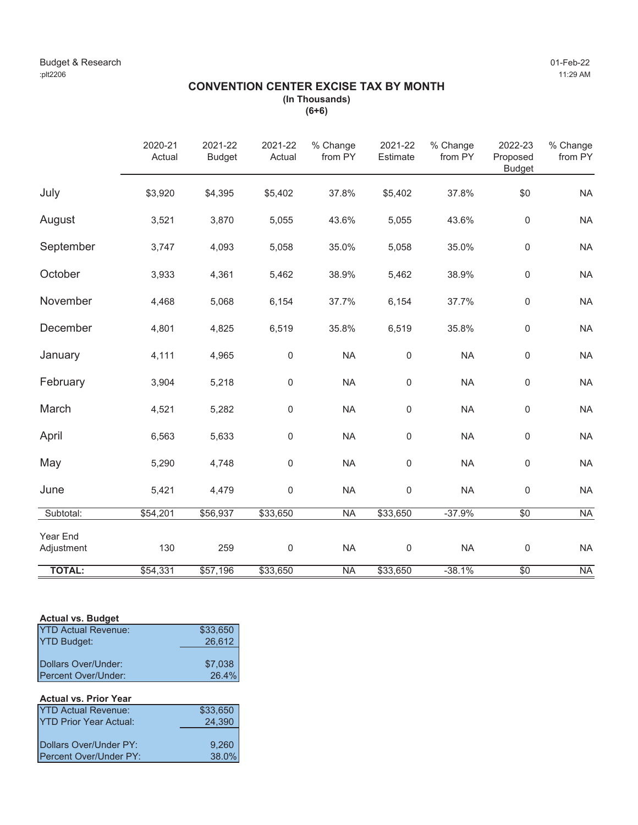# **CONVENTION CENTER EXCISE TAX BY MONTH (In Thousands)**

**(6+6)**

|                        | 2020-21<br>Actual | 2021-22<br><b>Budget</b> | 2021-22<br>Actual | % Change<br>from PY | 2021-22<br>Estimate | % Change<br>from PY | 2022-23<br>Proposed<br><b>Budget</b> | % Change<br>from PY |
|------------------------|-------------------|--------------------------|-------------------|---------------------|---------------------|---------------------|--------------------------------------|---------------------|
| July                   | \$3,920           | \$4,395                  | \$5,402           | 37.8%               | \$5,402             | 37.8%               | \$0                                  | <b>NA</b>           |
| August                 | 3,521             | 3,870                    | 5,055             | 43.6%               | 5,055               | 43.6%               | $\mathbf 0$                          | <b>NA</b>           |
| September              | 3,747             | 4,093                    | 5,058             | 35.0%               | 5,058               | 35.0%               | $\mathbf 0$                          | <b>NA</b>           |
| October                | 3,933             | 4,361                    | 5,462             | 38.9%               | 5,462               | 38.9%               | $\mathbf 0$                          | <b>NA</b>           |
| November               | 4,468             | 5,068                    | 6,154             | 37.7%               | 6,154               | 37.7%               | $\mathbf 0$                          | <b>NA</b>           |
| December               | 4,801             | 4,825                    | 6,519             | 35.8%               | 6,519               | 35.8%               | $\mathbf 0$                          | <b>NA</b>           |
| January                | 4,111             | 4,965                    | $\mathbf 0$       | <b>NA</b>           | 0                   | <b>NA</b>           | $\mathbf 0$                          | <b>NA</b>           |
| February               | 3,904             | 5,218                    | $\mathbf 0$       | <b>NA</b>           | $\boldsymbol{0}$    | <b>NA</b>           | $\mathbf 0$                          | <b>NA</b>           |
| March                  | 4,521             | 5,282                    | $\mathsf 0$       | <b>NA</b>           | 0                   | <b>NA</b>           | $\mathsf{0}$                         | <b>NA</b>           |
| April                  | 6,563             | 5,633                    | $\mathbf 0$       | <b>NA</b>           | 0                   | <b>NA</b>           | $\mathsf{0}$                         | <b>NA</b>           |
| May                    | 5,290             | 4,748                    | $\mathbf 0$       | <b>NA</b>           | 0                   | <b>NA</b>           | $\mathsf{0}$                         | <b>NA</b>           |
| June                   | 5,421             | 4,479                    | $\mathsf 0$       | <b>NA</b>           | 0                   | <b>NA</b>           | $\mathbf 0$                          | <b>NA</b>           |
| Subtotal:              | \$54,201          | \$56,937                 | \$33,650          | <b>NA</b>           | \$33,650            | $-37.9%$            | $\sqrt{6}$                           | <b>NA</b>           |
| Year End<br>Adjustment | 130               | 259                      | $\mathbf 0$       | <b>NA</b>           | $\mathbf 0$         | <b>NA</b>           | $\mathbf 0$                          | <b>NA</b>           |
| <b>TOTAL:</b>          | \$54,331          | \$57,196                 | \$33,650          | <b>NA</b>           | \$33,650            | $-38.1%$            | $\overline{50}$                      | <b>NA</b>           |

### **Actual vs. Budget**

| <b>YTD Actual Revenue:</b> | \$33,650 |
|----------------------------|----------|
| <b>YTD Budget:</b>         | 26,612   |
|                            |          |
| Dollars Over/Under:        | \$7,038  |
| Percent Over/Under:        | 26.4%    |

# **Actual vs. Prior Year** YTD Actual Revenue: \$33,650<br>YTD Prior Year Actual: 24,390 YTD Prior Year Actual: Dollars Over/Under PY: 9,260<br>Percent Over/Under PY: 38.0% Percent Over/Under PY: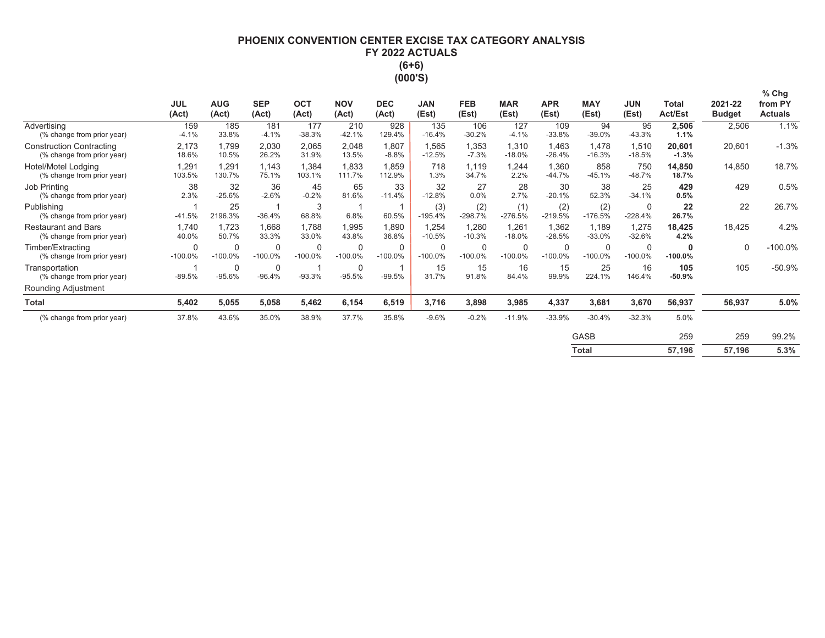# **PHOENIX CONVENTION CENTER EXCISE TAX CATEGORY ANALYSIS** FY 2022 ACTUALS  $(6+6)$ (000'S)

|                                                               | <b>JUL</b><br>(Act)    | <b>AUG</b><br>(Act)       | <b>SEP</b><br>(Act)     | <b>OCT</b><br>(Act)      | <b>NOV</b><br>(Act)      | <b>DEC</b><br>(Act)      | <b>JAN</b><br>(Est) | <b>FEB</b><br>(Est) | <b>MAR</b><br>(Est)   | <b>APR</b><br>(Est)    | <b>MAY</b><br>(Est)   | <b>JUN</b><br>(Est)   | <b>Total</b><br><b>Act/Est</b> | 2021-22<br><b>Budget</b> | $%$ Chg<br>from PY<br><b>Actuals</b> |
|---------------------------------------------------------------|------------------------|---------------------------|-------------------------|--------------------------|--------------------------|--------------------------|---------------------|---------------------|-----------------------|------------------------|-----------------------|-----------------------|--------------------------------|--------------------------|--------------------------------------|
| Advertising<br>(% change from prior year)                     | 159<br>$-4.1%$         | 185<br>33.8%              | 181<br>$-4.1%$          | 177<br>$-38.3%$          | 210<br>$-42.1%$          | 928<br>129.4%            | 135<br>$-16.4%$     | 106<br>$-30.2%$     | 127<br>$-4.1%$        | 109<br>$-33.8%$        | 94<br>$-39.0%$        | 95<br>$-43.3%$        | 2,506<br>1.1%                  | 2,506                    | 1.1%                                 |
| <b>Construction Contracting</b><br>(% change from prior year) | 2,173<br>18.6%         | 1,799<br>10.5%            | 2,030<br>26.2%          | 2,065<br>31.9%           | 2,048<br>13.5%           | 1,807<br>$-8.8%$         | 1,565<br>$-12.5%$   | 1,353<br>$-7.3%$    | 1,310<br>$-18.0%$     | 1,463<br>$-26.4%$      | 1,478<br>$-16.3%$     | 1,510<br>$-18.5%$     | 20,601<br>$-1.3%$              | 20,601                   | $-1.3%$                              |
| Hotel/Motel Lodging<br>(% change from prior year)             | 1,291<br>103.5%        | 1,291<br>130.7%           | 1,143<br>75.1%          | 1,384<br>103.1%          | 1,833<br>111.7%          | 1,859<br>112.9%          | 718<br>1.3%         | 1,119<br>34.7%      | 1,244<br>2.2%         | 1,360<br>$-44.7%$      | 858<br>$-45.1%$       | 750<br>$-48.7%$       | 14,850<br>18.7%                | 14,850                   | 18.7%                                |
| Job Printing<br>(% change from prior year)                    | 38<br>2.3%             | 32<br>$-25.6%$            | 36<br>$-2.6%$           | 45<br>$-0.2%$            | 65<br>81.6%              | 33<br>$-11.4%$           | 32<br>$-12.8%$      | 27<br>0.0%          | 28<br>2.7%            | 30<br>$-20.1%$         | 38<br>52.3%           | 25<br>$-34.1%$        | 429<br>0.5%                    | 429                      | 0.5%                                 |
| Publishing<br>(% change from prior year)                      | $-41.5%$               | 25<br>2196.3%             | $-36.4%$                | 3<br>68.8%               | 6.8%                     | 60.5%                    | (3)<br>$-195.4%$    | (2)<br>$-298.7%$    | (1)<br>$-276.5%$      | (2)<br>$-219.5%$       | (2)<br>$-176.5%$      | $\Omega$<br>$-228.4%$ | 22<br>26.7%                    | 22                       | 26.7%                                |
| <b>Restaurant and Bars</b><br>(% change from prior year)      | 1,740<br>40.0%         | 1,723<br>50.7%            | 1,668<br>33.3%          | 1,788<br>33.0%           | 1,995<br>43.8%           | 1,890<br>36.8%           | 1,254<br>$-10.5%$   | 1,280<br>$-10.3%$   | 1,261<br>$-18.0%$     | 1,362<br>$-28.5%$      | 1,189<br>$-33.0%$     | 1,275<br>$-32.6%$     | 18,425<br>4.2%                 | 18,425                   | 4.2%                                 |
| Timber/Extracting<br>(% change from prior year)               | $\Omega$<br>$-100.0\%$ | $\mathbf 0$<br>$-100.0\%$ | 0<br>$-100.0%$          | $\mathbf 0$<br>$-100.0%$ | $\mathbf 0$<br>$-100.0%$ | $\mathbf 0$<br>$-100.0%$ | 0<br>$-100.0%$      | 0<br>$-100.0\%$     | $\Omega$<br>$-100.0%$ | $\Omega$<br>$-100.0\%$ | $\Omega$<br>$-100.0%$ | 0<br>$-100.0%$        | 0<br>$-100.0%$                 | 0                        | $-100.0%$                            |
| Transportation<br>(% change from prior year)                  | $-89.5%$               | $\mathbf 0$<br>$-95.6%$   | $\mathbf 0$<br>$-96.4%$ | $-93.3%$                 | $\mathbf 0$<br>$-95.5%$  | $-99.5%$                 | 15<br>31.7%         | 15<br>91.8%         | 16<br>84.4%           | 15<br>99.9%            | 25<br>224.1%          | 16<br>146.4%          | 105<br>$-50.9%$                | 105                      | $-50.9%$                             |
| Rounding Adjustment                                           |                        |                           |                         |                          |                          |                          |                     |                     |                       |                        |                       |                       |                                |                          |                                      |
| <b>Total</b>                                                  | 5,402                  | 5,055                     | 5,058                   | 5,462                    | 6,154                    | 6,519                    | 3,716               | 3,898               | 3,985                 | 4,337                  | 3,681                 | 3,670                 | 56,937                         | 56,937                   | 5.0%                                 |
| (% change from prior year)                                    | 37.8%                  | 43.6%                     | 35.0%                   | 38.9%                    | 37.7%                    | 35.8%                    | $-9.6%$             | $-0.2%$             | $-11.9%$              | $-33.9%$               | $-30.4%$              | $-32.3%$              | 5.0%                           |                          |                                      |
|                                                               |                        |                           |                         |                          |                          |                          |                     |                     |                       |                        | <b>GASB</b>           |                       | 259                            | 259                      | 99.2%                                |
|                                                               |                        |                           |                         |                          |                          |                          |                     |                     |                       |                        | <b>Total</b>          |                       | 57,196                         | 57,196                   | 5.3%                                 |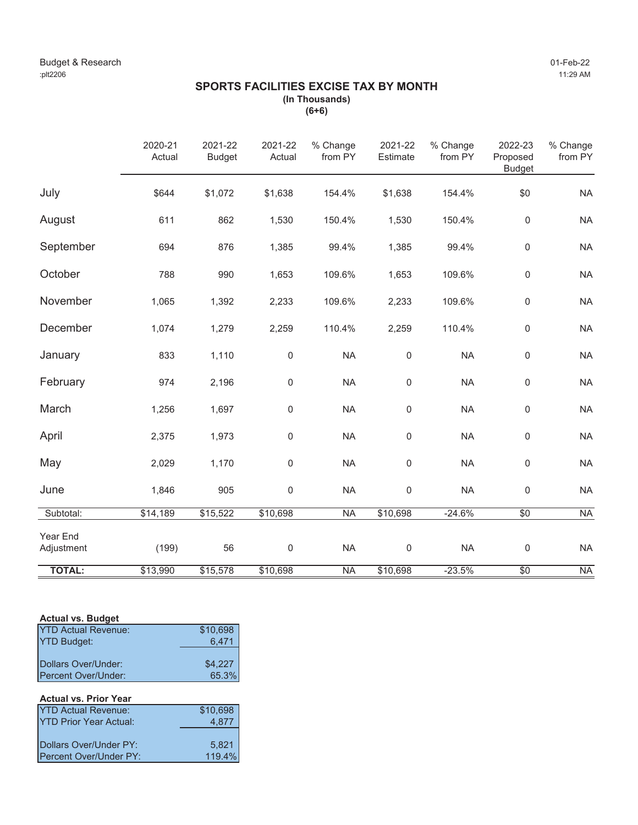# **SPORTS FACILITIES EXCISE TAX BY MONTH (In Thousands)**

**(6+6)**

|                        | 2020-21<br>Actual | 2021-22<br><b>Budget</b> | 2021-22<br>Actual | % Change<br>from PY | 2021-22<br>Estimate | % Change<br>from PY | 2022-23<br>Proposed<br><b>Budget</b> | % Change<br>from PY |
|------------------------|-------------------|--------------------------|-------------------|---------------------|---------------------|---------------------|--------------------------------------|---------------------|
| July                   | \$644             | \$1,072                  | \$1,638           | 154.4%              | \$1,638             | 154.4%              | \$0                                  | <b>NA</b>           |
| August                 | 611               | 862                      | 1,530             | 150.4%              | 1,530               | 150.4%              | $\mathbf 0$                          | <b>NA</b>           |
| September              | 694               | 876                      | 1,385             | 99.4%               | 1,385               | 99.4%               | $\mathbf 0$                          | <b>NA</b>           |
| October                | 788               | 990                      | 1,653             | 109.6%              | 1,653               | 109.6%              | $\mathbf 0$                          | <b>NA</b>           |
| November               | 1,065             | 1,392                    | 2,233             | 109.6%              | 2,233               | 109.6%              | $\mathbf 0$                          | <b>NA</b>           |
| December               | 1,074             | 1,279                    | 2,259             | 110.4%              | 2,259               | 110.4%              | $\mathbf 0$                          | <b>NA</b>           |
| January                | 833               | 1,110                    | $\mathbf 0$       | <b>NA</b>           | 0                   | <b>NA</b>           | $\mathbf 0$                          | <b>NA</b>           |
| February               | 974               | 2,196                    | $\mathbf 0$       | <b>NA</b>           | $\mathbf 0$         | <b>NA</b>           | $\mathbf 0$                          | <b>NA</b>           |
| March                  | 1,256             | 1,697                    | $\mathsf 0$       | <b>NA</b>           | $\mathbf 0$         | <b>NA</b>           | $\mathbf 0$                          | <b>NA</b>           |
| April                  | 2,375             | 1,973                    | $\mathsf 0$       | <b>NA</b>           | $\boldsymbol{0}$    | <b>NA</b>           | $\mathbf 0$                          | <b>NA</b>           |
| May                    | 2,029             | 1,170                    | $\mathbf 0$       | <b>NA</b>           | 0                   | <b>NA</b>           | $\mathbf 0$                          | <b>NA</b>           |
| June                   | 1,846             | 905                      | $\mathbf 0$       | <b>NA</b>           | 0                   | <b>NA</b>           | $\mathsf{0}$                         | <b>NA</b>           |
| Subtotal:              | \$14,189          | \$15,522                 | \$10,698          | <b>NA</b>           | \$10,698            | $-24.6%$            | $\sqrt{6}$                           | <b>NA</b>           |
| Year End<br>Adjustment | (199)             | 56                       | $\mathbf 0$       | <b>NA</b>           | $\mathbf 0$         | <b>NA</b>           | $\mathbf 0$                          | <b>NA</b>           |
| <b>TOTAL:</b>          | \$13,990          | \$15,578                 | \$10,698          | <b>NA</b>           | \$10,698            | $-23.5%$            | $\overline{50}$                      | <b>NA</b>           |

# **Actual vs. Budget**

| <b>YTD Actual Revenue:</b> | \$10,698 |
|----------------------------|----------|
| <b>YTD Budget:</b>         | 6.471    |
|                            |          |
| Dollars Over/Under:        | \$4,227  |
| Percent Over/Under:        | 65.3%    |

# **Actual vs. Prior Year**

| <b>YTD Actual Revenue:</b>    | \$10,698 |
|-------------------------------|----------|
| <b>YTD Prior Year Actual:</b> | 4.877    |
|                               |          |
| Dollars Over/Under PY:        | 5.821    |
| Percent Over/Under PY:        | 119.4%   |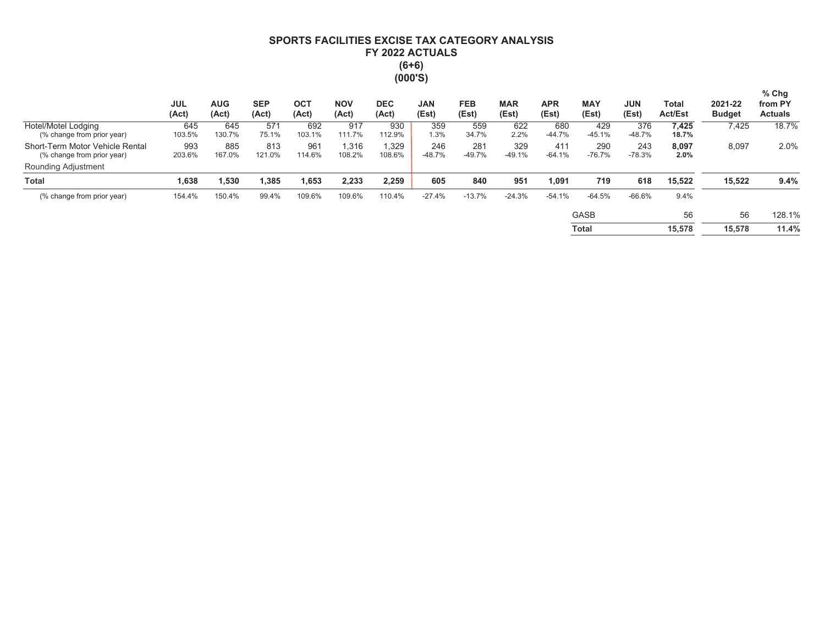# SPORTS FACILITIES EXCISE TAX CATEGORY ANALYSIS FY 2022 ACTUALS  $(6+6)$  $(000'S)$

|                                                               | <b>JUL</b><br>(Act) | <b>AUG</b><br>(Act) | <b>SEP</b><br>(Act) | OCT<br>(Act)  | <b>NOV</b><br>(Act) | <b>DEC</b><br>(Act) | <b>JAN</b><br>(Est) | <b>FEB</b><br>(Est) | <b>MAR</b><br>(Est) | <b>APR</b><br>(Est) | <b>MAY</b><br>(Est) | <b>JUN</b><br>(Est) | Total<br><b>Act/Est</b> | 2021-22<br><b>Budget</b> | $%$ Chg<br>from PY<br><b>Actuals</b> |
|---------------------------------------------------------------|---------------------|---------------------|---------------------|---------------|---------------------|---------------------|---------------------|---------------------|---------------------|---------------------|---------------------|---------------------|-------------------------|--------------------------|--------------------------------------|
| Hotel/Motel Lodging<br>(% change from prior year)             | 645<br>103.5%       | 645<br>130.7%       | 571<br>75.1%        | 692<br>103.1% | 917<br>111.7%       | 930<br>112.9%       | 359<br>1.3%         | 559<br>34.7%        | 622<br>2.2%         | 680<br>$-44.7%$     | 429<br>$-45.1%$     | 376<br>$-48.7%$     | 7,425<br>18.7%          | 7,425                    | 18.7%                                |
| Short-Term Motor Vehicle Rental<br>(% change from prior year) | 993<br>203.6%       | 885<br>167.0%       | 813<br>121.0%       | 961<br>114.6% | 1.316<br>108.2%     | 1.329<br>108.6%     | 246<br>$-48.7%$     | 281<br>$-49.7%$     | 329<br>$-49.1%$     | 411<br>$-64.1%$     | 290<br>$-76.7%$     | 243<br>$-78.3%$     | 8,097<br>2.0%           | 8,097                    | 2.0%                                 |
| <b>Rounding Adjustment</b>                                    |                     |                     |                     |               |                     |                     |                     |                     |                     |                     |                     |                     |                         |                          |                                      |
| <b>Total</b>                                                  | 1,638               | ,530                | 1,385               | 1,653         | 2,233               | 2,259               | 605                 | 840                 | 951                 | 1,091               | 719                 | 618                 | 15,522                  | 15,522                   | 9.4%                                 |
| (% change from prior year)                                    | 154.4%              | 150.4%              | 99.4%               | 109.6%        | 109.6%              | 110.4%              | $-27.4%$            | $-13.7%$            | $-24.3%$            | $-54.1%$            | $-64.5%$            | $-66.6%$            | 9.4%                    |                          |                                      |
|                                                               |                     |                     |                     |               |                     |                     |                     |                     |                     |                     | <b>GASB</b>         |                     | 56                      | 56                       | 128.1%                               |
|                                                               |                     |                     |                     |               |                     |                     |                     |                     |                     |                     | Total               |                     | 15,578                  | 15,578                   | 11.4%                                |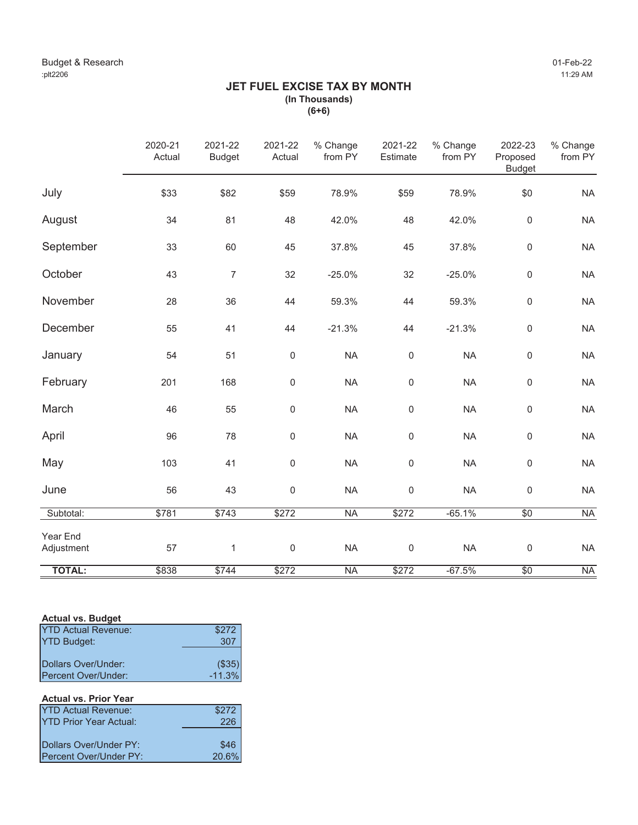# **JET FUEL EXCISE TAX BY MONTH (In Thousands) (6+6)**

|                        | 2020-21<br>Actual | 2021-22<br><b>Budget</b> | 2021-22<br>Actual | % Change<br>from PY | 2021-22<br>Estimate | % Change<br>from PY | 2022-23<br>Proposed<br><b>Budget</b> | % Change<br>from PY |
|------------------------|-------------------|--------------------------|-------------------|---------------------|---------------------|---------------------|--------------------------------------|---------------------|
| July                   | \$33              | \$82                     | \$59              | 78.9%               | \$59                | 78.9%               | \$0                                  | <b>NA</b>           |
| August                 | 34                | 81                       | 48                | 42.0%               | 48                  | 42.0%               | $\mathsf 0$                          | <b>NA</b>           |
| September              | 33                | 60                       | 45                | 37.8%               | 45                  | 37.8%               | $\mathsf{O}\xspace$                  | <b>NA</b>           |
| October                | 43                | $\overline{7}$           | 32                | $-25.0%$            | 32                  | $-25.0%$            | $\mathsf{O}\xspace$                  | <b>NA</b>           |
| November               | 28                | 36                       | 44                | 59.3%               | 44                  | 59.3%               | $\mathsf 0$                          | <b>NA</b>           |
| December               | 55                | 41                       | 44                | $-21.3%$            | 44                  | $-21.3%$            | $\mathsf 0$                          | <b>NA</b>           |
| January                | 54                | 51                       | $\pmb{0}$         | <b>NA</b>           | $\mathbf 0$         | <b>NA</b>           | $\mathsf{O}\xspace$                  | <b>NA</b>           |
| February               | 201               | 168                      | 0                 | <b>NA</b>           | $\mathsf{O}\xspace$ | <b>NA</b>           | $\mathsf 0$                          | <b>NA</b>           |
| March                  | 46                | 55                       | $\mathbf 0$       | <b>NA</b>           | $\mathsf 0$         | <b>NA</b>           | $\mathsf{O}\xspace$                  | <b>NA</b>           |
| April                  | 96                | 78                       | 0                 | <b>NA</b>           | $\mathbf 0$         | <b>NA</b>           | $\mathsf{O}\xspace$                  | <b>NA</b>           |
| May                    | 103               | 41                       | 0                 | <b>NA</b>           | $\mathbf 0$         | <b>NA</b>           | $\mathsf 0$                          | <b>NA</b>           |
| June                   | 56                | 43                       | 0                 | <b>NA</b>           | $\mathbf 0$         | <b>NA</b>           | $\mathsf 0$                          | <b>NA</b>           |
| Subtotal:              | \$781             | \$743                    | \$272             | <b>NA</b>           | \$272               | $-65.1%$            | $\sqrt{50}$                          | <b>NA</b>           |
| Year End<br>Adjustment | 57                | $\mathbf{1}$             | $\mathbf 0$       | <b>NA</b>           | $\mathbf 0$         | <b>NA</b>           | $\mathsf 0$                          | <b>NA</b>           |
| <b>TOTAL:</b>          | \$838             | \$744                    | \$272             | <b>NA</b>           | \$272               | $-67.5%$            | \$0                                  | <b>NA</b>           |

# **Actual vs. Budget**

| <b>YTD Actual Revenue:</b> | \$272         |
|----------------------------|---------------|
| <b>YTD Budget:</b>         | 307           |
|                            |               |
| Dollars Over/Under:        | $($ \$35) $ $ |
| Percent Over/Under:        | $-11.3%$      |

# **Actual vs. Prior Year**

| <b>YTD Actual Revenue:</b>    | \$272 |
|-------------------------------|-------|
| <b>YTD Prior Year Actual:</b> | 226   |
|                               |       |
| Dollars Over/Under PY:        | \$46  |
| Percent Over/Under PY:        | 20.6% |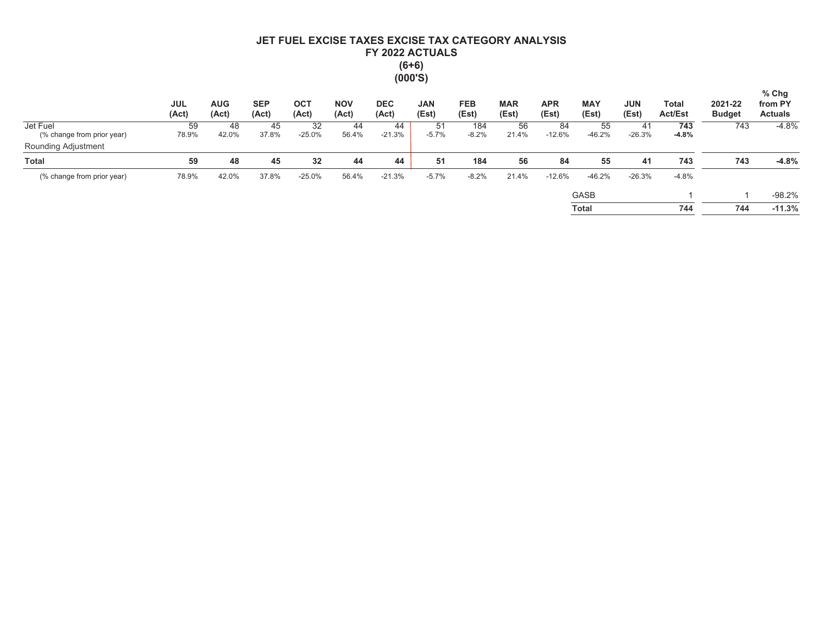# JET FUEL EXCISE TAXES EXCISE TAX CATEGORY ANALYSIS FY 2022 ACTUALS  $(6+6)$  $(000'S)$

|                                                   | <b>JUL</b><br>(Act) | <b>AUG</b><br>(Act) | <b>SEP</b><br>(Act) | <b>OCT</b><br>(Act) | <b>NOV</b><br>(Act) | <b>DEC</b><br>(Act) | <b>JAN</b><br>(Est) | <b>FEB</b><br>(Est) | <b>MAR</b><br>(Est) | <b>APR</b><br>(Est) | <b>MAY</b><br>(Est) | <b>JUN</b><br>(Est) | Total<br><b>Act/Est</b> | 2021-22<br><b>Budget</b> | $%$ Chg<br>from PY<br><b>Actuals</b> |
|---------------------------------------------------|---------------------|---------------------|---------------------|---------------------|---------------------|---------------------|---------------------|---------------------|---------------------|---------------------|---------------------|---------------------|-------------------------|--------------------------|--------------------------------------|
| Jet Fuel                                          | 59                  | 48                  | 45                  | 32                  | 44                  | 44                  | 51                  | 184                 | 56                  | 84                  | 55                  | 41                  | 743                     | 743                      | $-4.8%$                              |
| (% change from prior year)<br>Rounding Adjustment | 78.9%               | 42.0%               | 37.8%               | $-25.0%$            | 56.4%               | $-21.3%$            | $-5.7%$             | $-8.2%$             | 21.4%               | $-12.6%$            | $-46.2%$            | $-26.3%$            | $-4.8%$                 |                          |                                      |
| <b>Total</b>                                      | 59                  | 48                  | 45                  | 32                  | 44                  | 44                  | 51                  | 184                 | 56                  | 84                  | 55                  | 41                  | 743                     | 743                      | $-4.8%$                              |
| (% change from prior year)                        | 78.9%               | 42.0%               | 37.8%               | $-25.0%$            | 56.4%               | $-21.3%$            | $-5.7%$             | $-8.2%$             | 21.4%               | $-12.6%$            | $-46.2%$            | $-26.3%$            | $-4.8%$                 |                          |                                      |
|                                                   |                     |                     |                     |                     |                     |                     |                     |                     |                     |                     | <b>GASB</b>         |                     |                         |                          | $-98.2%$                             |
|                                                   |                     |                     |                     |                     |                     |                     |                     |                     |                     |                     | <b>Total</b>        |                     | 744                     | 744                      | $-11.3%$                             |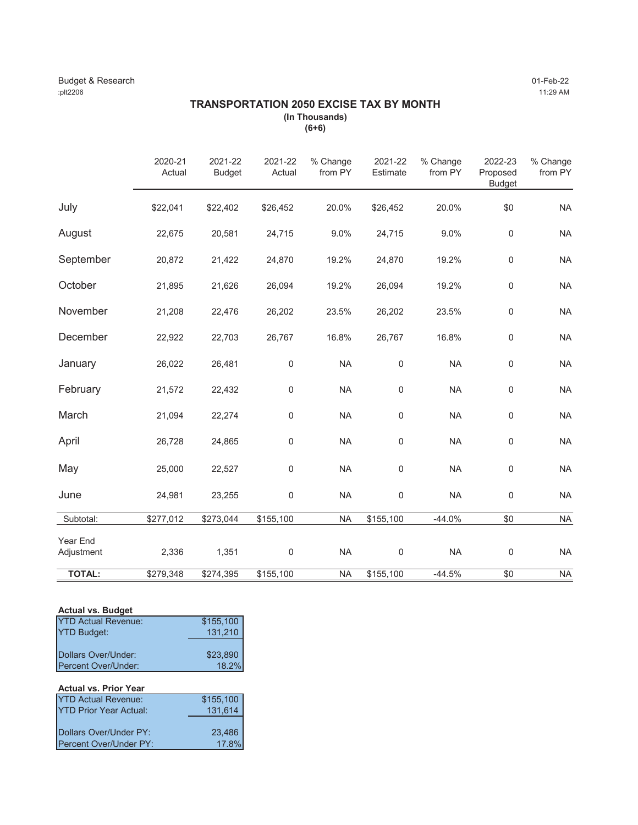# **TRANSPORTATION 2050 EXCISE TAX BY MONTH (In Thousands)**

**(6+6)**

|                        | 2020-21<br>Actual | 2021-22<br><b>Budget</b> | 2021-22<br>Actual | % Change<br>from PY | 2021-22<br>Estimate | % Change<br>from PY | 2022-23<br>Proposed<br><b>Budget</b> | % Change<br>from PY |
|------------------------|-------------------|--------------------------|-------------------|---------------------|---------------------|---------------------|--------------------------------------|---------------------|
| July                   | \$22,041          | \$22,402                 | \$26,452          | 20.0%               | \$26,452            | 20.0%               | \$0                                  | <b>NA</b>           |
| August                 | 22,675            | 20,581                   | 24,715            | 9.0%                | 24,715              | 9.0%                | $\boldsymbol{0}$                     | <b>NA</b>           |
| September              | 20,872            | 21,422                   | 24,870            | 19.2%               | 24,870              | 19.2%               | $\pmb{0}$                            | <b>NA</b>           |
| October                | 21,895            | 21,626                   | 26,094            | 19.2%               | 26,094              | 19.2%               | $\mathbf 0$                          | <b>NA</b>           |
| November               | 21,208            | 22,476                   | 26,202            | 23.5%               | 26,202              | 23.5%               | $\boldsymbol{0}$                     | <b>NA</b>           |
| December               | 22,922            | 22,703                   | 26,767            | 16.8%               | 26,767              | 16.8%               | $\mathbf 0$                          | <b>NA</b>           |
| January                | 26,022            | 26,481                   | 0                 | <b>NA</b>           | $\boldsymbol{0}$    | <b>NA</b>           | $\boldsymbol{0}$                     | <b>NA</b>           |
| February               | 21,572            | 22,432                   | 0                 | <b>NA</b>           | $\mathsf 0$         | <b>NA</b>           | $\mathbf 0$                          | <b>NA</b>           |
| March                  | 21,094            | 22,274                   | 0                 | <b>NA</b>           | $\mathsf 0$         | <b>NA</b>           | $\boldsymbol{0}$                     | <b>NA</b>           |
| April                  | 26,728            | 24,865                   | 0                 | <b>NA</b>           | $\mathsf 0$         | <b>NA</b>           | $\boldsymbol{0}$                     | <b>NA</b>           |
| May                    | 25,000            | 22,527                   | 0                 | <b>NA</b>           | $\boldsymbol{0}$    | <b>NA</b>           | $\boldsymbol{0}$                     | <b>NA</b>           |
| June                   | 24,981            | 23,255                   | $\mathsf 0$       | <b>NA</b>           | 0                   | <b>NA</b>           | $\mathbf 0$                          | <b>NA</b>           |
| Subtotal:              | \$277,012         | \$273,044                | \$155,100         | <b>NA</b>           | \$155,100           | $-44.0%$            | \$0                                  | <b>NA</b>           |
| Year End<br>Adjustment | 2,336             | 1,351                    | $\boldsymbol{0}$  | <b>NA</b>           | $\mathsf 0$         | <b>NA</b>           | $\boldsymbol{0}$                     | <b>NA</b>           |
| <b>TOTAL:</b>          | \$279,348         | \$274,395                | \$155,100         | <b>NA</b>           | \$155,100           | $-44.5%$            | \$0                                  | <b>NA</b>           |

### **Actual vs. Budget**

| <b>YTD Actual Revenue:</b> | \$155,100 |
|----------------------------|-----------|
| <b>YTD Budget:</b>         | 131,210   |
|                            |           |
| Dollars Over/Under:        | \$23,890  |
| Percent Over/Under:        | 18.2%     |

| <b>Actual vs. Prior Year</b>  |           |
|-------------------------------|-----------|
| <b>YTD Actual Revenue:</b>    | \$155,100 |
| <b>YTD Prior Year Actual:</b> | 131,614   |
|                               |           |
| Dollars Over/Under PY:        | 23,486    |
| Percent Over/Under PY:        | 17.8%     |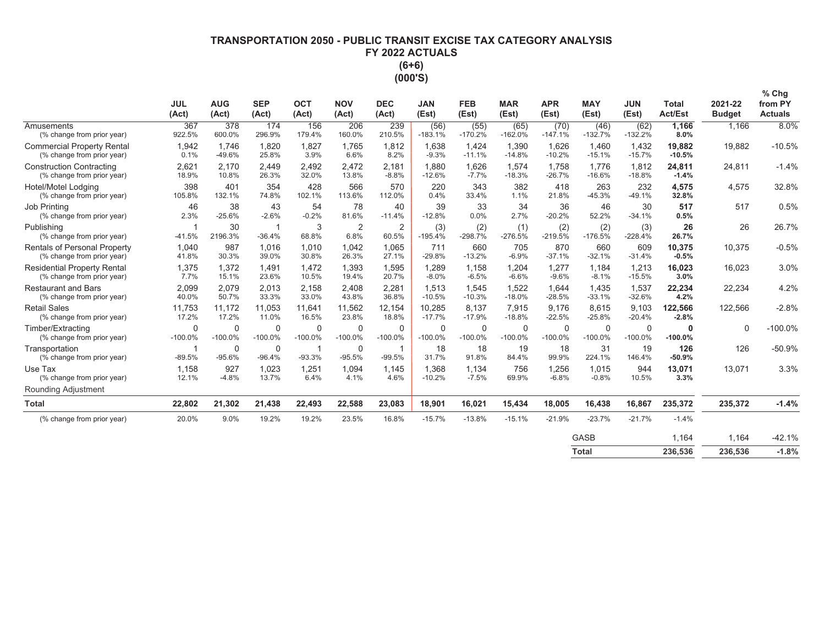# **7FRANSPORTATION 2050 - PUBLIC TRANSIT EXCISE TAX CATEGORY ANALYSIS** FY 2022 ACTUALS  $(6+6)$ (000'S)

|                                                                   | <b>JUL</b><br>(Act)      | <b>AUG</b><br>(Act)   | <b>SEP</b><br>(Act)     | <b>OCT</b><br>(Act)      | <b>NOV</b><br>(Act)    | <b>DEC</b><br>(Act)     | <b>JAN</b><br>(Est)      | <b>FEB</b><br>(Est)      | <b>MAR</b><br>(Est)   | <b>APR</b><br>(Est)   | <b>MAY</b><br>(Est)      | <b>JUN</b><br>(Est) | <b>Total</b><br>Act/Est  | 2021-22<br><b>Budget</b> | $%$ Chg<br>from PY<br><b>Actuals</b> |
|-------------------------------------------------------------------|--------------------------|-----------------------|-------------------------|--------------------------|------------------------|-------------------------|--------------------------|--------------------------|-----------------------|-----------------------|--------------------------|---------------------|--------------------------|--------------------------|--------------------------------------|
| Amusements<br>(% change from prior year)                          | 367<br>922.5%            | 378<br>600.0%         | 174<br>296.9%           | 156<br>179.4%            | 206<br>160.0%          | 239<br>210.5%           | (56)<br>$-183.1%$        | (55)<br>$-170.2%$        | (65)<br>$-162.0%$     | (70)<br>$-147.1%$     | (46)<br>$-132.7%$        | (62)<br>$-132.2%$   | 1,166<br>8.0%            | 1,166                    | 8.0%                                 |
| <b>Commercial Property Rental</b><br>(% change from prior year)   | 1,942<br>0.1%            | 1,746<br>$-49.6%$     | 1,820<br>25.8%          | 1,827<br>3.9%            | 1,765<br>6.6%          | 1,812<br>8.2%           | 1,638<br>$-9.3%$         | 1,424<br>$-11.1%$        | 1,390<br>$-14.8%$     | 1,626<br>$-10.2%$     | 1,460<br>$-15.1%$        | 1,432<br>$-15.7%$   | 19,882<br>$-10.5%$       | 19,882                   | $-10.5%$                             |
| <b>Construction Contracting</b><br>(% change from prior year)     | 2,621<br>18.9%           | 2.170<br>10.8%        | 2,449<br>26.3%          | 2,492<br>32.0%           | 2,472<br>13.8%         | 2,181<br>$-8.8%$        | 1.880<br>$-12.6%$        | 1,626<br>$-7.7%$         | 1,574<br>$-18.3%$     | 1,758<br>$-26.7%$     | 1,776<br>$-16.6%$        | 1,812<br>$-18.8%$   | 24,811<br>$-1.4%$        | 24,811                   | $-1.4%$                              |
| <b>Hotel/Motel Lodaina</b><br>(% change from prior year)          | 398<br>105.8%            | 401<br>132.1%         | 354<br>74.8%            | 428<br>102.1%            | 566<br>113.6%          | 570<br>112.0%           | 220<br>0.4%              | 343<br>33.4%             | 382<br>1.1%           | 418<br>21.8%          | 263<br>$-45.3%$          | 232<br>$-49.1%$     | 4,575<br>32.8%           | 4,575                    | 32.8%                                |
| Job Printing<br>(% change from prior year)                        | 46<br>2.3%               | 38<br>$-25.6%$        | 43<br>$-2.6%$           | 54<br>$-0.2%$            | 78<br>81.6%            | 40<br>$-11.4%$          | 39<br>$-12.8%$           | 33<br>0.0%               | 34<br>2.7%            | 36<br>$-20.2%$        | 46<br>52.2%              | 30<br>$-34.1%$      | 517<br>0.5%              | 517                      | 0.5%                                 |
| Publishing<br>(% change from prior year)                          | -1<br>$-41.5%$           | 30<br>2196.3%         | -1<br>$-36.4%$          | 3<br>68.8%               | $\overline{2}$<br>6.8% | $\overline{2}$<br>60.5% | (3)<br>$-195.4%$         | (2)<br>$-298.7%$         | (1)<br>$-276.5%$      | (2)<br>$-219.5%$      | (2)<br>$-176.5%$         | (3)<br>$-228.4%$    | 26<br>26.7%              | 26                       | 26.7%                                |
| <b>Rentals of Personal Property</b><br>(% change from prior year) | 1.040<br>41.8%           | 987<br>30.3%          | 1.016<br>39.0%          | 1.010<br>30.8%           | 1,042<br>26.3%         | 1,065<br>27.1%          | 711<br>$-29.8%$          | 660<br>$-13.2%$          | 705<br>$-6.9%$        | 870<br>$-37.1%$       | 660<br>$-32.1%$          | 609<br>$-31.4%$     | 10,375<br>$-0.5%$        | 10,375                   | $-0.5%$                              |
| <b>Residential Property Rental</b><br>(% change from prior year)  | 1,375<br>7.7%            | 1,372<br>15.1%        | 1,491<br>23.6%          | 1.472<br>10.5%           | 1,393<br>19.4%         | 1,595<br>20.7%          | 1,289<br>$-8.0%$         | 1,158<br>$-6.5%$         | 1,204<br>$-6.6%$      | 1,277<br>$-9.6%$      | 1,184<br>$-8.1%$         | 1,213<br>$-15.5%$   | 16,023<br>3.0%           | 16,023                   | 3.0%                                 |
| <b>Restaurant and Bars</b><br>(% change from prior year)          | 2,099<br>40.0%           | 2,079<br>50.7%        | 2,013<br>33.3%          | 2.158<br>33.0%           | 2.408<br>43.8%         | 2,281<br>36.8%          | 1.513<br>$-10.5%$        | 1,545<br>$-10.3%$        | 1,522<br>$-18.0%$     | 1,644<br>$-28.5%$     | 1.435<br>$-33.1%$        | 1,537<br>$-32.6%$   | 22,234<br>4.2%           | 22,234                   | 4.2%                                 |
| <b>Retail Sales</b><br>(% change from prior year)                 | 11.753<br>17.2%          | 11.172<br>17.2%       | 11.053<br>11.0%         | 11.641<br>16.5%          | 11,562<br>23.8%        | 12.154<br>18.8%         | 10.285<br>$-17.7%$       | 8.137<br>$-17.9%$        | 7.915<br>$-18.8%$     | 9.176<br>$-22.5%$     | 8.615<br>$-25.8%$        | 9.103<br>$-20.4%$   | 122,566<br>$-2.8%$       | 122.566                  | $-2.8%$                              |
| Timber/Extracting<br>(% change from prior year)                   | $\mathbf 0$<br>$-100.0%$ | $\Omega$<br>$-100.0%$ | $\Omega$<br>$-100.0%$   | $\mathbf 0$<br>$-100.0%$ | $\Omega$<br>$-100.0%$  | 0<br>$-100.0%$          | $\mathbf 0$<br>$-100.0%$ | $\mathbf 0$<br>$-100.0%$ | $\Omega$<br>$-100.0%$ | $\Omega$<br>$-100.0%$ | $\mathbf 0$<br>$-100.0%$ | 0<br>$-100.0%$      | $\mathbf 0$<br>$-100.0%$ | $\Omega$                 | $-100.0%$                            |
| Transportation<br>(% change from prior year)                      | -1<br>$-89.5%$           | $\Omega$<br>$-95.6%$  | $\mathbf 0$<br>$-96.4%$ | -1<br>$-93.3%$           | 0<br>$-95.5%$          | -1<br>$-99.5%$          | 18<br>31.7%              | 18<br>91.8%              | 19<br>84.4%           | 18<br>99.9%           | 31<br>224.1%             | 19<br>146.4%        | 126<br>$-50.9%$          | 126                      | $-50.9%$                             |
| Use Tax<br>(% change from prior year)                             | 1,158<br>12.1%           | 927<br>$-4.8%$        | 1,023<br>13.7%          | 1,251<br>6.4%            | 1,094<br>4.1%          | 1,145<br>4.6%           | 1,368<br>$-10.2%$        | 1,134<br>$-7.5%$         | 756<br>69.9%          | 1,256<br>$-6.8%$      | 1,015<br>$-0.8%$         | 944<br>10.5%        | 13,071<br>3.3%           | 13,071                   | 3.3%                                 |
| Rounding Adjustment                                               |                          |                       |                         |                          |                        |                         |                          |                          |                       |                       |                          |                     |                          |                          |                                      |
| <b>Total</b>                                                      | 22,802                   | 21,302                | 21,438                  | 22,493                   | 22,588                 | 23,083                  | 18,901                   | 16,021                   | 15,434                | 18,005                | 16,438                   | 16,867              | 235,372                  | 235,372                  | $-1.4%$                              |
| (% change from prior year)                                        | 20.0%                    | 9.0%                  | 19.2%                   | 19.2%                    | 23.5%                  | 16.8%                   | $-15.7%$                 | $-13.8%$                 | $-15.1%$              | $-21.9%$              | $-23.7%$                 | $-21.7%$            | $-1.4%$                  |                          |                                      |
|                                                                   |                          |                       |                         |                          |                        |                         |                          |                          |                       |                       | <b>GASB</b>              |                     | 1.164                    | 1.164                    | $-42.1%$                             |
|                                                                   |                          |                       |                         |                          |                        |                         |                          |                          |                       |                       | <b>Total</b>             |                     | 236,536                  | 236,536                  | $-1.8%$                              |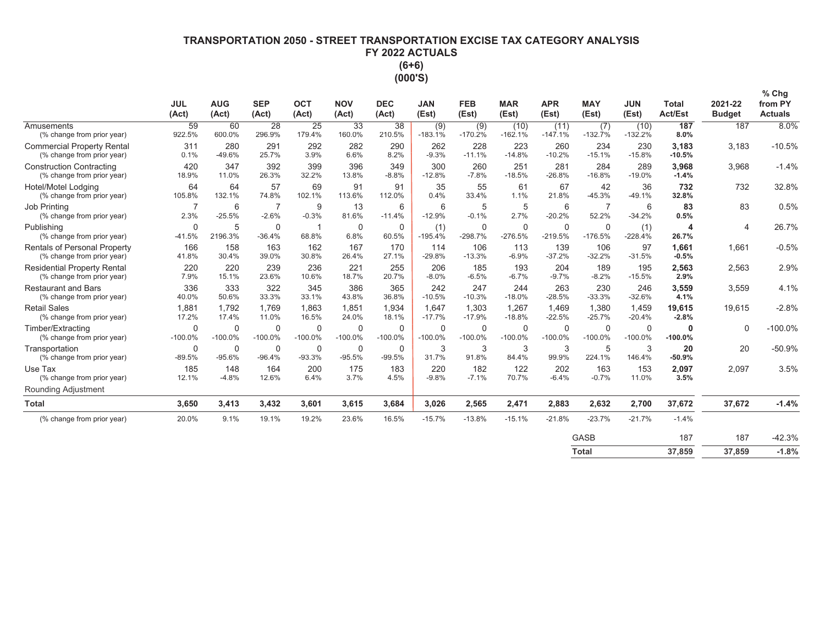# **7FRANSPORTATION 2050 - STREET TRANSPORTATION EXCISE TAX CATEGORY ANALYSIS** FY 2022 ACTUALS  $(6+6)$ (000'S)

|                                                                   | <b>JUL</b><br>(Act)      | <b>AUG</b><br>(Act)   | <b>SEP</b><br>(Act)     | OCT<br>(Act)             | <b>NOV</b><br>(Act)      | <b>DEC</b><br>(Act)      | <b>JAN</b><br>(Est)      | <b>FEB</b><br>(Est)      | <b>MAR</b><br>(Est)      | <b>APR</b><br>(Est) | <b>MAY</b><br>(Est)      | <b>JUN</b><br>(Est)      | <b>Total</b><br><b>Act/Est</b> | 2021-22<br><b>Budget</b> | % Chg<br>from PY<br><b>Actuals</b> |
|-------------------------------------------------------------------|--------------------------|-----------------------|-------------------------|--------------------------|--------------------------|--------------------------|--------------------------|--------------------------|--------------------------|---------------------|--------------------------|--------------------------|--------------------------------|--------------------------|------------------------------------|
| Amusements<br>(% change from prior year)                          | 59<br>922.5%             | 60<br>600.0%          | 28<br>296.9%            | 25<br>179.4%             | 33<br>160.0%             | 38<br>210.5%             | (9)<br>$-183.1%$         | (9)<br>$-170.2%$         | (10)<br>$-162.1%$        | (11)<br>$-147.1%$   | (7)<br>$-132.7%$         | (10)<br>$-132.2%$        | 187<br>8.0%                    | 187                      | 8.0%                               |
| <b>Commercial Property Rental</b><br>(% change from prior year)   | 311<br>0.1%              | 280<br>$-49.6%$       | 291<br>25.7%            | 292<br>3.9%              | 282<br>6.6%              | 290<br>8.2%              | 262<br>$-9.3%$           | 228<br>$-11.1%$          | 223<br>$-14.8%$          | 260<br>$-10.2%$     | 234<br>$-15.1%$          | 230<br>$-15.8%$          | 3,183<br>$-10.5%$              | 3,183                    | $-10.5%$                           |
| <b>Construction Contracting</b><br>(% change from prior year)     | 420<br>18.9%             | 347<br>11.0%          | 392<br>26.3%            | 399<br>32.2%             | 396<br>13.8%             | 349<br>$-8.8%$           | 300<br>$-12.8%$          | 260<br>$-7.8%$           | 251<br>$-18.5%$          | 281<br>$-26.8%$     | 284<br>$-16.8%$          | 289<br>$-19.0%$          | 3,968<br>$-1.4%$               | 3,968                    | $-1.4%$                            |
| Hotel/Motel Lodaina<br>(% change from prior year)                 | 64<br>105.8%             | 64<br>132.1%          | 57<br>74.8%             | 69<br>102.1%             | 91<br>113.6%             | 91<br>112.0%             | 35<br>0.4%               | 55<br>33.4%              | 61<br>1.1%               | 67<br>21.8%         | 42<br>$-45.3%$           | 36<br>$-49.1%$           | 732<br>32.8%                   | 732                      | 32.8%                              |
| Job Printing<br>(% change from prior year)                        | -7<br>2.3%               | 6<br>$-25.5%$         | 7<br>$-2.6%$            | 9<br>$-0.3%$             | 13<br>81.6%              | 6<br>$-11.4%$            | 6<br>$-12.9%$            | 5<br>$-0.1%$             | 5<br>2.7%                | 6<br>$-20.2%$       | $\overline{7}$<br>52.2%  | 6<br>$-34.2%$            | 83<br>0.5%                     | 83                       | 0.5%                               |
| Publishing<br>(% change from prior year)                          | $\mathbf 0$<br>$-41.5%$  | 5<br>2196.3%          | $\Omega$<br>$-36.4%$    | 68.8%                    | $\mathbf 0$<br>6.8%      | $\mathbf 0$<br>60.5%     | (1)<br>$-195.4%$         | $\mathbf 0$<br>$-298.7%$ | $\mathbf 0$<br>$-276.5%$ | 0<br>$-219.5%$      | $\mathbf 0$<br>$-176.5%$ | (1)<br>$-228.4%$         | 4<br>26.7%                     | $\overline{4}$           | 26.7%                              |
| <b>Rentals of Personal Property</b><br>(% change from prior year) | 166<br>41.8%             | 158<br>30.4%          | 163<br>39.0%            | 162<br>30.8%             | 167<br>26.4%             | 170<br>27.1%             | 114<br>$-29.8%$          | 106<br>$-13.3%$          | 113<br>$-6.9%$           | 139<br>$-37.2%$     | 106<br>$-32.2%$          | 97<br>$-31.5%$           | 1.661<br>$-0.5%$               | 1,661                    | $-0.5%$                            |
| <b>Residential Property Rental</b><br>(% change from prior year)  | 220<br>7.9%              | 220<br>15.1%          | 239<br>23.6%            | 236<br>10.6%             | 221<br>18.7%             | 255<br>20.7%             | 206<br>$-8.0%$           | 185<br>$-6.5%$           | 193<br>$-6.7%$           | 204<br>$-9.7%$      | 189<br>$-8.2%$           | 195<br>$-15.5%$          | 2,563<br>2.9%                  | 2,563                    | 2.9%                               |
| <b>Restaurant and Bars</b><br>(% change from prior year)          | 336<br>40.0%             | 333<br>50.6%          | 322<br>33.3%            | 345<br>33.1%             | 386<br>43.8%             | 365<br>36.8%             | 242<br>$-10.5%$          | 247<br>$-10.3%$          | 244<br>$-18.0%$          | 263<br>$-28.5%$     | 230<br>$-33.3%$          | 246<br>$-32.6%$          | 3,559<br>4.1%                  | 3,559                    | 4.1%                               |
| <b>Retail Sales</b><br>(% change from prior year)                 | 1,881<br>17.2%           | 1,792<br>17.4%        | 1.769<br>11.0%          | 1,863<br>16.5%           | 1,851<br>24.0%           | 1,934<br>18.1%           | 1.647<br>$-17.7%$        | 1,303<br>$-17.9%$        | 1,267<br>$-18.8%$        | 1,469<br>$-22.5%$   | 1,380<br>$-25.7%$        | 1,459<br>$-20.4%$        | 19,615<br>$-2.8%$              | 19,615                   | $-2.8%$                            |
| Timber/Extracting<br>(% change from prior year)                   | $\mathbf 0$<br>$-100.0%$ | $\Omega$<br>$-100.0%$ | $\Omega$<br>$-100.0%$   | $\mathbf 0$<br>$-100.0%$ | $\mathbf 0$<br>$-100.0%$ | $\mathbf 0$<br>$-100.0%$ | $\mathbf 0$<br>$-100.0%$ | $\mathbf 0$<br>$-100.0%$ | 0<br>$-100.0%$           | 0<br>$-100.0%$      | $\mathbf 0$<br>$-100.0%$ | $\mathbf 0$<br>$-100.0%$ | 0<br>$-100.0%$                 | $\Omega$                 | $-100.0%$                          |
| Transportation<br>(% change from prior year)                      | $\mathbf 0$<br>$-89.5%$  | 0<br>$-95.6%$         | $\mathbf 0$<br>$-96.4%$ | $\Omega$<br>$-93.3%$     | $\Omega$<br>$-95.5%$     | $\Omega$<br>$-99.5%$     | 3<br>31.7%               | 3<br>91.8%               | 3<br>84.4%               | 3<br>99.9%          | 5<br>224.1%              | 3<br>146.4%              | 20<br>$-50.9%$                 | 20                       | $-50.9%$                           |
| Use Tax<br>(% change from prior year)                             | 185<br>12.1%             | 148<br>$-4.8%$        | 164<br>12.6%            | 200<br>6.4%              | 175<br>3.7%              | 183<br>4.5%              | 220<br>$-9.8%$           | 182<br>$-7.1%$           | 122<br>70.7%             | 202<br>$-6.4%$      | 163<br>$-0.7%$           | 153<br>11.0%             | 2,097<br>3.5%                  | 2,097                    | 3.5%                               |
| Rounding Adjustment                                               |                          |                       |                         |                          |                          |                          |                          |                          |                          |                     |                          |                          |                                |                          |                                    |
| <b>Total</b>                                                      | 3,650                    | 3,413                 | 3,432                   | 3,601                    | 3,615                    | 3,684                    | 3,026                    | 2,565                    | 2,471                    | 2,883               | 2,632                    | 2,700                    | 37,672                         | 37,672                   | $-1.4%$                            |
| (% change from prior year)                                        | 20.0%                    | 9.1%                  | 19.1%                   | 19.2%                    | 23.6%                    | 16.5%                    | $-15.7%$                 | $-13.8%$                 | $-15.1%$                 | $-21.8%$            | $-23.7%$                 | $-21.7%$                 | $-1.4%$                        |                          |                                    |
|                                                                   |                          |                       |                         |                          |                          |                          |                          |                          |                          |                     | <b>GASB</b>              |                          | 187                            | 187                      | $-42.3%$                           |

**Total** 37,859 37,859  $-1.8%$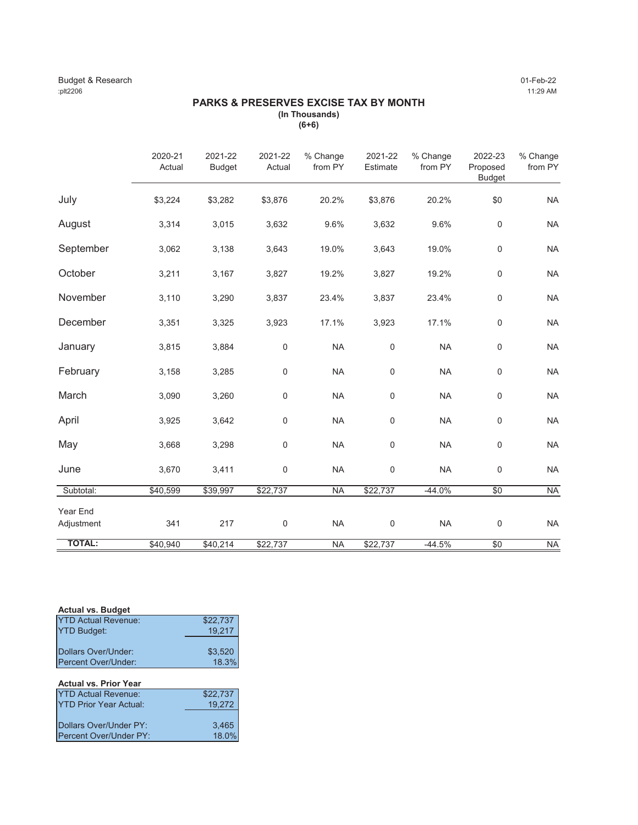### Budget & Research 01-Feb-22 :plt2206 11:29 AM

# **PARKS & PRESERVES EXCISE TAX BY MONTH (In Thousands)**

**(6+6)**

|                        | 2020-21<br>Actual | 2021-22<br><b>Budget</b> | 2021-22<br>Actual | % Change<br>from PY | 2021-22<br>Estimate | % Change<br>from PY | 2022-23<br>Proposed<br><b>Budget</b> | % Change<br>from PY |
|------------------------|-------------------|--------------------------|-------------------|---------------------|---------------------|---------------------|--------------------------------------|---------------------|
| July                   | \$3,224           | \$3,282                  | \$3,876           | 20.2%               | \$3,876             | 20.2%               | \$0                                  | <b>NA</b>           |
| August                 | 3,314             | 3,015                    | 3,632             | 9.6%                | 3,632               | 9.6%                | $\mathbf 0$                          | <b>NA</b>           |
| September              | 3,062             | 3,138                    | 3,643             | 19.0%               | 3,643               | 19.0%               | $\pmb{0}$                            | <b>NA</b>           |
| October                | 3,211             | 3,167                    | 3,827             | 19.2%               | 3,827               | 19.2%               | $\mathbf 0$                          | <b>NA</b>           |
| November               | 3,110             | 3,290                    | 3,837             | 23.4%               | 3,837               | 23.4%               | $\mathsf{O}\xspace$                  | <b>NA</b>           |
| December               | 3,351             | 3,325                    | 3,923             | 17.1%               | 3,923               | 17.1%               | $\pmb{0}$                            | <b>NA</b>           |
| January                | 3,815             | 3,884                    | $\mathbf 0$       | <b>NA</b>           | 0                   | <b>NA</b>           | $\mathsf 0$                          | <b>NA</b>           |
| February               | 3,158             | 3,285                    | $\mathbf 0$       | <b>NA</b>           | 0                   | <b>NA</b>           | $\mathbf 0$                          | <b>NA</b>           |
| March                  | 3,090             | 3,260                    | $\mathbf 0$       | <b>NA</b>           | 0                   | <b>NA</b>           | $\mathbf 0$                          | <b>NA</b>           |
| April                  | 3,925             | 3,642                    | $\mathbf 0$       | <b>NA</b>           | 0                   | <b>NA</b>           | $\mathbf 0$                          | <b>NA</b>           |
| May                    | 3,668             | 3,298                    | $\mathbf 0$       | <b>NA</b>           | $\mathbf 0$         | <b>NA</b>           | $\mathsf 0$                          | <b>NA</b>           |
| June                   | 3,670             | 3,411                    | $\mathbf 0$       | <b>NA</b>           | 0                   | <b>NA</b>           | $\mathsf 0$                          | <b>NA</b>           |
| Subtotal:              | \$40,599          | \$39,997                 | \$22,737          | <b>NA</b>           | \$22,737            | $-44.0%$            | $\sqrt{6}$                           | <b>NA</b>           |
| Year End<br>Adjustment | 341               | 217                      | $\mathbf 0$       | <b>NA</b>           | 0                   | <b>NA</b>           | $\mathbf 0$                          | <b>NA</b>           |
| <b>TOTAL:</b>          | \$40,940          | \$40,214                 | \$22,737          | <b>NA</b>           | \$22,737            | $-44.5%$            | \$0                                  | <b>NA</b>           |

| <b>Actual vs. Budget</b>   |          |
|----------------------------|----------|
| <b>YTD Actual Revenue:</b> | \$22,737 |
| <b>YTD Budget:</b>         | 19.217   |
|                            |          |
| Dollars Over/Under:        | \$3.520  |
| Percent Over/Under:        | 18.3%    |
|                            |          |

# **Actual vs. Prior Year**

| <b>YTD Actual Revenue:</b> | \$22,737 |
|----------------------------|----------|
| IYTD Prior Year Actual:    | 19.272   |
|                            |          |
| Dollars Over/Under PY:     | 3.465    |
| Percent Over/Under PY:     | 18.0%    |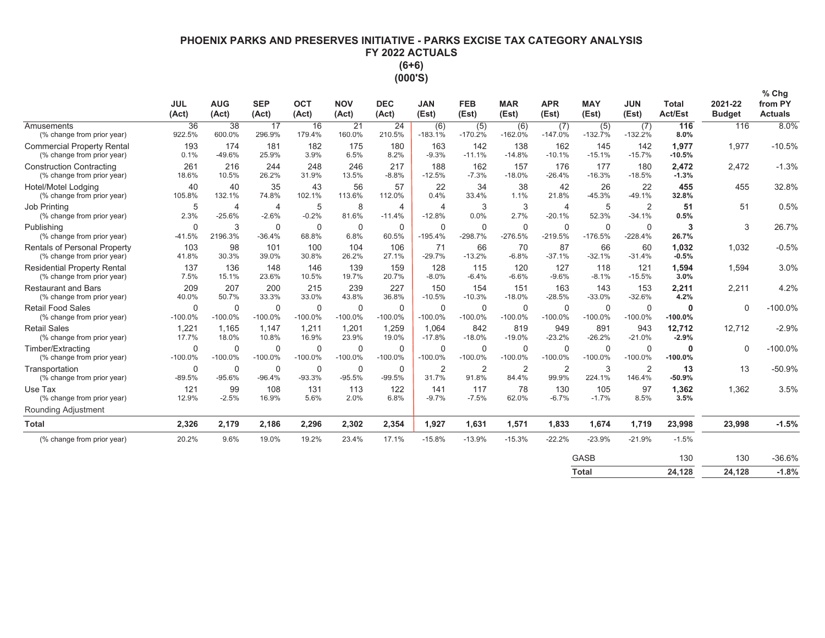# **PHOENIX PARKS AND PRESERVES INITIATIVE - PARKS EXCISE TAX CATEGORY ANALYSIS** FY 2022 ACTUALS  $(6+6)$ (000'S)

|                                                                  | <b>JUL</b><br>(Act)   | <b>AUG</b><br>(Act)      | <b>SEP</b><br>(Act)       | <b>OCT</b><br>(Act)      | <b>NOV</b><br>(Act)      | <b>DEC</b><br>(Act)        | <b>JAN</b><br>(Est)      | <b>FEB</b><br>(Est)         | <b>MAR</b><br>(Est)      | <b>APR</b><br>(Est)        | <b>MAY</b><br>(Est)      | <b>JUN</b><br>(Est)        | <b>Total</b><br><b>Act/Est</b> | 2021-22<br><b>Budget</b> | % Chg<br>from PY<br><b>Actuals</b> |
|------------------------------------------------------------------|-----------------------|--------------------------|---------------------------|--------------------------|--------------------------|----------------------------|--------------------------|-----------------------------|--------------------------|----------------------------|--------------------------|----------------------------|--------------------------------|--------------------------|------------------------------------|
| <b>Amusements</b><br>(% change from prior year)                  | 36<br>922.5%          | 38<br>600.0%             | 17<br>296.9%              | 16<br>179.4%             | 21<br>160.0%             | 24<br>210.5%               | (6)<br>$-183.1%$         | (5)<br>$-170.2%$            | (6)<br>$-162.0%$         | (7)<br>$-147.0%$           | (5)<br>$-132.7%$         | (7)<br>$-132.2%$           | 116<br>8.0%                    | 116                      | 8.0%                               |
| <b>Commercial Property Rental</b><br>(% change from prior year)  | 193<br>0.1%           | 174<br>$-49.6%$          | 181<br>25.9%              | 182<br>3.9%              | 175<br>6.5%              | 180<br>8.2%                | 163<br>$-9.3%$           | 142<br>$-11.1%$             | 138<br>$-14.8%$          | 162<br>$-10.1%$            | 145<br>$-15.1%$          | 142<br>$-15.7%$            | 1,977<br>$-10.5%$              | 1,977                    | $-10.5%$                           |
| <b>Construction Contracting</b><br>(% change from prior year)    | 261<br>18.6%          | 216<br>10.5%             | 244<br>26.2%              | 248<br>31.9%             | 246<br>13.5%             | 217<br>$-8.8%$             | 188<br>$-12.5%$          | 162<br>$-7.3%$              | 157<br>$-18.0%$          | 176<br>$-26.4%$            | 177<br>$-16.3%$          | 180<br>$-18.5%$            | 2,472<br>$-1.3%$               | 2,472                    | $-1.3%$                            |
| Hotel/Motel Lodging<br>(% change from prior year)                | 40<br>105.8%          | 40<br>132.1%             | 35<br>74.8%               | 43<br>102.1%             | 56<br>113.6%             | 57<br>112.0%               | 22<br>0.4%               | 34<br>33.4%                 | 38<br>1.1%               | 42<br>21.8%                | 26<br>$-45.3%$           | 22<br>$-49.1%$             | 455<br>32.8%                   | 455                      | 32.8%                              |
| Job Printina<br>(% change from prior year)                       | 5<br>2.3%             | 4<br>$-25.6%$            | $\overline{4}$<br>$-2.6%$ | 5<br>$-0.2%$             | 8<br>81.6%               | $\overline{4}$<br>$-11.4%$ | 4<br>$-12.8%$            | 3<br>0.0%                   | 3<br>2.7%                | $\overline{4}$<br>$-20.1%$ | 5<br>52.3%               | $\overline{2}$<br>$-34.1%$ | 51<br>0.5%                     | 51                       | 0.5%                               |
| Publishina<br>(% change from prior year)                         | 0<br>$-41.5%$         | 3<br>2196.3%             | 0<br>$-36.4%$             | 0<br>68.8%               | 0<br>6.8%                | 0<br>60.5%                 | $\mathbf 0$<br>$-195.4%$ | $\Omega$<br>$-298.7%$       | $\mathbf 0$<br>$-276.5%$ | $\mathbf 0$<br>$-219.5%$   | $\mathbf 0$<br>$-176.5%$ | 0<br>$-228.4%$             | 3<br>26.7%                     | 3                        | 26.7%                              |
| Rentals of Personal Property<br>(% change from prior year)       | 103<br>41.8%          | 98<br>30.3%              | 101<br>39.0%              | 100<br>30.8%             | 104<br>26.2%             | 106<br>27.1%               | 71<br>$-29.7%$           | 66<br>$-13.2%$              | 70<br>$-6.8%$            | 87<br>$-37.1%$             | 66<br>$-32.1%$           | 60<br>$-31.4%$             | 1,032<br>$-0.5%$               | 1,032                    | $-0.5%$                            |
| <b>Residential Property Rental</b><br>(% change from prior year) | 137<br>7.5%           | 136<br>15.1%             | 148<br>23.6%              | 146<br>10.5%             | 139<br>19.7%             | 159<br>20.7%               | 128<br>$-8.0%$           | 115<br>$-6.4%$              | 120<br>$-6.6%$           | 127<br>$-9.6%$             | 118<br>$-8.1%$           | 121<br>$-15.5%$            | 1,594<br>3.0%                  | 1.594                    | 3.0%                               |
| <b>Restaurant and Bars</b><br>(% change from prior year)         | 209<br>40.0%          | 207<br>50.7%             | 200<br>33.3%              | 215<br>33.0%             | 239<br>43.8%             | 227<br>36.8%               | 150<br>$-10.5%$          | 154<br>$-10.3%$             | 151<br>$-18.0%$          | 163<br>$-28.5%$            | 143<br>$-33.0%$          | 153<br>$-32.6%$            | 2,211<br>4.2%                  | 2,211                    | 4.2%                               |
| <b>Retail Food Sales</b><br>(% change from prior year)           | 0<br>$-100.0%$        | $\mathbf 0$<br>$-100.0%$ | $\mathbf 0$<br>$-100.0%$  | $\mathbf 0$<br>$-100.0%$ | $\mathbf 0$<br>$-100.0%$ | $\mathbf 0$<br>$-100.0%$   | $\mathbf 0$<br>$-100.0%$ | $\overline{0}$<br>$-100.0%$ | $\mathbf 0$<br>$-100.0%$ | $\mathbf 0$<br>$-100.0%$   | $\mathbf 0$<br>$-100.0%$ | $\Omega$<br>$-100.0%$      | $\Omega$<br>$-100.0%$          | $\mathbf 0$              | $-100.0%$                          |
| <b>Retail Sales</b><br>(% change from prior year)                | 1,221<br>17.7%        | 1,165<br>18.0%           | 1,147<br>10.8%            | 1,211<br>16.9%           | 1,201<br>23.9%           | 1,259<br>19.0%             | 1,064<br>$-17.8%$        | 842<br>$-18.0%$             | 819<br>$-19.0%$          | 949<br>$-23.2%$            | 891<br>$-26.2%$          | 943<br>$-21.0%$            | 12,712<br>$-2.9%$              | 12,712                   | $-2.9%$                            |
| Timber/Extracting<br>(% change from prior year)                  | $\Omega$<br>$-100.0%$ | $\Omega$<br>$-100.0%$    | 0<br>$-100.0%$            | 0<br>$-100.0%$           | 0<br>$-100.0%$           | 0<br>$-100.0%$             | $\mathbf 0$<br>$-100.0%$ | $\Omega$<br>$-100.0%$       | $\mathbf 0$<br>$-100.0%$ | $\mathbf 0$<br>$-100.0%$   | $\Omega$<br>$-100.0%$    | $\Omega$<br>$-100.0%$      | $-100.0%$                      | $\mathbf 0$              | $-100.0%$                          |
| Transportation<br>(% change from prior year)                     | 0<br>$-89.5%$         | 0<br>$-95.6%$            | 0<br>$-96.4%$             | $\mathbf 0$<br>$-93.3%$  | $\mathbf 0$<br>$-95.5%$  | 0<br>$-99.5%$              | $\overline{2}$<br>31.7%  | $\overline{2}$<br>91.8%     | $\overline{2}$<br>84.4%  | $\overline{2}$<br>99.9%    | 3<br>224.1%              | $\overline{2}$<br>146.4%   | 13<br>$-50.9%$                 | 13                       | $-50.9%$                           |
| Use Tax<br>(% change from prior year)<br>Rounding Adjustment     | 121<br>12.9%          | 99<br>$-2.5%$            | 108<br>16.9%              | 131<br>5.6%              | 113<br>2.0%              | 122<br>6.8%                | 141<br>$-9.7%$           | 117<br>$-7.5%$              | 78<br>62.0%              | 130<br>$-6.7%$             | 105<br>$-1.7%$           | 97<br>8.5%                 | 1,362<br>3.5%                  | 1,362                    | 3.5%                               |
| <b>Total</b>                                                     | 2,326                 | 2,179                    | 2,186                     | 2,296                    | 2,302                    | 2,354                      | 1,927                    | 1,631                       | 1,571                    | 1,833                      | 1,674                    | 1,719                      | 23,998                         | 23,998                   | $-1.5%$                            |
| (% change from prior year)                                       | 20.2%                 | 9.6%                     | 19.0%                     | 19.2%                    | 23.4%                    | 17.1%                      | $-15.8%$                 | $-13.9%$                    | $-15.3%$                 | $-22.2%$                   | $-23.9%$                 | $-21.9%$                   | $-1.5%$                        |                          |                                    |
|                                                                  |                       |                          |                           |                          |                          |                            |                          |                             |                          |                            | GASB                     |                            | 130                            | 130                      | $-36.6%$                           |

| Total       | 24,128 | 24,128 | $-1.8$  |
|-------------|--------|--------|---------|
| <b>GASB</b> | 130    | 130    | $-36.6$ |

 $\overline{\%}$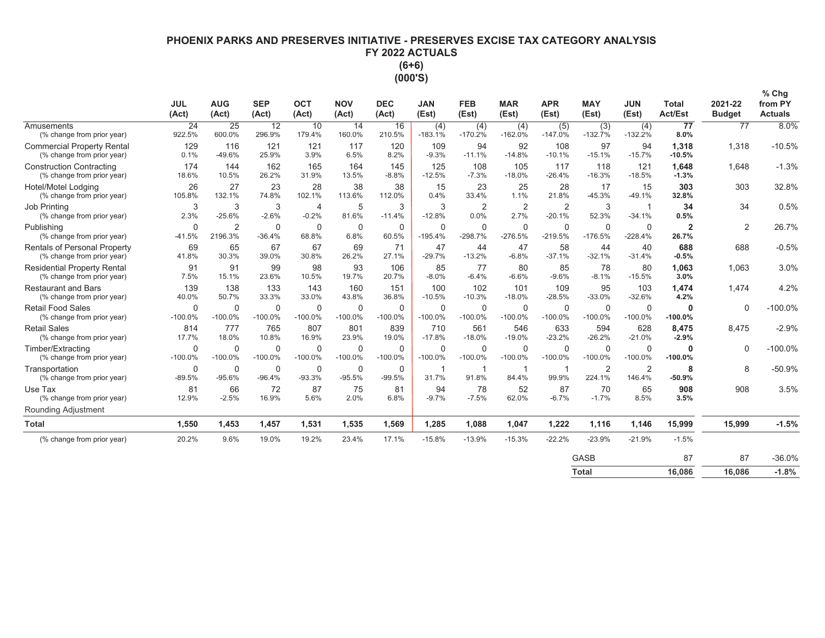# **PHOENIX PARKS AND PRESERVES INITIATIVE - PRESERVES EXCISE TAX CATEGORY ANALYSIS** FY 2022 ACTUALS  $(6+6)$

(000'S)

|                                                                     | <b>JUL</b><br>(Act)      | <b>AUG</b><br>(Act)       | <b>SEP</b><br>(Act)      | OCT<br>(Act)              | <b>NOV</b><br>(Act)   | <b>DEC</b><br>(Act)     | <b>JAN</b><br>(Est)      | <b>FEB</b><br>(Est)         | <b>MAR</b><br>(Est)      | <b>APR</b><br>(Est)        | <b>MAY</b><br>(Est)      | <b>JUN</b><br>(Est)      | <b>Total</b><br><b>Act/Est</b> | 2021-22<br><b>Budget</b> | $%$ Chg<br>from PY<br><b>Actuals</b> |
|---------------------------------------------------------------------|--------------------------|---------------------------|--------------------------|---------------------------|-----------------------|-------------------------|--------------------------|-----------------------------|--------------------------|----------------------------|--------------------------|--------------------------|--------------------------------|--------------------------|--------------------------------------|
| Amusements<br>(% change from prior year)                            | 24<br>922.5%             | 25<br>600.0%              | 12<br>296.9%             | 10<br>179.4%              | 14<br>160.0%          | 16<br>210.5%            | (4)<br>$-183.1%$         | (4)<br>$-170.2%$            | (4)<br>$-162.0%$         | (5)<br>$-147.0%$           | (3)<br>$-132.7%$         | (4)<br>$-132.2%$         | 77<br>8.0%                     | 77                       | 8.0%                                 |
| <b>Commercial Property Rental</b><br>(% change from prior year)     | 129<br>0.1%              | 116<br>$-49.6%$           | 121<br>25.9%             | 121<br>3.9%               | 117<br>6.5%           | 120<br>8.2%             | 109<br>$-9.3%$           | 94<br>$-11.1%$              | 92<br>$-14.8%$           | 108<br>$-10.1%$            | 97<br>$-15.1%$           | 94<br>$-15.7%$           | 1,318<br>$-10.5%$              | 1,318                    | $-10.5%$                             |
| <b>Construction Contracting</b><br>(% change from prior year)       | 174<br>18.6%             | 144<br>10.5%              | 162<br>26.2%             | 165<br>31.9%              | 164<br>13.5%          | 145<br>$-8.8%$          | 125<br>$-12.5%$          | 108<br>$-7.3%$              | 105<br>$-18.0%$          | 117<br>$-26.4%$            | 118<br>$-16.3%$          | 121<br>$-18.5%$          | 1,648<br>$-1.3%$               | 1.648                    | $-1.3%$                              |
| Hotel/Motel Lodging<br>(% change from prior year)                   | 26<br>105.8%             | 27<br>132.1%              | 23<br>74.8%              | 28<br>102.1%              | 38<br>113.6%          | 38<br>112.0%            | 15<br>0.4%               | 23<br>33.4%                 | 25<br>1.1%               | 28<br>21.8%                | 17<br>$-45.3%$           | 15<br>$-49.1%$           | 303<br>32.8%                   | 303                      | 32.8%                                |
| Job Printing<br>(% change from prior year)                          | 3<br>2.3%                | 3<br>$-25.6%$             | 3<br>$-2.6%$             | $\overline{4}$<br>$-0.2%$ | 5<br>81.6%            | 3<br>$-11.4%$           | 3<br>$-12.8%$            | $\overline{2}$<br>0.0%      | $\overline{2}$<br>2.7%   | $\overline{2}$<br>$-20.1%$ | 3<br>52.3%               | $-34.1%$                 | 34<br>0.5%                     | 34                       | 0.5%                                 |
| Publishing<br>(% change from prior year)                            | $\mathbf 0$<br>$-41.5%$  | $\overline{2}$<br>2196.3% | $\mathbf 0$<br>$-36.4%$  | $\mathbf 0$<br>68.8%      | $\mathbf 0$<br>6.8%   | $\mathbf 0$<br>60.5%    | $\mathbf 0$<br>$-195.4%$ | $\mathbf 0$<br>$-298.7%$    | $\mathbf 0$<br>$-276.5%$ | $\mathbf 0$<br>$-219.5%$   | $\mathbf 0$<br>$-176.5%$ | $\mathbf 0$<br>$-228.4%$ | $\overline{2}$<br>26.7%        | 2                        | 26.7%                                |
| <b>Rentals of Personal Property</b><br>(% change from prior year)   | 69<br>41.8%              | 65<br>30.3%               | 67<br>39.0%              | 67<br>30.8%               | 69<br>26.2%           | 71<br>27.1%             | 47<br>$-29.7%$           | 44<br>$-13.2%$              | 47<br>$-6.8%$            | 58<br>$-37.1%$             | 44<br>$-32.1%$           | 40<br>$-31.4%$           | 688<br>$-0.5%$                 | 688                      | $-0.5%$                              |
| <b>Residential Property Rental</b><br>(% change from prior year)    | 91<br>7.5%               | 91<br>15.1%               | 99<br>23.6%              | 98<br>10.5%               | 93<br>19.7%           | 106<br>20.7%            | 85<br>$-8.0%$            | 77<br>$-6.4%$               | 80<br>$-6.6%$            | 85<br>$-9.6%$              | 78<br>$-8.1%$            | 80<br>$-15.5%$           | 1,063<br>3.0%                  | 1,063                    | 3.0%                                 |
| <b>Restaurant and Bars</b><br>(% change from prior year)            | 139<br>40.0%             | 138<br>50.7%              | 133<br>33.3%             | 143<br>33.0%              | 160<br>43.8%          | 151<br>36.8%            | 100<br>$-10.5%$          | 102<br>$-10.3%$             | 101<br>$-18.0%$          | 109<br>$-28.5%$            | 95<br>$-33.0%$           | 103<br>$-32.6%$          | 1,474<br>4.2%                  | 1.474                    | 4.2%                                 |
| <b>Retail Food Sales</b><br>(% change from prior year)              | $\Omega$<br>$-100.0%$    | $\Omega$<br>$-100.0%$     | $\Omega$<br>$-100.0%$    | $\Omega$<br>$-100.0%$     | $\Omega$<br>$-100.0%$ | $\Omega$<br>$-100.0%$   | $\mathbf 0$<br>$-100.0%$ | $\mathbf 0$<br>$-100.0%$    | $\mathbf 0$<br>$-100.0%$ | $\mathbf 0$<br>$-100.0%$   | $\Omega$<br>$-100.0%$    | $\Omega$<br>$-100.0%$    | $\bf{0}$<br>$-100.0\%$         | $\Omega$                 | $-100.0%$                            |
| <b>Retail Sales</b><br>(% change from prior year)                   | 814<br>17.7%             | 777<br>18.0%              | 765<br>10.8%             | 807<br>16.9%              | 801<br>23.9%          | 839<br>19.0%            | 710<br>$-17.8%$          | 561<br>$-18.0%$             | 546<br>$-19.0%$          | 633<br>$-23.2%$            | 594<br>$-26.2%$          | 628<br>$-21.0%$          | 8.475<br>$-2.9%$               | 8.475                    | $-2.9%$                              |
| Timber/Extracting<br>(% change from prior year)                     | $\mathbf 0$<br>$-100.0%$ | $\mathbf 0$<br>$-100.0%$  | $\mathbf 0$<br>$-100.0%$ | $\mathbf 0$<br>$-100.0%$  | $\Omega$<br>$-100.0%$ | 0<br>$-100.0%$          | $\mathbf 0$<br>$-100.0%$ | $\overline{0}$<br>$-100.0%$ | $\mathbf 0$<br>$-100.0%$ | $\mathbf 0$<br>$-100.0%$   | $\Omega$<br>$-100.0%$    | $\Omega$<br>$-100.0%$    | $\bf{0}$<br>$-100.0%$          | $\Omega$                 | $-100.0%$                            |
| Transportation<br>(% change from prior year)                        | $\mathbf 0$<br>$-89.5%$  | 0<br>$-95.6%$             | $\mathbf 0$<br>$-96.4%$  | 0<br>$-93.3%$             | 0<br>$-95.5%$         | $\mathbf 0$<br>$-99.5%$ | -1<br>31.7%              | 91.8%                       | 84.4%                    | 99.9%                      | 2<br>224.1%              | 2<br>146.4%              | 8<br>$-50.9%$                  | 8                        | $-50.9%$                             |
| Use Tax<br>(% change from prior year)<br><b>Rounding Adjustment</b> | 81<br>12.9%              | 66<br>$-2.5%$             | 72<br>16.9%              | 87<br>5.6%                | 75<br>2.0%            | 81<br>6.8%              | 94<br>$-9.7%$            | 78<br>$-7.5%$               | 52<br>62.0%              | 87<br>$-6.7%$              | 70<br>$-1.7%$            | 65<br>8.5%               | 908<br>3.5%                    | 908                      | 3.5%                                 |
| <b>Total</b>                                                        | 1,550                    | 1,453                     | 1,457                    | 1,531                     | 1,535                 | 1,569                   | 1,285                    | 1,088                       | 1,047                    | 1,222                      | 1,116                    | 1,146                    | 15,999                         | 15,999                   | $-1.5%$                              |
| (% change from prior year)                                          | 20.2%                    | 9.6%                      | 19.0%                    | 19.2%                     | 23.4%                 | 17.1%                   | $-15.8%$                 | $-13.9%$                    | $-15.3%$                 | $-22.2%$                   | $-23.9%$                 | $-21.9%$                 | $-1.5%$                        |                          |                                      |
|                                                                     |                          |                           |                          |                           |                       |                         |                          |                             |                          |                            | GASB                     |                          | 87                             | 87                       | $-36.0%$                             |
|                                                                     |                          |                           |                          |                           |                       |                         |                          |                             |                          |                            | <b>Total</b>             |                          | 16.086                         | 16.086                   | $-1.8%$                              |

| <b>Total</b> | 16,086 | 16,086 | $-1.8$ |
|--------------|--------|--------|--------|
|              |        |        |        |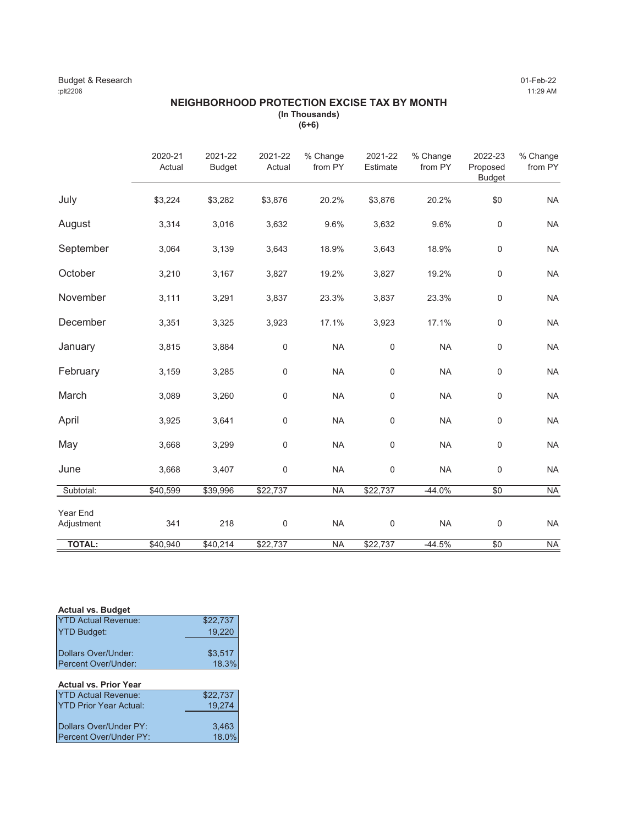### Budget & Research 01-Feb-22 :plt2206 11:29 AM

### **NEIGHBORHOOD PROTECTION EXCISE TAX BY MONTH (In Thousands) (6+6)**

|                        | 2020-21<br>Actual | 2021-22<br><b>Budget</b> | 2021-22<br>Actual | % Change<br>from PY | 2021-22<br>Estimate | % Change<br>from PY | 2022-23<br>Proposed<br><b>Budget</b> | % Change<br>from PY |
|------------------------|-------------------|--------------------------|-------------------|---------------------|---------------------|---------------------|--------------------------------------|---------------------|
| July                   | \$3,224           | \$3,282                  | \$3,876           | 20.2%               | \$3,876             | 20.2%               | \$0                                  | <b>NA</b>           |
| August                 | 3,314             | 3,016                    | 3,632             | 9.6%                | 3,632               | 9.6%                | $\mathsf{O}\xspace$                  | <b>NA</b>           |
| September              | 3,064             | 3,139                    | 3,643             | 18.9%               | 3,643               | 18.9%               | $\mathsf{O}\xspace$                  | <b>NA</b>           |
| October                | 3,210             | 3,167                    | 3,827             | 19.2%               | 3,827               | 19.2%               | $\mathbf 0$                          | <b>NA</b>           |
| November               | 3,111             | 3,291                    | 3,837             | 23.3%               | 3,837               | 23.3%               | $\mathsf{O}\xspace$                  | <b>NA</b>           |
| December               | 3,351             | 3,325                    | 3,923             | 17.1%               | 3,923               | 17.1%               | $\mathbf 0$                          | <b>NA</b>           |
| January                | 3,815             | 3,884                    | $\mathbf 0$       | <b>NA</b>           | $\mathbf 0$         | <b>NA</b>           | $\mathsf{O}\xspace$                  | <b>NA</b>           |
| February               | 3,159             | 3,285                    | 0                 | <b>NA</b>           | $\pmb{0}$           | <b>NA</b>           | $\pmb{0}$                            | <b>NA</b>           |
| March                  | 3,089             | 3,260                    | 0                 | <b>NA</b>           | $\mathbf 0$         | <b>NA</b>           | $\mathbf 0$                          | <b>NA</b>           |
| April                  | 3,925             | 3,641                    | 0                 | <b>NA</b>           | $\mathbf 0$         | <b>NA</b>           | $\mathsf{O}\xspace$                  | <b>NA</b>           |
| May                    | 3,668             | 3,299                    | 0                 | <b>NA</b>           | $\mathbf 0$         | <b>NA</b>           | $\mathsf{O}\xspace$                  | <b>NA</b>           |
| June                   | 3,668             | 3,407                    | 0                 | <b>NA</b>           | $\mathbf 0$         | <b>NA</b>           | $\mathsf{O}\xspace$                  | <b>NA</b>           |
| Subtotal:              | \$40,599          | \$39,996                 | \$22,737          | <b>NA</b>           | \$22,737            | $-44.0%$            | $\sqrt{6}$                           | <b>NA</b>           |
| Year End<br>Adjustment | 341               | 218                      | $\mathbf 0$       | <b>NA</b>           | $\mathbf 0$         | <b>NA</b>           | $\mathsf 0$                          | <b>NA</b>           |
| <b>TOTAL:</b>          | \$40,940          | \$40,214                 | \$22,737          | <b>NA</b>           | \$22,737            | $-44.5%$            | \$0                                  | <b>NA</b>           |

| <b>Actual vs. Budget</b>   |          |
|----------------------------|----------|
| <b>YTD Actual Revenue:</b> | \$22,737 |
| <b>YTD Budget:</b>         | 19.220   |
|                            |          |
| Dollars Over/Under:        | \$3.517  |
| Percent Over/Under:        | 18.3%    |
|                            |          |

# **Actual vs. Prior Year**

| <b>YTD Actual Revenue:</b>     | \$22,737 |
|--------------------------------|----------|
| <b>IYTD Prior Year Actual:</b> | 19.274   |
|                                |          |
| Dollars Over/Under PY:         | 3.463    |
| Percent Over/Under PY:         | 18.0%    |
|                                |          |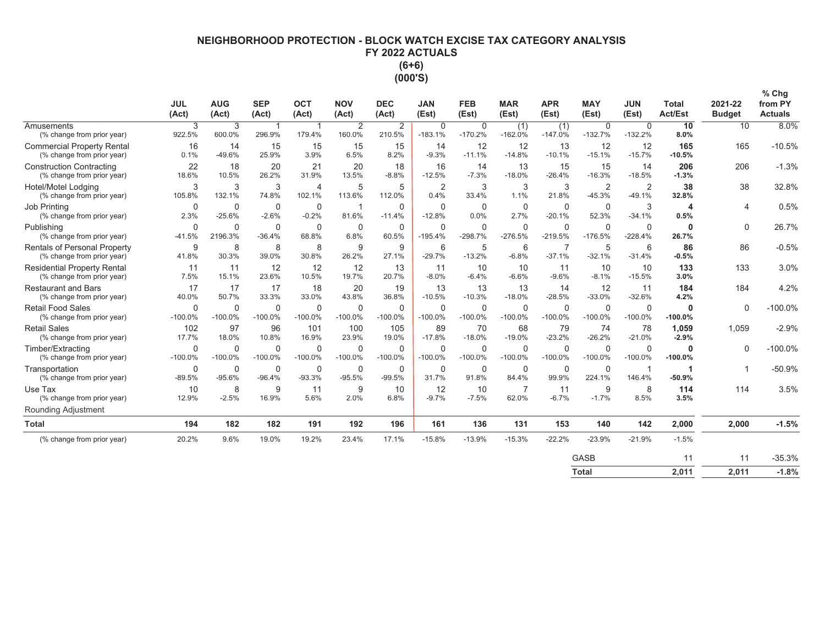# NEIGHBORHOOD PROTECTION - BLOCK WATCH EXCISE TAX CATEGORY ANALYSIS FY 2022 ACTUALS  $(6+6)$  $(000'S)$

|                                                                   | <b>JUL</b><br>(Act)      | <b>AUG</b><br>(Act)   | <b>SEP</b><br>(Act)       | <b>OCT</b><br>(Act)      | <b>NOV</b><br>(Act)   | <b>DEC</b><br>(Act) | <b>JAN</b><br>(Est)    | <b>FEB</b><br>(Est)      | <b>MAR</b><br>(Est)      | <b>APR</b><br>(Est)      | <b>MAY</b><br>(Est)      | <b>JUN</b><br>(Est)      | <b>Total</b><br><b>Act/Est</b> | 2021-22<br><b>Budget</b> | $%$ Chg<br>from PY<br><b>Actuals</b> |
|-------------------------------------------------------------------|--------------------------|-----------------------|---------------------------|--------------------------|-----------------------|---------------------|------------------------|--------------------------|--------------------------|--------------------------|--------------------------|--------------------------|--------------------------------|--------------------------|--------------------------------------|
| Amusements<br>(% change from prior year)                          | 3<br>922.5%              | 3<br>600.0%           | $\overline{1}$<br>296.9%  | $\overline{1}$<br>179.4% | 2<br>160.0%           | 2<br>210.5%         | 0<br>$-183.1%$         | 0<br>$-170.2%$           | (1)<br>$-162.0%$         | (1)<br>$-147.0%$         | 0<br>$-132.7%$           | 0<br>$-132.2%$           | 10<br>8.0%                     | 10                       | 8.0%                                 |
| <b>Commercial Property Rental</b><br>(% change from prior year)   | 16<br>0.1%               | 14<br>$-49.6%$        | 15<br>25.9%               | 15<br>3.9%               | 15<br>6.5%            | 15<br>8.2%          | 14<br>$-9.3%$          | 12<br>$-11.1%$           | 12<br>$-14.8%$           | 13<br>$-10.1%$           | 12<br>$-15.1%$           | 12<br>$-15.7%$           | 165<br>$-10.5%$                | 165                      | $-10.5%$                             |
| <b>Construction Contracting</b><br>(% change from prior year)     | 22<br>18.6%              | 18<br>10.5%           | 20<br>26.2%               | 21<br>31.9%              | 20<br>13.5%           | 18<br>$-8.8%$       | 16<br>$-12.5%$         | 14<br>$-7.3%$            | 13<br>$-18.0%$           | 15<br>$-26.4%$           | 15<br>$-16.3%$           | 14<br>$-18.5%$           | 206<br>$-1.3%$                 | 206                      | $-1.3%$                              |
| Hotel/Motel Lodging<br>(% change from prior year)                 | 3<br>105.8%              | 3<br>132.1%           | 3<br>74.8%                | 4<br>102.1%              | 5<br>113.6%           | 5<br>112.0%         | $\overline{2}$<br>0.4% | 3<br>33.4%               | 3<br>1.1%                | 3<br>21.8%               | 2<br>$-45.3%$            | 2<br>$-49.1%$            | 38<br>32.8%                    | 38                       | 32.8%                                |
| Job Printing<br>(% change from prior year)                        | $\Omega$<br>2.3%         | 0<br>$-25.6%$         | $\mathbf 0$<br>$-2.6%$    | $\mathbf 0$<br>$-0.2%$   | $\mathbf{1}$<br>81.6% | 0<br>$-11.4%$       | $\Omega$<br>$-12.8%$   | $\Omega$<br>0.0%         | $\mathbf 0$<br>2.7%      | $\mathbf 0$<br>$-20.1%$  | $\mathbf 0$<br>52.3%     | 3<br>$-34.1%$            | 4<br>0.5%                      | 4                        | 0.5%                                 |
| Publishing<br>(% change from prior year)                          | $\Omega$<br>$-41.5%$     | $\Omega$<br>2196.3%   | $\mathbf 0$<br>$-36.4%$   | $\Omega$<br>68.8%        | $\mathbf 0$<br>6.8%   | 0<br>60.5%          | 0<br>$-195.4%$         | $\mathbf 0$<br>$-298.7%$ | $\mathbf 0$<br>$-276.5%$ | $\mathbf 0$<br>$-219.5%$ | $\mathbf 0$<br>$-176.5%$ | $\Omega$<br>$-228.4%$    | $\mathbf{0}$<br>26.7%          | 0                        | 26.7%                                |
| <b>Rentals of Personal Property</b><br>(% change from prior year) | 9<br>41.8%               | 8<br>30.3%            | 8<br>39.0%                | 8<br>30.8%               | 9<br>26.2%            | 9<br>27.1%          | 6<br>$-29.7%$          | 5<br>$-13.2%$            | 6<br>$-6.8%$             | 7<br>$-37.1%$            | 5<br>$-32.1%$            | 6<br>$-31.4%$            | 86<br>$-0.5%$                  | 86                       | $-0.5%$                              |
| <b>Residential Property Rental</b><br>(% change from prior year)  | 11<br>7.5%               | 11<br>15.1%           | 12<br>23.6%               | 12<br>10.5%              | 12<br>19.7%           | 13<br>20.7%         | 11<br>$-8.0%$          | 10<br>$-6.4%$            | 10<br>$-6.6%$            | 11<br>$-9.6%$            | 10<br>$-8.1%$            | 10<br>$-15.5%$           | 133<br>3.0%                    | 133                      | 3.0%                                 |
| <b>Restaurant and Bars</b><br>(% change from prior year)          | 17<br>40.0%              | 17<br>50.7%           | 17<br>33.3%               | 18<br>33.0%              | 20<br>43.8%           | 19<br>36.8%         | 13<br>$-10.5%$         | 13<br>$-10.3%$           | 13<br>$-18.0%$           | 14<br>$-28.5%$           | 12<br>$-33.0%$           | 11<br>$-32.6%$           | 184<br>4.2%                    | 184                      | 4.2%                                 |
| <b>Retail Food Sales</b><br>(% change from prior year)            | $\mathbf 0$<br>$-100.0%$ | 0<br>$-100.0%$        | $\mathbf 0$<br>$-100.0\%$ | $\mathbf 0$<br>$-100.0%$ | 0<br>$-100.0%$        | 0<br>$-100.0%$      | 0<br>$-100.0\%$        | $\mathbf 0$<br>$-100.0%$ | $\mathbf 0$<br>$-100.0%$ | $\mathbf 0$<br>$-100.0%$ | $\mathbf 0$<br>$-100.0%$ | $\mathbf 0$<br>$-100.0%$ | $\mathbf 0$<br>$-100.0%$       | 0                        | $-100.0%$                            |
| <b>Retail Sales</b><br>(% change from prior year)                 | 102<br>17.7%             | 97<br>18.0%           | 96<br>10.8%               | 101<br>16.9%             | 100<br>23.9%          | 105<br>19.0%        | 89<br>$-17.8%$         | 70<br>$-18.0%$           | 68<br>$-19.0%$           | 79<br>$-23.2%$           | 74<br>$-26.2%$           | 78<br>$-21.0%$           | 1,059<br>$-2.9%$               | 1.059                    | $-2.9%$                              |
| Timber/Extracting<br>(% change from prior year)                   | $\mathbf 0$<br>$-100.0%$ | $\Omega$<br>$-100.0%$ | $\mathbf 0$<br>$-100.0\%$ | $\mathbf 0$<br>$-100.0%$ | 0<br>$-100.0%$        | 0<br>$-100.0\%$     | 0<br>$-100.0\%$        | $\mathbf 0$<br>$-100.0%$ | $\mathbf 0$<br>$-100.0%$ | $\mathbf 0$<br>$-100.0%$ | $\mathbf 0$<br>$-100.0%$ | $\mathbf 0$<br>$-100.0%$ | $\mathbf 0$<br>$-100.0%$       | $\Omega$                 | $-100.0%$                            |
| Transportation<br>(% change from prior year)                      | $\mathbf 0$<br>$-89.5%$  | 0<br>$-95.6%$         | $\mathbf 0$<br>$-96.4%$   | $\mathbf 0$<br>$-93.3%$  | 0<br>$-95.5%$         | 0<br>$-99.5%$       | 0<br>31.7%             | 0<br>91.8%               | $\mathbf 0$<br>84.4%     | $\mathbf 0$<br>99.9%     | $\mathbf 0$<br>224.1%    | -1<br>146.4%             | $-50.9%$                       |                          | $-50.9%$                             |
| Use Tax<br>(% change from prior year)                             | 10<br>12.9%              | 8<br>$-2.5%$          | 9<br>16.9%                | 11<br>5.6%               | 9<br>2.0%             | 10<br>6.8%          | 12<br>$-9.7%$          | 10<br>$-7.5%$            | 7<br>62.0%               | 11<br>$-6.7%$            | 9<br>$-1.7%$             | 8<br>8.5%                | 114<br>3.5%                    | 114                      | 3.5%                                 |
| Rounding Adjustment                                               |                          |                       |                           |                          |                       |                     |                        |                          |                          |                          |                          |                          |                                |                          |                                      |
| <b>Total</b>                                                      | 194                      | 182                   | 182                       | 191                      | 192                   | 196                 | 161                    | 136                      | 131                      | 153                      | 140                      | 142                      | 2,000                          | 2,000                    | $-1.5%$                              |
| (% change from prior year)                                        | 20.2%                    | 9.6%                  | 19.0%                     | 19.2%                    | 23.4%                 | 17.1%               | $-15.8%$               | $-13.9%$                 | $-15.3%$                 | $-22.2%$                 | $-23.9%$                 | $-21.9%$                 | $-1.5%$                        |                          |                                      |
|                                                                   |                          |                       |                           |                          |                       |                     |                        |                          |                          |                          | <b>GASB</b>              |                          | 11                             | 11                       | $-35.3%$                             |

Total  $2,011$ 2,011  $-1.8%$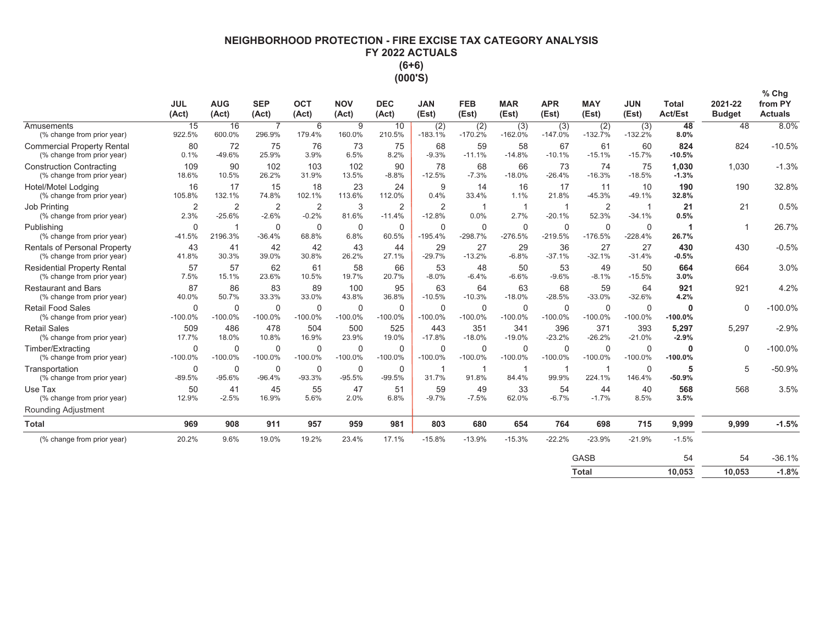# **NEIGHBORHOOD PROTECTION - FIRE EXCISE TAX CATEGORY ANALYSIS** FY 2022 ACTUALS  $(6+6)$ (000'S)

|                                                                   | <b>JUL</b><br>(Act)      | <b>AUG</b><br>(Act)        | <b>SEP</b><br>(Act)       | <b>OCT</b><br>(Act)      | <b>NOV</b><br>(Act)      | <b>DEC</b><br>(Act)       | <b>JAN</b><br>(Est)        | <b>FEB</b><br>(Est)   | <b>MAR</b><br>(Est)      | <b>APR</b><br>(Est)      | <b>MAY</b><br>(Est)      | <b>JUN</b><br>(Est)      | <b>Total</b><br><b>Act/Est</b> | 2021-22<br><b>Budget</b> | % Chg<br>from PY<br><b>Actuals</b> |
|-------------------------------------------------------------------|--------------------------|----------------------------|---------------------------|--------------------------|--------------------------|---------------------------|----------------------------|-----------------------|--------------------------|--------------------------|--------------------------|--------------------------|--------------------------------|--------------------------|------------------------------------|
| Amusements<br>(% change from prior year)                          | 15<br>922.5%             | 16<br>600.0%               | $\overline{7}$<br>296.9%  | 6<br>179.4%              | 9<br>160.0%              | 10<br>210.5%              | (2)<br>$-183.1%$           | (2)<br>$-170.2%$      | (3)<br>$-162.0%$         | (3)<br>$-147.0%$         | (2)<br>$-132.7%$         | (3)<br>$-132.2%$         | 48<br>8.0%                     | 48                       | 8.0%                               |
| <b>Commercial Property Rental</b><br>(% change from prior year)   | 80<br>0.1%               | 72<br>$-49.6%$             | 75<br>25.9%               | 76<br>3.9%               | 73<br>6.5%               | 75<br>8.2%                | 68<br>$-9.3%$              | 59<br>$-11.1%$        | 58<br>$-14.8%$           | 67<br>$-10.1%$           | 61<br>$-15.1%$           | 60<br>$-15.7%$           | 824<br>$-10.5%$                | 824                      | $-10.5%$                           |
| <b>Construction Contracting</b><br>(% change from prior year)     | 109<br>18.6%             | 90<br>10.5%                | 102<br>26.2%              | 103<br>31.9%             | 102<br>13.5%             | 90<br>$-8.8%$             | 78<br>$-12.5%$             | 68<br>$-7.3%$         | 66<br>$-18.0%$           | 73<br>$-26.4%$           | 74<br>$-16.3%$           | 75<br>$-18.5%$           | 1.030<br>$-1.3%$               | 1.030                    | $-1.3%$                            |
| Hotel/Motel Lodging<br>(% change from prior year)                 | 16<br>105.8%             | 17<br>132.1%               | 15<br>74.8%               | 18<br>102.1%             | 23<br>113.6%             | 24<br>112.0%              | 9<br>0.4%                  | 14<br>33.4%           | 16<br>1.1%               | 17<br>21.8%              | 11<br>$-45.3%$           | 10<br>$-49.1%$           | 190<br>32.8%                   | 190                      | 32.8%                              |
| Job Printing<br>(% change from prior year)                        | $\overline{2}$<br>2.3%   | $\overline{2}$<br>$-25.6%$ | $\overline{2}$<br>$-2.6%$ | 2<br>$-0.2%$             | 3<br>81.6%               | 2<br>$-11.4%$             | $\overline{2}$<br>$-12.8%$ | 1<br>0.0%             | -1<br>2.7%               | 1<br>$-20.1%$            | $\overline{2}$<br>52.3%  | $-34.1%$                 | 21<br>0.5%                     | 21                       | 0.5%                               |
| Publishing<br>(% change from prior year)                          | $\mathbf 0$<br>$-41.5%$  | f<br>2196.3%               | 0<br>$-36.4%$             | $\mathbf 0$<br>68.8%     | $\mathbf 0$<br>6.8%      | $\mathbf 0$<br>60.5%      | $\Omega$<br>$-195.4%$      | $\Omega$<br>$-298.7%$ | $\mathbf 0$<br>$-276.5%$ | $\mathbf 0$<br>$-219.5%$ | $\mathbf 0$<br>$-176.5%$ | $\mathbf 0$<br>$-228.4%$ | 26.7%                          |                          | 26.7%                              |
| <b>Rentals of Personal Property</b><br>(% change from prior year) | 43<br>41.8%              | 41<br>30.3%                | 42<br>39.0%               | 42<br>30.8%              | 43<br>26.2%              | 44<br>27.1%               | 29<br>$-29.7%$             | 27<br>$-13.2%$        | 29<br>$-6.8%$            | 36<br>$-37.1%$           | 27<br>$-32.1%$           | 27<br>$-31.4%$           | 430<br>$-0.5%$                 | 430                      | $-0.5%$                            |
| <b>Residential Property Rental</b><br>(% change from prior year)  | 57<br>7.5%               | 57<br>15.1%                | 62<br>23.6%               | 61<br>10.5%              | 58<br>19.7%              | 66<br>20.7%               | 53<br>$-8.0%$              | 48<br>$-6.4%$         | 50<br>$-6.6%$            | 53<br>$-9.6%$            | 49<br>$-8.1%$            | 50<br>$-15.5%$           | 664<br>3.0%                    | 664                      | 3.0%                               |
| <b>Restaurant and Bars</b><br>(% change from prior year)          | 87<br>40.0%              | 86<br>50.7%                | 83<br>33.3%               | 89<br>33.0%              | 100<br>43.8%             | 95<br>36.8%               | 63<br>$-10.5%$             | 64<br>$-10.3%$        | 63<br>$-18.0%$           | 68<br>$-28.5%$           | 59<br>$-33.0%$           | 64<br>$-32.6%$           | 921<br>4.2%                    | 921                      | 4.2%                               |
| <b>Retail Food Sales</b><br>(% change from prior year)            | $\mathbf 0$<br>$-100.0%$ | $\mathbf 0$<br>$-100.0%$   | 0<br>$-100.0%$            | $\mathbf 0$<br>$-100.0%$ | $\mathbf 0$<br>$-100.0%$ | $\mathbf 0$<br>$-100.0%$  | $\Omega$<br>$-100.0%$      | $\Omega$<br>$-100.0%$ | $\mathbf 0$<br>$-100.0%$ | $\mathbf 0$<br>$-100.0%$ | $\mathbf 0$<br>$-100.0%$ | $\mathbf 0$<br>$-100.0%$ | $\mathbf 0$<br>$-100.0%$       | $\mathbf 0$              | $-100.0%$                          |
| <b>Retail Sales</b><br>(% change from prior year)                 | 509<br>17.7%             | 486<br>18.0%               | 478<br>10.8%              | 504<br>16.9%             | 500<br>23.9%             | 525<br>19.0%              | 443<br>$-17.8%$            | 351<br>$-18.0%$       | 341<br>$-19.0%$          | 396<br>$-23.2%$          | 371<br>$-26.2%$          | 393<br>$-21.0%$          | 5,297<br>$-2.9%$               | 5.297                    | $-2.9%$                            |
| Timber/Extracting<br>(% change from prior year)                   | $\Omega$<br>$-100.0%$    | $\Omega$<br>$-100.0%$      | $\Omega$<br>$-100.0%$     | $\Omega$<br>$-100.0%$    | 0<br>$-100.0%$           | $\mathbf{0}$<br>$-100.0%$ | $\Omega$<br>$-100.0%$      | $\Omega$<br>$-100.0%$ | $\mathbf 0$<br>$-100.0%$ | 0<br>$-100.0%$           | $\Omega$<br>$-100.0%$    | $\mathbf 0$<br>$-100.0%$ | $\mathbf 0$<br>$-100.0%$       | $\Omega$                 | $-100.0%$                          |
| Transportation<br>(% change from prior year)                      | $\mathbf 0$<br>$-89.5%$  | 0<br>$-95.6%$              | 0<br>$-96.4%$             | $\mathbf 0$<br>$-93.3%$  | 0<br>$-95.5%$            | $\mathbf 0$<br>$-99.5%$   | -1<br>31.7%                | -1<br>91.8%           | -1<br>84.4%              | -1<br>99.9%              | -1<br>224.1%             | $\mathbf 0$<br>146.4%    | 5<br>$-50.9%$                  | 5                        | $-50.9%$                           |
| Use Tax<br>(% change from prior year)                             | 50<br>12.9%              | 41<br>$-2.5%$              | 45<br>16.9%               | 55<br>5.6%               | 47<br>2.0%               | 51<br>6.8%                | 59<br>$-9.7%$              | 49<br>$-7.5%$         | 33<br>62.0%              | 54<br>$-6.7%$            | 44<br>$-1.7%$            | 40<br>8.5%               | 568<br>3.5%                    | 568                      | 3.5%                               |
| Rounding Adjustment                                               |                          |                            |                           |                          |                          |                           |                            |                       |                          |                          |                          |                          |                                |                          |                                    |
| <b>Total</b>                                                      | 969                      | 908                        | 911                       | 957                      | 959                      | 981                       | 803                        | 680                   | 654                      | 764                      | 698                      | 715                      | 9,999                          | 9,999                    | $-1.5%$                            |
| (% change from prior year)                                        | 20.2%                    | 9.6%                       | 19.0%                     | 19.2%                    | 23.4%                    | 17.1%                     | $-15.8%$                   | $-13.9%$              | $-15.3%$                 | $-22.2%$                 | $-23.9%$                 | $-21.9%$                 | $-1.5%$                        |                          |                                    |
|                                                                   |                          |                            |                           |                          |                          |                           |                            |                       |                          |                          | <b>GASB</b>              |                          | 54                             | 54                       | $-36.1%$                           |
|                                                                   |                          |                            |                           |                          |                          |                           |                            |                       |                          |                          | <b>Total</b>             |                          | 10.053                         | 10.053                   | $-1.8%$                            |

| 10.053<br>10.053<br>Total |  |
|---------------------------|--|
|---------------------------|--|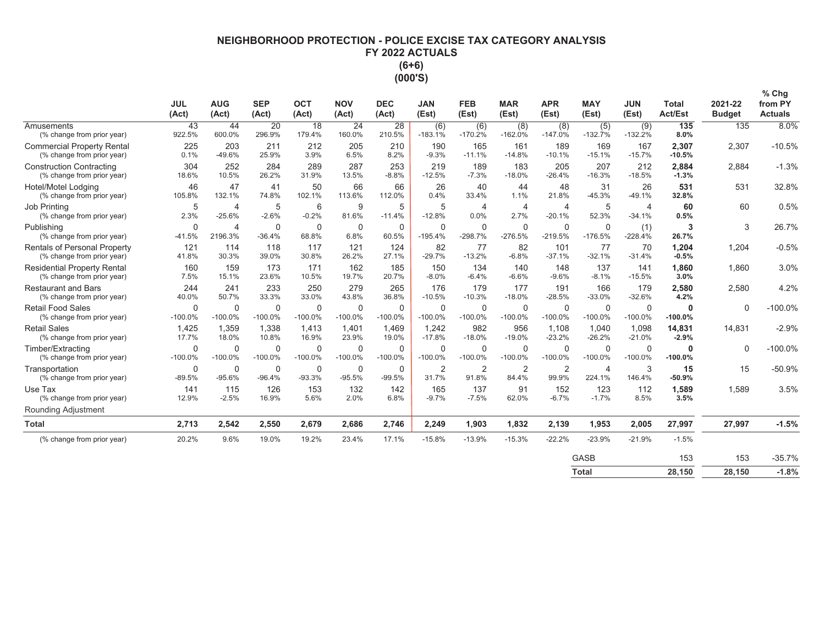# **NEIGHBORHOOD PROTECTION - POLICE EXCISE TAX CATEGORY ANALYSIS** FY 2022 ACTUALS  $(6+6)$ (000'S)

|                                                                   | <b>JUL</b><br>(Act)      | <b>AUG</b><br>(Act)       | <b>SEP</b><br>(Act)      | <b>OCT</b><br>(Act)      | <b>NOV</b><br>(Act)      | <b>DEC</b><br>(Act)   | <b>JAN</b><br>(Est)      | <b>FEB</b><br>(Est)      | <b>MAR</b><br>(Est)      | <b>APR</b><br>(Est)        | <b>MAY</b><br>(Est)       | <b>JUN</b><br>(Est)        | <b>Total</b><br><b>Act/Est</b> | 2021-22<br><b>Budget</b> | % Chg<br>from PY<br><b>Actuals</b> |
|-------------------------------------------------------------------|--------------------------|---------------------------|--------------------------|--------------------------|--------------------------|-----------------------|--------------------------|--------------------------|--------------------------|----------------------------|---------------------------|----------------------------|--------------------------------|--------------------------|------------------------------------|
| Amusements<br>(% change from prior year)                          | 43<br>922.5%             | 44<br>600.0%              | 20<br>296.9%             | 18<br>179.4%             | 24<br>160.0%             | 28<br>210.5%          | (6)<br>$-183.1%$         | (6)<br>$-170.2%$         | (8)<br>$-162.0%$         | (8)<br>$-147.0%$           | (5)<br>$-132.7%$          | (9)<br>$-132.2%$           | 135<br>8.0%                    | 135                      | 8.0%                               |
| <b>Commercial Property Rental</b><br>(% change from prior year)   | 225<br>0.1%              | 203<br>$-49.6%$           | 211<br>25.9%             | 212<br>3.9%              | 205<br>6.5%              | 210<br>8.2%           | 190<br>$-9.3%$           | 165<br>$-11.1%$          | 161<br>$-14.8%$          | 189<br>$-10.1%$            | 169<br>$-15.1%$           | 167<br>$-15.7%$            | 2,307<br>$-10.5%$              | 2,307                    | $-10.5%$                           |
| <b>Construction Contracting</b><br>(% change from prior year)     | 304<br>18.6%             | 252<br>10.5%              | 284<br>26.2%             | 289<br>31.9%             | 287<br>13.5%             | 253<br>$-8.8%$        | 219<br>$-12.5%$          | 189<br>$-7.3%$           | 183<br>$-18.0%$          | 205<br>$-26.4%$            | 207<br>$-16.3%$           | 212<br>$-18.5%$            | 2,884<br>$-1.3%$               | 2.884                    | $-1.3%$                            |
| Hotel/Motel Lodging<br>(% change from prior year)                 | 46<br>105.8%             | 47<br>132.1%              | 41<br>74.8%              | 50<br>102.1%             | 66<br>113.6%             | 66<br>112.0%          | 26<br>0.4%               | 40<br>33.4%              | 44<br>1.1%               | 48<br>21.8%                | 31<br>$-45.3%$            | 26<br>$-49.1%$             | 531<br>32.8%                   | 531                      | 32.8%                              |
| Job Printing<br>(% change from prior year)                        | 5<br>2.3%                | 4<br>$-25.6%$             | 5<br>$-2.6%$             | 6<br>$-0.2%$             | 9<br>81.6%               | 5<br>$-11.4%$         | 5<br>$-12.8%$            | 4<br>0.0%                | $\overline{4}$<br>2.7%   | $\overline{4}$<br>$-20.1%$ | 5<br>52.3%                | $\overline{4}$<br>$-34.1%$ | 60<br>0.5%                     | 60                       | 0.5%                               |
| Publishing<br>(% change from prior year)                          | $\mathbf 0$<br>$-41.5%$  | $\overline{4}$<br>2196.3% | $\mathbf 0$<br>$-36.4%$  | $\mathbf 0$<br>68.8%     | $\mathbf 0$<br>6.8%      | $\mathbf 0$<br>60.5%  | $\Omega$<br>$-195.4%$    | $\mathbf 0$<br>$-298.7%$ | $\mathbf 0$<br>$-276.5%$ | $\mathbf 0$<br>$-219.5%$   | $\mathbf 0$<br>$-176.5%$  | (1)<br>$-228.4%$           | 3<br>26.7%                     | 3                        | 26.7%                              |
| <b>Rentals of Personal Property</b><br>(% change from prior year) | 121<br>41.8%             | 114<br>30.3%              | 118<br>39.0%             | 117<br>30.8%             | 121<br>26.2%             | 124<br>27.1%          | 82<br>$-29.7%$           | 77<br>$-13.2%$           | 82<br>$-6.8%$            | 101<br>$-37.1%$            | 77<br>$-32.1%$            | 70<br>$-31.4%$             | 1.204<br>$-0.5%$               | 1.204                    | $-0.5%$                            |
| <b>Residential Property Rental</b><br>(% change from prior year)  | 160<br>7.5%              | 159<br>15.1%              | 173<br>23.6%             | 171<br>10.5%             | 162<br>19.7%             | 185<br>20.7%          | 150<br>$-8.0%$           | 134<br>$-6.4%$           | 140<br>$-6.6%$           | 148<br>$-9.6%$             | 137<br>$-8.1%$            | 141<br>$-15.5%$            | 1.860<br>3.0%                  | 1.860                    | 3.0%                               |
| <b>Restaurant and Bars</b><br>(% change from prior year)          | 244<br>40.0%             | 241<br>50.7%              | 233<br>33.3%             | 250<br>33.0%             | 279<br>43.8%             | 265<br>36.8%          | 176<br>$-10.5%$          | 179<br>$-10.3%$          | 177<br>$-18.0%$          | 191<br>$-28.5%$            | 166<br>$-33.0%$           | 179<br>$-32.6%$            | 2.580<br>4.2%                  | 2.580                    | 4.2%                               |
| <b>Retail Food Sales</b><br>(% change from prior year)            | $\mathbf 0$<br>$-100.0%$ | $\Omega$<br>$-100.0%$     | $\mathbf 0$<br>$-100.0%$ | $\mathbf 0$<br>$-100.0%$ | $\mathbf 0$<br>$-100.0%$ | $\Omega$<br>$-100.0%$ | $\mathbf 0$<br>$-100.0%$ | $\mathbf 0$<br>$-100.0%$ | $\mathbf 0$<br>$-100.0%$ | $\mathbf 0$<br>$-100.0%$   | $\mathbf 0$<br>$-100.0\%$ | $\mathbf 0$<br>$-100.0%$   | $\mathbf 0$<br>$-100.0%$       | $\Omega$                 | $-100.0%$                          |
| <b>Retail Sales</b><br>(% change from prior year)                 | 1.425<br>17.7%           | 1,359<br>18.0%            | 1.338<br>10.8%           | 1.413<br>16.9%           | 1.401<br>23.9%           | 1.469<br>19.0%        | 1.242<br>$-17.8%$        | 982<br>$-18.0%$          | 956<br>$-19.0%$          | 1.108<br>$-23.2%$          | 1.040<br>$-26.2%$         | 1.098<br>$-21.0%$          | 14,831<br>$-2.9%$              | 14.831                   | $-2.9%$                            |
| Timber/Extracting<br>(% change from prior year)                   | $\Omega$<br>$-100.0%$    | $\Omega$<br>$-100.0%$     | $\mathbf 0$<br>$-100.0%$ | $\mathbf 0$<br>$-100.0%$ | $\Omega$<br>$-100.0%$    | $\Omega$<br>$-100.0%$ | $\Omega$<br>$-100.0%$    | $\mathbf 0$<br>$-100.0%$ | 0<br>$-100.0%$           | $\Omega$<br>$-100.0%$      | $\Omega$<br>$-100.0%$     | $\mathbf 0$<br>$-100.0%$   | $\mathbf{0}$<br>$-100.0%$      | $\Omega$                 | $-100.0%$                          |
| Transportation<br>(% change from prior year)                      | 0<br>$-89.5%$            | 0<br>$-95.6%$             | $\mathbf 0$<br>$-96.4%$  | 0<br>$-93.3%$            | $\mathbf 0$<br>$-95.5%$  | $\Omega$<br>$-99.5%$  | $\overline{2}$<br>31.7%  | $\overline{2}$<br>91.8%  | 2<br>84.4%               | $\overline{2}$<br>99.9%    | $\overline{4}$<br>224.1%  | 3<br>146.4%                | 15<br>$-50.9%$                 | 15                       | $-50.9%$                           |
| Use Tax<br>(% change from prior year)                             | 141<br>12.9%             | 115<br>$-2.5%$            | 126<br>16.9%             | 153<br>5.6%              | 132<br>2.0%              | 142<br>6.8%           | 165<br>$-9.7%$           | 137<br>$-7.5%$           | 91<br>62.0%              | 152<br>$-6.7%$             | 123<br>$-1.7%$            | 112<br>8.5%                | 1,589<br>3.5%                  | 1,589                    | 3.5%                               |
| Rounding Adjustment                                               |                          |                           |                          |                          |                          |                       |                          |                          |                          |                            |                           |                            |                                |                          |                                    |
| <b>Total</b>                                                      | 2,713                    | 2,542                     | 2,550                    | 2,679                    | 2,686                    | 2,746                 | 2,249                    | 1,903                    | 1,832                    | 2,139                      | 1,953                     | 2,005                      | 27,997                         | 27,997                   | $-1.5%$                            |
| (% change from prior year)                                        | 20.2%                    | 9.6%                      | 19.0%                    | 19.2%                    | 23.4%                    | 17.1%                 | $-15.8%$                 | $-13.9%$                 | $-15.3%$                 | $-22.2%$                   | $-23.9%$                  | $-21.9%$                   | $-1.5%$                        |                          |                                    |
|                                                                   |                          |                           |                          |                          |                          |                       |                          |                          |                          |                            | <b>GASB</b>               |                            | 153                            | 153                      | $-35.7%$                           |
|                                                                   |                          |                           |                          |                          |                          |                       |                          |                          |                          |                            | <b>Total</b>              |                            | 28.150                         | 28.150                   | $-1.8%$                            |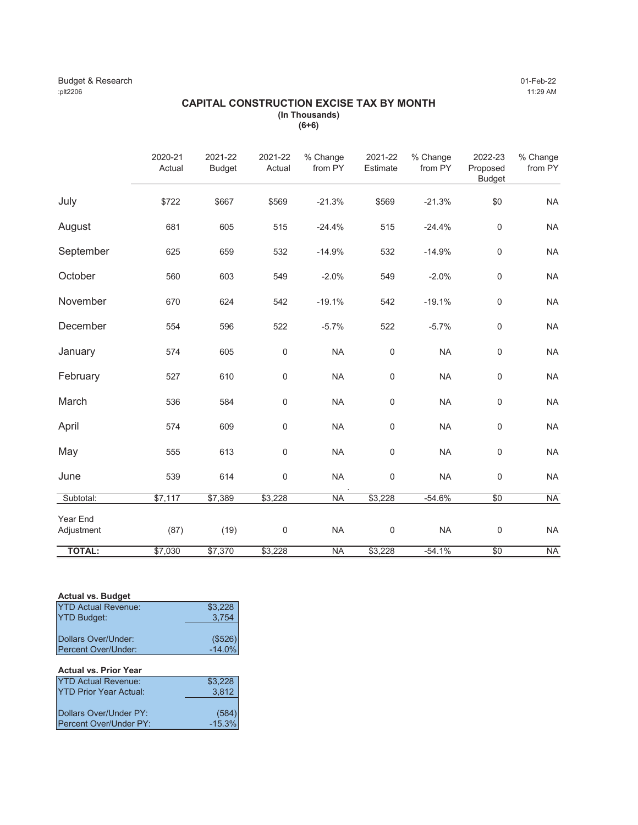### Budget & Research 01-Feb-22 :plt2206 11:29 AM

### **CAPITAL CONSTRUCTION EXCISE TAX BY MONTH (In Thousands) (6+6)**

|                        | 2020-21<br>Actual | 2021-22<br><b>Budget</b> | 2021-22<br>Actual | % Change<br>from PY | 2021-22<br>Estimate | % Change<br>from PY | 2022-23<br>Proposed<br><b>Budget</b> | % Change<br>from PY |
|------------------------|-------------------|--------------------------|-------------------|---------------------|---------------------|---------------------|--------------------------------------|---------------------|
| July                   | \$722             | \$667                    | \$569             | $-21.3%$            | \$569               | $-21.3%$            | \$0                                  | <b>NA</b>           |
| August                 | 681               | 605                      | 515               | $-24.4%$            | 515                 | $-24.4%$            | $\mathsf{O}\xspace$                  | <b>NA</b>           |
| September              | 625               | 659                      | 532               | $-14.9%$            | 532                 | $-14.9%$            | $\mathsf{O}\xspace$                  | <b>NA</b>           |
| October                | 560               | 603                      | 549               | $-2.0%$             | 549                 | $-2.0%$             | $\mathsf 0$                          | <b>NA</b>           |
| November               | 670               | 624                      | 542               | $-19.1%$            | 542                 | $-19.1%$            | $\mathsf 0$                          | <b>NA</b>           |
| December               | 554               | 596                      | 522               | $-5.7%$             | 522                 | $-5.7%$             | $\mathsf{O}\xspace$                  | <b>NA</b>           |
| January                | 574               | 605                      | $\mathbf 0$       | <b>NA</b>           | $\mathsf 0$         | <b>NA</b>           | $\mathsf{O}\xspace$                  | <b>NA</b>           |
| February               | 527               | 610                      | $\mathbf 0$       | <b>NA</b>           | $\mathsf 0$         | <b>NA</b>           | $\mathsf{O}\xspace$                  | <b>NA</b>           |
| March                  | 536               | 584                      | $\mathbf 0$       | <b>NA</b>           | $\mathsf 0$         | <b>NA</b>           | $\mathsf{O}\xspace$                  | <b>NA</b>           |
| April                  | 574               | 609                      | $\mathsf 0$       | <b>NA</b>           | $\mathsf 0$         | <b>NA</b>           | $\mathsf{O}\xspace$                  | <b>NA</b>           |
| May                    | 555               | 613                      | $\mathsf 0$       | <b>NA</b>           | $\mathsf 0$         | <b>NA</b>           | $\mathsf{O}\xspace$                  | <b>NA</b>           |
| June                   | 539               | 614                      | $\mathsf 0$       | <b>NA</b>           | $\mathsf 0$         | <b>NA</b>           | 0                                    | <b>NA</b>           |
| Subtotal:              | \$7,117           | \$7,389                  | \$3,228           | <b>NA</b>           | \$3,228             | $-54.6%$            | \$0                                  | <b>NA</b>           |
| Year End<br>Adjustment | (87)              | (19)                     | $\mathbf 0$       | <b>NA</b>           | $\mathsf 0$         | <b>NA</b>           | 0                                    | <b>NA</b>           |
| <b>TOTAL:</b>          | \$7,030           | \$7,370                  | \$3,228           | <b>NA</b>           | \$3,228             | $-54.1%$            | \$0                                  | <b>NA</b>           |

### **Actual vs. Budget**

| <b>YTD Actual Revenue:</b> | \$3,228            |
|----------------------------|--------------------|
| <b>YTD Budget:</b>         | 3,754              |
|                            |                    |
| Dollars Over/Under:        | $($526)$<br>-14.0% |
| Percent Over/Under:        |                    |
|                            |                    |
| Actual ve Drior Voar       |                    |

| <b>Actual VS. Prior Tear</b>  |          |
|-------------------------------|----------|
| <b>YTD Actual Revenue:</b>    | \$3,228  |
| <b>YTD Prior Year Actual:</b> | 3,812    |
|                               |          |
| Dollars Over/Under PY:        | (584)    |
| Percent Over/Under PY:        | $-15.3%$ |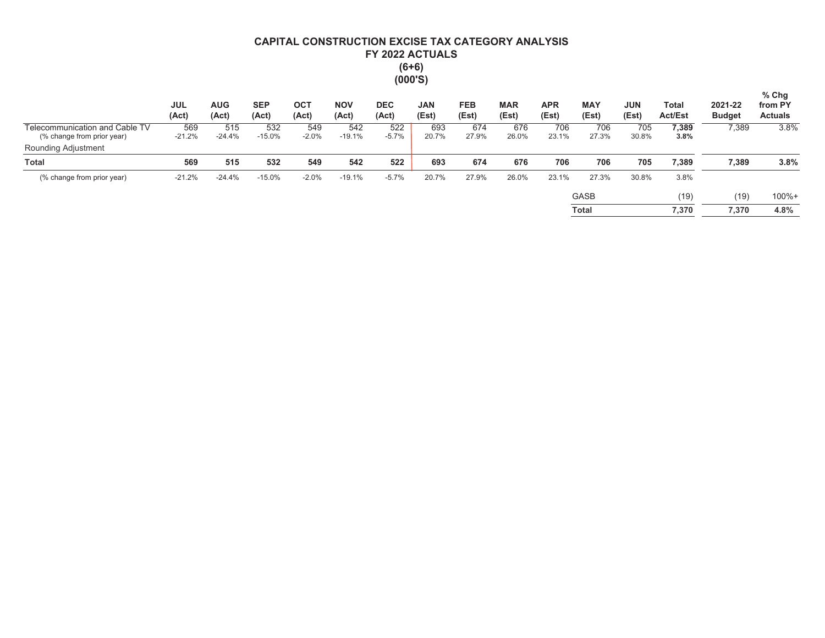# CAPITAL CONSTRUCTION EXCISE TAX CATEGORY ANALYSIS FY 2022 ACTUALS  $(6+6)$ <br> $(000'S)$

|                                                              | <b>JUL</b><br>(Act) | <b>AUG</b><br>(Act) | <b>SEP</b><br>(Act) | ОСТ<br>(Act)   | <b>NOV</b><br>(Act) | <b>DEC</b><br>(Act) | <b>JAN</b><br>(Est) | <b>FEB</b><br>(Est) | <b>MAR</b><br>(Est) | <b>APR</b><br>(Est) | <b>MAY</b><br>(Est) | <b>JUN</b><br>(Est) | Total<br><b>Act/Est</b> | 2021-22<br><b>Budget</b> | $%$ Chg<br>from PY<br><b>Actuals</b> |
|--------------------------------------------------------------|---------------------|---------------------|---------------------|----------------|---------------------|---------------------|---------------------|---------------------|---------------------|---------------------|---------------------|---------------------|-------------------------|--------------------------|--------------------------------------|
| Telecommunication and Cable TV<br>(% change from prior year) | 569<br>$-21.2%$     | 515<br>$-24.4%$     | 532<br>$-15.0%$     | 549<br>$-2.0%$ | 542<br>$-19.1%$     | 522<br>$-5.7%$      | 693<br>20.7%        | 674<br>27.9%        | 676<br>26.0%        | 706<br>23.1%        | 706<br>27.3%        | 705<br>30.8%        | 7,389<br>3.8%           | 7,389                    | 3.8%                                 |
| Rounding Adjustment                                          |                     |                     |                     |                |                     |                     |                     |                     |                     |                     |                     |                     |                         |                          |                                      |
| <b>Total</b>                                                 | 569                 | 515                 | 532                 | 549            | 542                 | 522                 | 693                 | 674                 | 676                 | 706                 | 706                 | 705                 | 7,389                   | 7,389                    | 3.8%                                 |
| (% change from prior year)                                   | $-21.2%$            | $-24.4%$            | $-15.0%$            | $-2.0%$        | $-19.1%$            | $-5.7%$             | 20.7%               | 27.9%               | 26.0%               | 23.1%               | 27.3%               | 30.8%               | 3.8%                    |                          |                                      |
|                                                              |                     |                     |                     |                |                     |                     |                     |                     |                     |                     | <b>GASB</b>         |                     | (19)                    | (19)                     | $100% +$                             |
|                                                              |                     |                     |                     |                |                     |                     |                     |                     |                     |                     | <b>Total</b>        |                     | 7,370                   | 7,370                    | 4.8%                                 |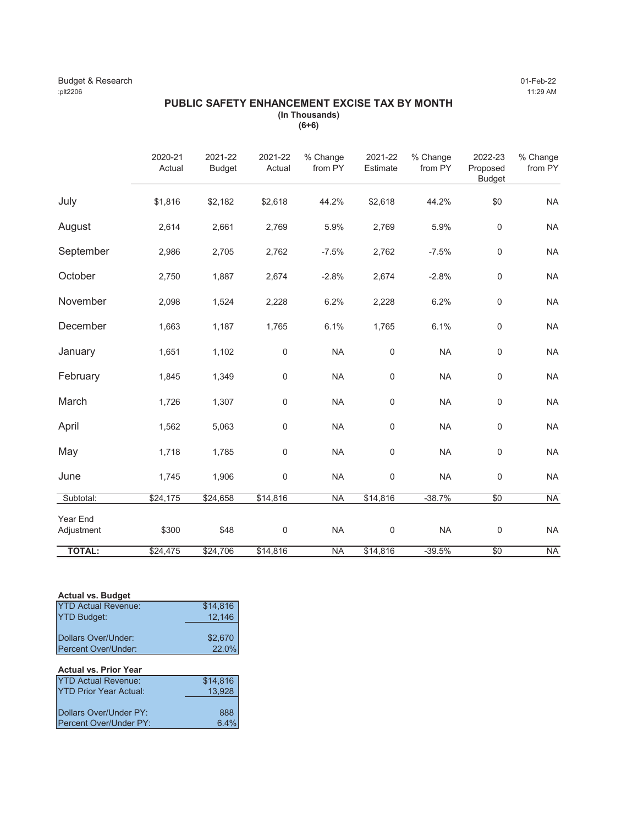### Budget & Research 01-Feb-22 :plt2206 11:29 AM

# **PUBLIC SAFETY ENHANCEMENT EXCISE TAX BY MONTH (In Thousands)**

**(6+6)**

|                        | 2020-21<br>Actual | 2021-22<br><b>Budget</b> | 2021-22<br>Actual   | % Change<br>from PY | 2021-22<br>Estimate | % Change<br>from PY | 2022-23<br>Proposed<br><b>Budget</b> | % Change<br>from PY |
|------------------------|-------------------|--------------------------|---------------------|---------------------|---------------------|---------------------|--------------------------------------|---------------------|
| July                   | \$1,816           | \$2,182                  | \$2,618             | 44.2%               | \$2,618             | 44.2%               | \$0                                  | <b>NA</b>           |
| August                 | 2,614             | 2,661                    | 2,769               | 5.9%                | 2,769               | 5.9%                | $\mathbf 0$                          | <b>NA</b>           |
| September              | 2,986             | 2,705                    | 2,762               | $-7.5%$             | 2,762               | $-7.5%$             | $\mathsf 0$                          | <b>NA</b>           |
| October                | 2,750             | 1,887                    | 2,674               | $-2.8%$             | 2,674               | $-2.8%$             | $\mathsf 0$                          | <b>NA</b>           |
| November               | 2,098             | 1,524                    | 2,228               | 6.2%                | 2,228               | 6.2%                | $\mathsf 0$                          | <b>NA</b>           |
| December               | 1,663             | 1,187                    | 1,765               | 6.1%                | 1,765               | 6.1%                | $\mathbf 0$                          | <b>NA</b>           |
| January                | 1,651             | 1,102                    | $\mathbf 0$         | <b>NA</b>           | 0                   | <b>NA</b>           | $\mathbf 0$                          | <b>NA</b>           |
| February               | 1,845             | 1,349                    | $\mathsf 0$         | <b>NA</b>           | 0                   | <b>NA</b>           | $\mathbf 0$                          | <b>NA</b>           |
| March                  | 1,726             | 1,307                    | $\mathbf 0$         | <b>NA</b>           | $\boldsymbol{0}$    | <b>NA</b>           | $\mathbf 0$                          | <b>NA</b>           |
| April                  | 1,562             | 5,063                    | $\mathsf{O}\xspace$ | <b>NA</b>           | 0                   | <b>NA</b>           | $\mathsf 0$                          | <b>NA</b>           |
| May                    | 1,718             | 1,785                    | $\mathbf 0$         | <b>NA</b>           | 0                   | <b>NA</b>           | $\mathbf 0$                          | <b>NA</b>           |
| June                   | 1,745             | 1,906                    | $\mathbf 0$         | <b>NA</b>           | $\boldsymbol{0}$    | <b>NA</b>           | $\mathsf 0$                          | <b>NA</b>           |
| Subtotal:              | \$24,175          | \$24,658                 | \$14,816            | <b>NA</b>           | \$14,816            | $-38.7%$            | $\overline{50}$                      | <b>NA</b>           |
| Year End<br>Adjustment | \$300             | \$48                     | $\mathsf 0$         | <b>NA</b>           | $\mathsf 0$         | <b>NA</b>           | $\mathsf 0$                          | <b>NA</b>           |
| <b>TOTAL:</b>          | \$24,475          | \$24,706                 | \$14,816            | <b>NA</b>           | \$14,816            | $-39.5%$            | \$0                                  | <b>NA</b>           |

### **Actual vs. Budget**

| Avluur vol Duuyot             |          |
|-------------------------------|----------|
| <b>YTD Actual Revenue:</b>    | \$14,816 |
| <b>YTD Budget:</b>            | 12,146   |
|                               |          |
| Dollars Over/Under:           | \$2,670  |
| Percent Over/Under:           | 22.0%    |
|                               |          |
| <b>Actual vs. Prior Year</b>  |          |
| <b>YTD Actual Revenue:</b>    | \$14,816 |
| <b>YTD Prior Year Actual:</b> | 13,928   |
|                               |          |

| Dollars Over/Under PY: | 888  |
|------------------------|------|
| Percent Over/Under PY: | 6.4% |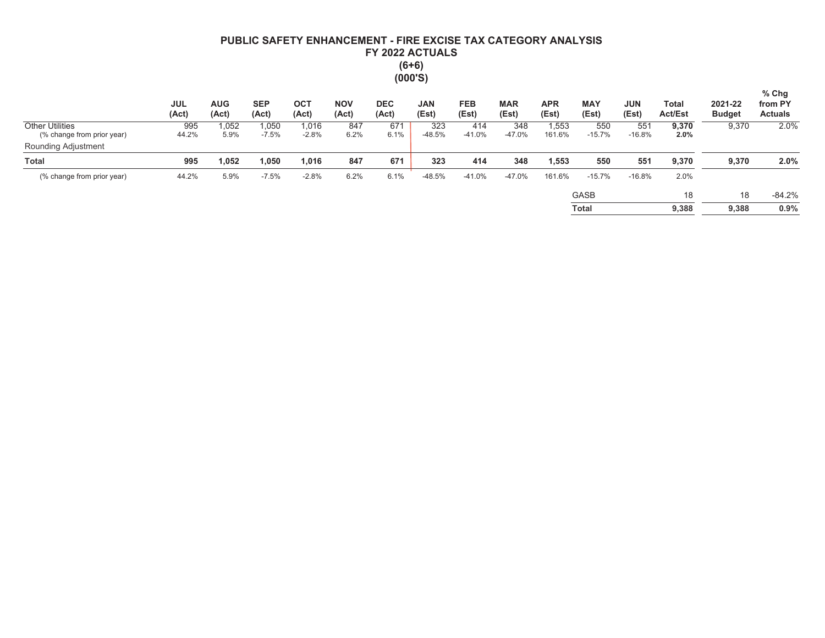# PUBLIC SAFETY ENHANCEMENT - FIRE EXCISE TAX CATEGORY ANALYSIS FY 2022 ACTUALS  $(6+6)$  $(000'S)$

|                                                      | <b>JUL</b><br>(Act) | <b>AUG</b><br>(Act) | <b>SEP</b><br>(Act) | OC <sub>1</sub><br>(Act) | <b>NOV</b><br>(Act) | <b>DEC</b><br>(Act) | <b>JAN</b><br>(Est) | <b>FEB</b><br>(Est) | <b>MAR</b><br>(Est) | <b>APR</b><br>(Est) | <b>MAY</b><br>(Est) | <b>JUN</b><br>(Est) | Total<br><b>Act/Est</b> | 2021-22<br><b>Budget</b> | $%$ Chg<br>from PY<br><b>Actuals</b> |
|------------------------------------------------------|---------------------|---------------------|---------------------|--------------------------|---------------------|---------------------|---------------------|---------------------|---------------------|---------------------|---------------------|---------------------|-------------------------|--------------------------|--------------------------------------|
| <b>Other Utilities</b><br>(% change from prior year) | 995<br>44.2%        | ,052<br>5.9%        | .050<br>$-7.5%$     | 1,016<br>$-2.8%$         | 847<br>6.2%         | 671<br>6.1%         | 323<br>$-48.5%$     | 414<br>$-41.0%$     | 348<br>$-47.0%$     | .553<br>161.6%      | 550<br>$-15.7%$     | 551<br>$-16.8%$     | 9,370<br>2.0%           | 9,370                    | 2.0%                                 |
| Rounding Adjustment                                  |                     |                     |                     |                          |                     |                     |                     |                     |                     |                     |                     |                     |                         |                          |                                      |
| <b>Total</b>                                         | 995                 | 1,052               | .050                | 1,016                    | 847                 | 671                 | 323                 | 414                 | 348                 | 1.553               | 550                 | 551                 | 9,370                   | 9,370                    | 2.0%                                 |
| (% change from prior year)                           | 44.2%               | 5.9%                | $-7.5%$             | $-2.8%$                  | 6.2%                | 6.1%                | $-48.5%$            | $-41.0%$            | $-47.0%$            | 161.6%              | $-15.7%$            | $-16.8%$            | 2.0%                    |                          |                                      |
|                                                      |                     |                     |                     |                          |                     |                     |                     |                     |                     |                     | <b>GASB</b>         |                     | 18                      | 18                       | $-84.2%$                             |
|                                                      |                     |                     |                     |                          |                     |                     |                     |                     |                     |                     | Total               |                     | 9,388                   | 9.388                    | 0.9%                                 |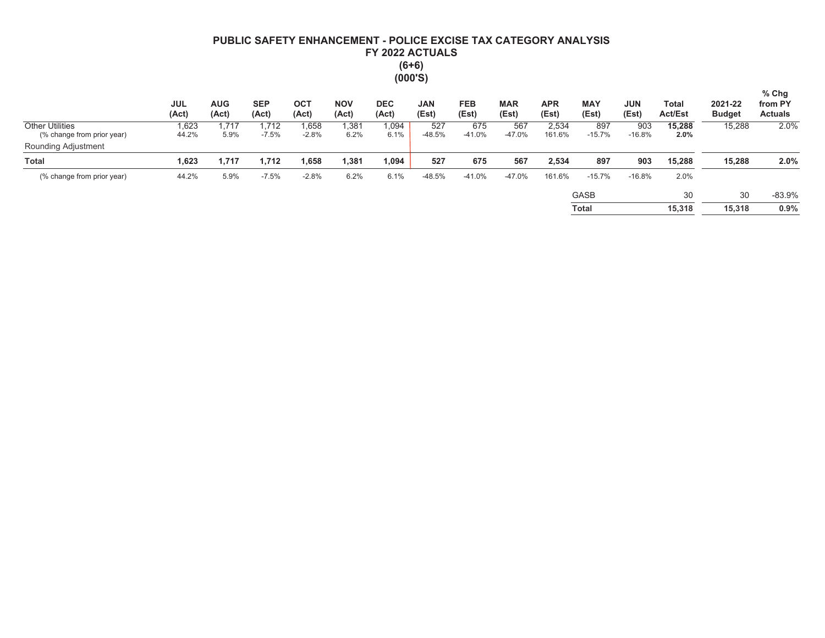# PUBLIC SAFETY ENHANCEMENT - POLICE EXCISE TAX CATEGORY ANALYSIS FY 2022 ACTUALS  $(6+6)$  $(000'S)$

|                                                      | <b>JUL</b><br>(Act) | <b>AUG</b><br>(Act) | <b>SEP</b><br>(Act) | <b>OCT</b><br>(Act) | <b>NOV</b><br>(Act) | <b>DEC</b><br>(Act) | <b>JAN</b><br>(Est) | <b>FEB</b><br>(Est) | <b>MAR</b><br>(Est) | <b>APR</b><br>(Est) | <b>MAY</b><br>(Est) | <b>JUN</b><br>(Est) | Total<br><b>Act/Est</b> | 2021-22<br><b>Budget</b> | $%$ Chg<br>from PY<br><b>Actuals</b> |
|------------------------------------------------------|---------------------|---------------------|---------------------|---------------------|---------------------|---------------------|---------------------|---------------------|---------------------|---------------------|---------------------|---------------------|-------------------------|--------------------------|--------------------------------------|
| <b>Other Utilities</b><br>(% change from prior year) | 1,623<br>44.2%      | .717<br>5.9%        | 1.712<br>$-7.5%$    | 1,658<br>$-2.8%$    | 1,381<br>6.2%       | 1,094<br>6.1%       | 527<br>$-48.5%$     | 675<br>$-41.0%$     | 567<br>$-47.0%$     | 2,534<br>161.6%     | 897<br>$-15.7%$     | 903<br>$-16.8%$     | 15,288<br>2.0%          | 15,288                   | 2.0%                                 |
| Rounding Adjustment                                  |                     |                     |                     |                     |                     |                     |                     |                     |                     |                     |                     |                     |                         |                          |                                      |
| <b>Total</b>                                         | 1,623               | 717،                | 1,712               | 1,658               | 381,ا               | 1,094               | 527                 | 675                 | 567                 | 2,534               | 897                 | 903                 | 15,288                  | 15,288                   | 2.0%                                 |
| (% change from prior year)                           | 44.2%               | 5.9%                | $-7.5%$             | $-2.8%$             | 6.2%                | 6.1%                | $-48.5%$            | $-41.0%$            | $-47.0%$            | 161.6%              | $-15.7%$            | $-16.8%$            | 2.0%                    |                          |                                      |
|                                                      |                     |                     |                     |                     |                     |                     |                     |                     |                     |                     | <b>GASB</b>         |                     | 30                      | 30                       | $-83.9%$                             |
|                                                      |                     |                     |                     |                     |                     |                     |                     |                     |                     |                     | <b>Total</b>        |                     | 15,318                  | 15,318                   | 0.9%                                 |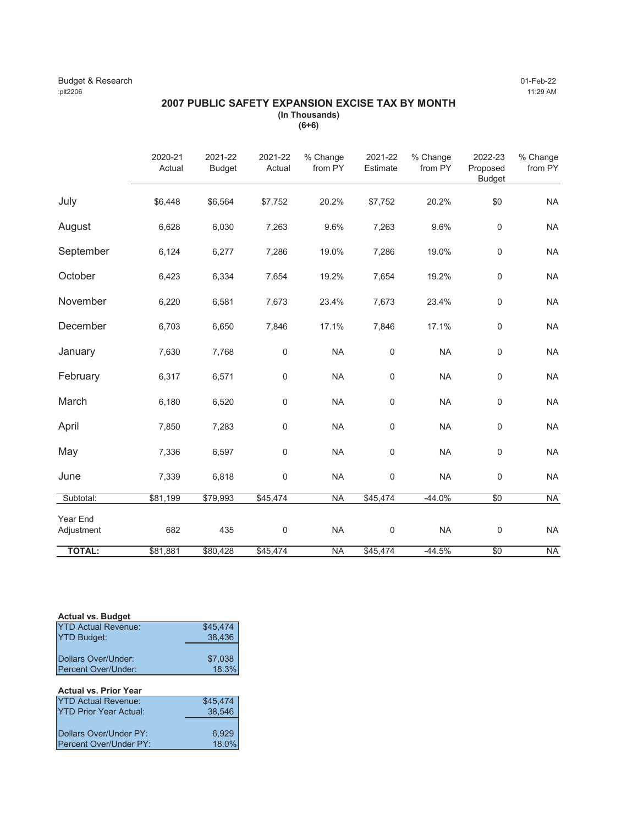### Budget & Research 01-Feb-22 :plt2206 11:29 AM

### **2007 PUBLIC SAFETY EXPANSION EXCISE TAX BY MONTH (In Thousands) (6+6)**

|                        | 2020-21<br>Actual | 2021-22<br><b>Budget</b> | 2021-22<br>Actual | % Change<br>from PY | 2021-22<br>Estimate | % Change<br>from PY | 2022-23<br>Proposed<br><b>Budget</b> | % Change<br>from PY |
|------------------------|-------------------|--------------------------|-------------------|---------------------|---------------------|---------------------|--------------------------------------|---------------------|
| July                   | \$6,448           | \$6,564                  | \$7,752           | 20.2%               | \$7,752             | 20.2%               | \$0                                  | <b>NA</b>           |
| August                 | 6,628             | 6,030                    | 7,263             | 9.6%                | 7,263               | 9.6%                | $\mathbf 0$                          | <b>NA</b>           |
| September              | 6,124             | 6,277                    | 7,286             | 19.0%               | 7,286               | 19.0%               | $\mathsf 0$                          | <b>NA</b>           |
| October                | 6,423             | 6,334                    | 7,654             | 19.2%               | 7,654               | 19.2%               | $\mathsf 0$                          | <b>NA</b>           |
| November               | 6,220             | 6,581                    | 7,673             | 23.4%               | 7,673               | 23.4%               | $\mathsf 0$                          | <b>NA</b>           |
| December               | 6,703             | 6,650                    | 7,846             | 17.1%               | 7,846               | 17.1%               | $\mathbf 0$                          | <b>NA</b>           |
| January                | 7,630             | 7,768                    | 0                 | <b>NA</b>           | $\mathsf{O}\xspace$ | <b>NA</b>           | $\mathsf{O}\xspace$                  | <b>NA</b>           |
| February               | 6,317             | 6,571                    | 0                 | <b>NA</b>           | $\mathsf{O}\xspace$ | <b>NA</b>           | $\mathsf 0$                          | <b>NA</b>           |
| March                  | 6,180             | 6,520                    | 0                 | <b>NA</b>           | $\mathbf 0$         | <b>NA</b>           | $\mathsf 0$                          | <b>NA</b>           |
| April                  | 7,850             | 7,283                    | 0                 | <b>NA</b>           | 0                   | <b>NA</b>           | $\mathbf 0$                          | <b>NA</b>           |
| May                    | 7,336             | 6,597                    | 0                 | <b>NA</b>           | 0                   | <b>NA</b>           | $\mathsf 0$                          | <b>NA</b>           |
| June                   | 7,339             | 6,818                    | 0                 | <b>NA</b>           | 0                   | <b>NA</b>           | $\mathbf 0$                          | <b>NA</b>           |
| Subtotal:              | \$81,199          | \$79,993                 | \$45,474          | <b>NA</b>           | \$45,474            | $-44.0%$            | $\sqrt{6}$                           | <b>NA</b>           |
| Year End<br>Adjustment | 682               | 435                      | $\mathbf 0$       | <b>NA</b>           | $\mathbf 0$         | <b>NA</b>           | $\mathsf 0$                          | <b>NA</b>           |
| <b>TOTAL:</b>          | \$81,881          | \$80,428                 | \$45,474          | <b>NA</b>           | \$45,474            | $-44.5%$            | $\sqrt{6}$                           | <b>NA</b>           |

### **Actual vs. Budget**

| <b>YTD Actual Revenue:</b>  | \$45,474 |
|-----------------------------|----------|
| <b>YTD Budget:</b>          | 38,436   |
|                             |          |
| <b>IDollars Over/Under:</b> | \$7.038  |
| <b>IPercent Over/Under:</b> | 18.3%    |

| <b>Actual vs. Prior Year</b>  |          |
|-------------------------------|----------|
| <b>YTD Actual Revenue:</b>    | \$45.474 |
| <b>YTD Prior Year Actual:</b> | 38.546   |
|                               |          |
| Dollars Over/Under PY:        | 6.929    |
| Percent Over/Under PY:        | 18.0%    |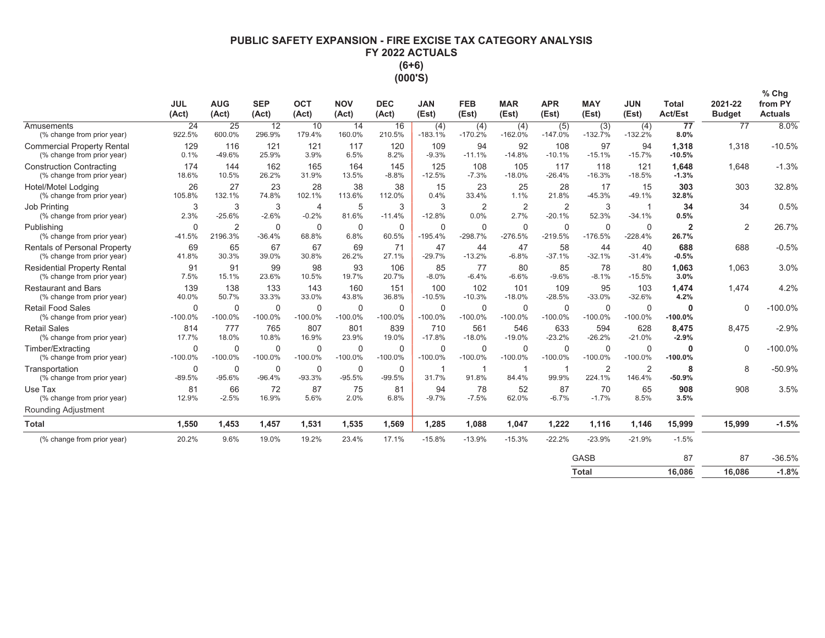### PUBLIC SAFETY EXPANSION - FIRE EXCISE TAX CATEGORY ANALYSIS FY 2022 ACTUALS  $(6+6)$ (000'S)

|                                                                     | <b>JUL</b><br>(Act)      | <b>AUG</b><br>(Act)       | <b>SEP</b><br>(Act)   | <b>OCT</b><br>(Act)       | <b>NOV</b><br>(Act)     | <b>DEC</b><br>(Act)      | <b>JAN</b><br>(Est)      | <b>FEB</b><br>(Est)    | <b>MAR</b><br>(Est)    | <b>APR</b><br>(Est)        | <b>MAY</b><br>(Est)      | <b>JUN</b><br>(Est)      | <b>Total</b><br><b>Act/Est</b> | 2021-22<br><b>Budget</b> | $%$ Chg<br>from PY<br><b>Actuals</b> |
|---------------------------------------------------------------------|--------------------------|---------------------------|-----------------------|---------------------------|-------------------------|--------------------------|--------------------------|------------------------|------------------------|----------------------------|--------------------------|--------------------------|--------------------------------|--------------------------|--------------------------------------|
| Amusements<br>(% change from prior year)                            | 24<br>922.5%             | 25<br>600.0%              | 12<br>296.9%          | 10<br>179.4%              | 14<br>160.0%            | 16<br>210.5%             | (4)<br>$-183.1%$         | (4)<br>$-170.2%$       | (4)<br>$-162.0%$       | (5)<br>$-147.0%$           | (3)<br>$-132.7%$         | (4)<br>$-132.2%$         | 77<br>8.0%                     | 77                       | 8.0%                                 |
| <b>Commercial Property Rental</b><br>(% change from prior year)     | 129<br>0.1%              | 116<br>-49.6%             | 121<br>25.9%          | 121<br>3.9%               | 117<br>6.5%             | 120<br>8.2%              | 109<br>$-9.3%$           | 94<br>$-11.1%$         | 92<br>$-14.8%$         | 108<br>$-10.1%$            | 97<br>$-15.1%$           | 94<br>$-15.7%$           | 1,318<br>$-10.5%$              | 1,318                    | $-10.5%$                             |
| <b>Construction Contracting</b><br>(% change from prior year)       | 174<br>18.6%             | 144<br>10.5%              | 162<br>26.2%          | 165<br>31.9%              | 164<br>13.5%            | 145<br>$-8.8%$           | 125<br>$-12.5%$          | 108<br>$-7.3%$         | 105<br>$-18.0%$        | 117<br>$-26.4%$            | 118<br>$-16.3%$          | 121<br>$-18.5%$          | 1.648<br>$-1.3%$               | 1.648                    | $-1.3%$                              |
| Hotel/Motel Lodging<br>(% change from prior year)                   | 26<br>105.8%             | 27<br>132.1%              | 23<br>74.8%           | 28<br>102.1%              | 38<br>113.6%            | 38<br>112.0%             | 15<br>0.4%               | 23<br>33.4%            | 25<br>1.1%             | 28<br>21.8%                | 17<br>$-45.3%$           | 15<br>$-49.1%$           | 303<br>32.8%                   | 303                      | 32.8%                                |
| Job Printing<br>(% change from prior year)                          | 3<br>2.3%                | 3<br>$-25.6%$             | 3<br>$-2.6%$          | $\overline{4}$<br>$-0.2%$ | 5<br>81.6%              | 3<br>$-11.4%$            | 3<br>$-12.8%$            | $\overline{2}$<br>0.0% | $\overline{2}$<br>2.7% | $\overline{2}$<br>$-20.1%$ | 3<br>52.3%               | -1<br>$-34.1%$           | 34<br>0.5%                     | 34                       | 0.5%                                 |
| Publishing<br>(% change from prior year)                            | $\mathbf 0$<br>$-41.5%$  | $\overline{2}$<br>2196.3% | 0<br>$-36.4%$         | $\mathbf 0$<br>68.8%      | $\mathbf 0$<br>6.8%     | $\mathbf 0$<br>60.5%     | $\mathbf 0$<br>$-195.4%$ | $\Omega$<br>$-298.7%$  | 0<br>$-276.5%$         | $\mathbf 0$<br>$-219.5%$   | $\mathbf 0$<br>$-176.5%$ | $\mathbf 0$<br>$-228.4%$ | $\overline{2}$<br>26.7%        | $\overline{2}$           | 26.7%                                |
| <b>Rentals of Personal Property</b><br>(% change from prior year)   | 69<br>41.8%              | 65<br>30.3%               | 67<br>39.0%           | 67<br>30.8%               | 69<br>26.2%             | 71<br>27.1%              | 47<br>$-29.7%$           | 44<br>$-13.2%$         | 47<br>$-6.8%$          | 58<br>$-37.1%$             | 44<br>$-32.1%$           | 40<br>$-31.4%$           | 688<br>$-0.5%$                 | 688                      | $-0.5%$                              |
| <b>Residential Property Rental</b><br>(% change from prior year)    | 91<br>7.5%               | 91<br>15.1%               | 99<br>23.6%           | 98<br>10.5%               | 93<br>19.7%             | 106<br>20.7%             | 85<br>$-8.0%$            | 77<br>$-6.4%$          | 80<br>$-6.6%$          | 85<br>$-9.6%$              | 78<br>$-8.1%$            | 80<br>$-15.5%$           | 1,063<br>3.0%                  | 1,063                    | 3.0%                                 |
| <b>Restaurant and Bars</b><br>(% change from prior year)            | 139<br>40.0%             | 138<br>50.7%              | 133<br>33.3%          | 143<br>33.0%              | 160<br>43.8%            | 151<br>36.8%             | 100<br>$-10.5%$          | 102<br>$-10.3%$        | 101<br>$-18.0%$        | 109<br>$-28.5%$            | 95<br>$-33.0%$           | 103<br>$-32.6%$          | 1,474<br>4.2%                  | 1.474                    | 4.2%                                 |
| <b>Retail Food Sales</b><br>(% change from prior year)              | $\Omega$<br>$-100.0%$    | $\Omega$<br>$-100.0%$     | $\Omega$<br>$-100.0%$ | $\Omega$<br>$-100.0%$     | $\Omega$<br>$-100.0%$   | $\mathbf 0$<br>$-100.0%$ | $\mathbf 0$<br>$-100.0%$ | $\Omega$<br>$-100.0%$  | $\Omega$<br>$-100.0%$  | 0<br>$-100.0%$             | $\mathbf 0$<br>$-100.0%$ | $\Omega$<br>$-100.0%$    | 0<br>$-100.0%$                 | $\Omega$                 | $-100.0%$                            |
| <b>Retail Sales</b><br>(% change from prior year)                   | 814<br>17.7%             | 777<br>18.0%              | 765<br>10.8%          | 807<br>16.9%              | 801<br>23.9%            | 839<br>19.0%             | 710<br>$-17.8%$          | 561<br>$-18.0%$        | 546<br>$-19.0%$        | 633<br>$-23.2%$            | 594<br>$-26.2%$          | 628<br>$-21.0%$          | 8.475<br>$-2.9%$               | 8.475                    | $-2.9%$                              |
| Timber/Extracting<br>(% change from prior year)                     | $\mathbf 0$<br>$-100.0%$ | $\mathbf 0$<br>$-100.0%$  | $\Omega$<br>$-100.0%$ | $\Omega$<br>$-100.0%$     | $\Omega$<br>$-100.0%$   | $\Omega$<br>$-100.0%$    | $\Omega$<br>$-100.0%$    | $\Omega$<br>$-100.0%$  | $\Omega$<br>$-100.0%$  | $\mathbf 0$<br>$-100.0%$   | $\mathbf 0$<br>$-100.0%$ | $\Omega$<br>$-100.0%$    | O<br>$-100.0%$                 | $\Omega$                 | $-100.0%$                            |
| Transportation<br>(% change from prior year)                        | $\mathbf 0$<br>$-89.5%$  | $\mathbf 0$<br>$-95.6%$   | 0<br>$-96.4%$         | $\mathbf 0$<br>$-93.3%$   | $\mathbf 0$<br>$-95.5%$ | $\mathbf 0$<br>$-99.5%$  | 31.7%                    | 91.8%                  | 84.4%                  | 99.9%                      | $\overline{2}$<br>224.1% | $\overline{2}$<br>146.4% | 8<br>$-50.9%$                  | 8                        | $-50.9%$                             |
| Use Tax<br>(% change from prior year)<br><b>Rounding Adjustment</b> | 81<br>12.9%              | 66<br>$-2.5%$             | 72<br>16.9%           | 87<br>5.6%                | 75<br>2.0%              | 81<br>6.8%               | 94<br>$-9.7%$            | 78<br>$-7.5%$          | 52<br>62.0%            | 87<br>$-6.7%$              | 70<br>$-1.7%$            | 65<br>8.5%               | 908<br>3.5%                    | 908                      | 3.5%                                 |
| <b>Total</b>                                                        | 1,550                    | 1,453                     | 1,457                 | 1,531                     | 1,535                   | 1,569                    | 1,285                    | 1,088                  | 1,047                  | 1,222                      | 1,116                    | 1,146                    | 15,999                         | 15,999                   | $-1.5%$                              |
| (% change from prior year)                                          | 20.2%                    | 9.6%                      | 19.0%                 | 19.2%                     | 23.4%                   | 17.1%                    | $-15.8%$                 | $-13.9%$               | $-15.3%$               | $-22.2%$                   | $-23.9%$                 | $-21.9%$                 | $-1.5%$                        |                          |                                      |
|                                                                     |                          |                           |                       |                           |                         |                          |                          |                        |                        |                            | <b>GASB</b>              |                          | 87                             | 87                       | $-36.5%$                             |
|                                                                     |                          |                           |                       |                           |                         |                          |                          |                        |                        |                            | <b>Total</b>             |                          | 16.086                         | 16.086                   | $-1.8%$                              |

| Total | 16,086 | 16,086 | 8. ا |
|-------|--------|--------|------|
|       |        |        |      |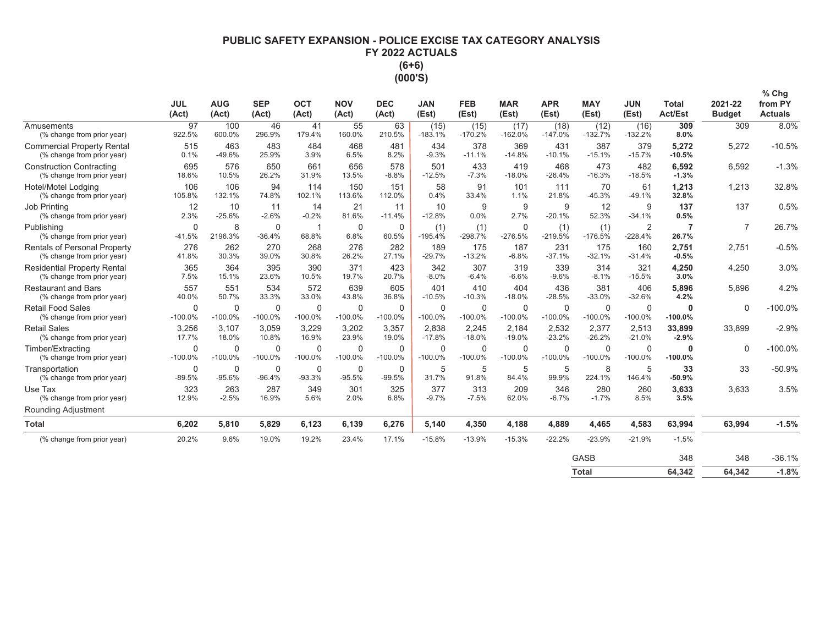# **PUBLIC SAFETY EXPANSION - POLICE EXCISE TAX CATEGORY ANALYSIS** FY 2022 ACTUALS  $(6+6)$ (000'S)

|                                                                   | <b>JUL</b><br>(Act)      | <b>AUG</b><br>(Act)      | <b>SEP</b><br>(Act)   | <b>OCT</b><br>(Act)      | <b>NOV</b><br>(Act)     | <b>DEC</b><br>(Act)      | <b>JAN</b><br>(Est)   | <b>FEB</b><br>(Est)      | <b>MAR</b><br>(Est)       | <b>APR</b><br>(Est)   | <b>MAY</b><br>(Est)      | <b>JUN</b><br>(Est)         | <b>Total</b><br><b>Act/Est</b> | 2021-22<br><b>Budget</b> | $%$ Chg<br>from PY<br><b>Actuals</b> |
|-------------------------------------------------------------------|--------------------------|--------------------------|-----------------------|--------------------------|-------------------------|--------------------------|-----------------------|--------------------------|---------------------------|-----------------------|--------------------------|-----------------------------|--------------------------------|--------------------------|--------------------------------------|
| Amusements<br>(% change from prior year)                          | 97<br>922.5%             | 100<br>600.0%            | 46<br>296.9%          | 41<br>179.4%             | 55<br>160.0%            | 63<br>210.5%             | (15)<br>$-183.1%$     | (15)<br>$-170.2%$        | (17)<br>$-162.0%$         | (18)<br>$-147.0%$     | (12)<br>$-132.7%$        | (16)<br>$-132.2%$           | 309<br>8.0%                    | 309                      | 8.0%                                 |
| <b>Commercial Property Rental</b><br>(% change from prior year)   | 515<br>0.1%              | 463<br>$-49.6%$          | 483<br>25.9%          | 484<br>3.9%              | 468<br>6.5%             | 481<br>8.2%              | 434<br>$-9.3%$        | 378<br>$-11.1%$          | 369<br>$-14.8%$           | 431<br>$-10.1%$       | 387<br>$-15.1%$          | 379<br>$-15.7%$             | 5,272<br>$-10.5%$              | 5,272                    | $-10.5%$                             |
| <b>Construction Contracting</b><br>(% change from prior year)     | 695<br>18.6%             | 576<br>10.5%             | 650<br>26.2%          | 661<br>31.9%             | 656<br>13.5%            | 578<br>$-8.8%$           | 501<br>$-12.5%$       | 433<br>$-7.3%$           | 419<br>$-18.0%$           | 468<br>$-26.4%$       | 473<br>$-16.3%$          | 482<br>$-18.5%$             | 6.592<br>$-1.3%$               | 6,592                    | $-1.3%$                              |
| Hotel/Motel Lodaina<br>(% change from prior year)                 | 106<br>105.8%            | 106<br>132.1%            | 94<br>74.8%           | 114<br>102.1%            | 150<br>113.6%           | 151<br>112.0%            | 58<br>0.4%            | 91<br>33.4%              | 101<br>1.1%               | 111<br>21.8%          | 70<br>$-45.3%$           | 61<br>$-49.1%$              | 1,213<br>32.8%                 | 1,213                    | 32.8%                                |
| <b>Job Printing</b><br>(% change from prior year)                 | 12<br>2.3%               | 10<br>$-25.6%$           | 11<br>$-2.6%$         | 14<br>$-0.2%$            | 21<br>81.6%             | 11<br>$-11.4%$           | 10<br>$-12.8%$        | 9<br>0.0%                | 9<br>2.7%                 | 9<br>$-20.1%$         | 12<br>52.3%              | 9<br>$-34.1%$               | 137<br>0.5%                    | 137                      | 0.5%                                 |
| Publishing<br>(% change from prior year)                          | $\Omega$<br>$-41.5%$     | 8<br>2196.3%             | 0<br>$-36.4%$         | -1<br>68.8%              | $\mathbf 0$<br>6.8%     | $\mathbf 0$<br>60.5%     | (1)<br>$-195.4%$      | (1)<br>$-298.7%$         | $\mathbf 0$<br>$-276.5%$  | (1)<br>$-219.5%$      | (1)<br>$-176.5%$         | $\overline{2}$<br>$-228.4%$ | 26.7%                          | $\overline{7}$           | 26.7%                                |
| <b>Rentals of Personal Property</b><br>(% change from prior year) | 276<br>41.8%             | 262<br>30.3%             | 270<br>39.0%          | 268<br>30.8%             | 276<br>26.2%            | 282<br>27.1%             | 189<br>$-29.7%$       | 175<br>$-13.2%$          | 187<br>$-6.8%$            | 231<br>$-37.1%$       | 175<br>$-32.1%$          | 160<br>$-31.4%$             | 2,751<br>$-0.5%$               | 2,751                    | $-0.5%$                              |
| <b>Residential Property Rental</b><br>(% change from prior year)  | 365<br>7.5%              | 364<br>15.1%             | 395<br>23.6%          | 390<br>10.5%             | 371<br>19.7%            | 423<br>20.7%             | 342<br>$-8.0%$        | 307<br>$-6.4%$           | 319<br>$-6.6%$            | 339<br>$-9.6%$        | 314<br>$-8.1%$           | 321<br>$-15.5%$             | 4,250<br>3.0%                  | 4.250                    | 3.0%                                 |
| <b>Restaurant and Bars</b><br>(% change from prior year)          | 557<br>40.0%             | 551<br>50.7%             | 534<br>33.3%          | 572<br>33.0%             | 639<br>43.8%            | 605<br>36.8%             | 401<br>$-10.5%$       | 410<br>$-10.3%$          | 404<br>$-18.0%$           | 436<br>$-28.5%$       | 381<br>$-33.0%$          | 406<br>$-32.6%$             | 5,896<br>4.2%                  | 5.896                    | 4.2%                                 |
| <b>Retail Food Sales</b><br>(% change from prior year)            | $\Omega$<br>$-100.0%$    | $\Omega$<br>$-100.0%$    | $\Omega$<br>$-100.0%$ | $\Omega$<br>$-100.0%$    | $\Omega$<br>$-100.0%$   | $\Omega$<br>$-100.0%$    | $\Omega$<br>$-100.0%$ | $\Omega$<br>$-100.0%$    | $\mathbf 0$<br>$-100.0%$  | $\Omega$<br>$-100.0%$ | $\Omega$<br>$-100.0%$    | $\Omega$<br>$-100.0%$       | $\mathbf{0}$<br>$-100.0%$      | $\Omega$                 | $-100.0%$                            |
| <b>Retail Sales</b><br>(% change from prior year)                 | 3,256<br>17.7%           | 3.107<br>18.0%           | 3,059<br>10.8%        | 3,229<br>16.9%           | 3,202<br>23.9%          | 3,357<br>19.0%           | 2,838<br>$-17.8%$     | 2,245<br>$-18.0%$        | 2,184<br>$-19.0%$         | 2,532<br>$-23.2%$     | 2,377<br>$-26.2%$        | 2,513<br>$-21.0%$           | 33,899<br>$-2.9%$              | 33,899                   | $-2.9%$                              |
| Timber/Extracting<br>(% change from prior year)                   | $\mathbf 0$<br>$-100.0%$ | $\mathbf 0$<br>$-100.0%$ | 0<br>$-100.0%$        | $\mathbf 0$<br>$-100.0%$ | 0<br>$-100.0%$          | $\mathbf 0$<br>$-100.0%$ | $\Omega$<br>$-100.0%$ | $\mathbf 0$<br>$-100.0%$ | $\mathbf 0$<br>$-100.0\%$ | 0<br>$-100.0%$        | $\mathbf 0$<br>$-100.0%$ | $\mathbf 0$<br>$-100.0%$    | $\mathbf{0}$<br>$-100.0%$      | $\mathbf 0$              | $-100.0%$                            |
| Transportation<br>(% change from prior year)                      | $\mathbf 0$<br>$-89.5%$  | $\mathbf 0$<br>$-95.6%$  | 0<br>$-96.4%$         | $\mathbf 0$<br>$-93.3%$  | $\mathbf 0$<br>$-95.5%$ | $\mathbf 0$<br>$-99.5%$  | 5<br>31.7%            | 5<br>91.8%               | 5<br>84.4%                | 5<br>99.9%            | 8<br>224.1%              | 5<br>146.4%                 | 33<br>$-50.9%$                 | 33                       | $-50.9%$                             |
| Use Tax<br>(% change from prior year)                             | 323<br>12.9%             | 263<br>$-2.5%$           | 287<br>16.9%          | 349<br>5.6%              | 301<br>2.0%             | 325<br>6.8%              | 377<br>$-9.7%$        | 313<br>$-7.5%$           | 209<br>62.0%              | 346<br>$-6.7%$        | 280<br>$-1.7%$           | 260<br>8.5%                 | 3,633<br>3.5%                  | 3,633                    | 3.5%                                 |
| Rounding Adjustment                                               |                          |                          |                       |                          |                         |                          |                       |                          |                           |                       |                          |                             |                                |                          |                                      |
| <b>Total</b>                                                      | 6.202                    | 5.810                    | 5.829                 | 6.123                    | 6.139                   | 6,276                    | 5,140                 | 4,350                    | 4,188                     | 4,889                 | 4,465                    | 4,583                       | 63,994                         | 63,994                   | $-1.5%$                              |
| (% change from prior year)                                        | 20.2%                    | 9.6%                     | 19.0%                 | 19.2%                    | 23.4%                   | 17.1%                    | $-15.8%$              | $-13.9%$                 | $-15.3%$                  | $-22.2%$              | $-23.9%$                 | $-21.9%$                    | $-1.5%$                        |                          |                                      |
|                                                                   |                          |                          |                       |                          |                         |                          |                       |                          |                           |                       | <b>GASB</b>              |                             | 348                            | 348                      | $-36.1%$                             |
|                                                                   |                          |                          |                       |                          |                         |                          |                       |                          |                           |                       | <b>Total</b>             |                             | 64.342                         | 64.342                   | $-1.8%$                              |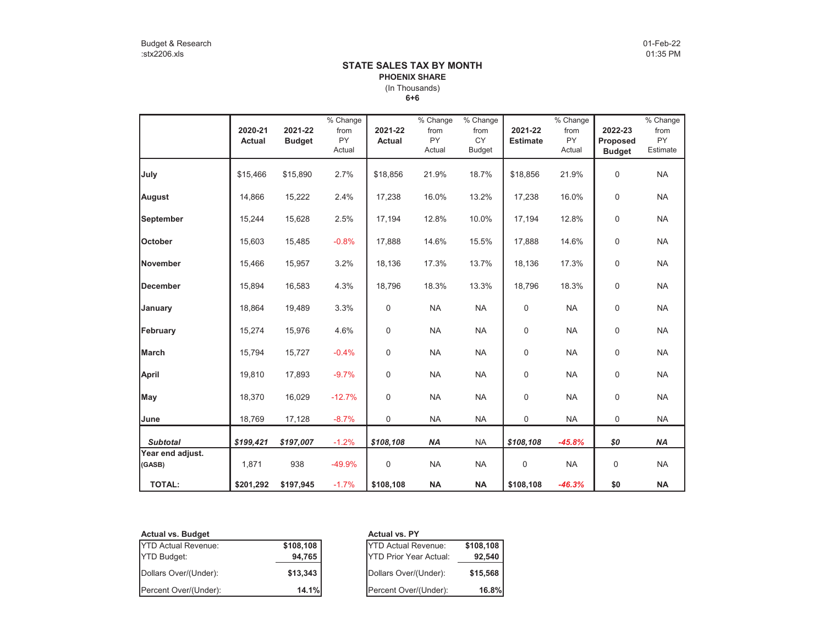### **6+6** (In Thousands) **STATE SALES TAX BY MONTHPHOENIX SHARE**

|                  |               |               | $\sqrt{\frac{6}{6}}$ Change |               | $\overline{\%}$ Change | % Change      |                 | $\sqrt%$ Change |               | $%$ Change |
|------------------|---------------|---------------|-----------------------------|---------------|------------------------|---------------|-----------------|-----------------|---------------|------------|
|                  | 2020-21       | 2021-22       | from                        | 2021-22       | from                   | from          | 2021-22         | from            | 2022-23       | from       |
|                  | <b>Actual</b> | <b>Budget</b> | <b>PY</b>                   | <b>Actual</b> | <b>PY</b>              | <b>CY</b>     | <b>Estimate</b> | <b>PY</b>       | Proposed      | <b>PY</b>  |
|                  |               |               | Actual                      |               | Actual                 | <b>Budget</b> |                 | Actual          | <b>Budget</b> | Estimate   |
|                  |               |               |                             |               |                        |               |                 |                 |               |            |
| July             | \$15,466      | \$15,890      | 2.7%                        | \$18,856      | 21.9%                  | 18.7%         | \$18,856        | 21.9%           | 0             | <b>NA</b>  |
| August           | 14,866        | 15,222        | 2.4%                        | 17,238        | 16.0%                  | 13.2%         | 17,238          | 16.0%           | $\pmb{0}$     | <b>NA</b>  |
|                  |               |               |                             |               |                        |               |                 |                 |               |            |
| <b>September</b> | 15,244        | 15,628        | 2.5%                        | 17,194        | 12.8%                  | 10.0%         | 17,194          | 12.8%           | $\pmb{0}$     | <b>NA</b>  |
| <b>October</b>   | 15.603        | 15,485        | $-0.8%$                     | 17.888        | 14.6%                  | 15.5%         | 17,888          | 14.6%           | $\pmb{0}$     | <b>NA</b>  |
|                  |               |               |                             |               |                        |               |                 |                 |               |            |
| <b>November</b>  | 15,466        | 15,957        | 3.2%                        | 18,136        | 17.3%                  | 13.7%         | 18,136          | 17.3%           | $\pmb{0}$     | <b>NA</b>  |
| December         | 15,894        | 16,583        | 4.3%                        | 18,796        | 18.3%                  | 13.3%         | 18,796          | 18.3%           | $\pmb{0}$     | <b>NA</b>  |
|                  |               |               |                             |               |                        |               |                 |                 |               |            |
| January          | 18,864        | 19,489        | 3.3%                        | 0             | <b>NA</b>              | <b>NA</b>     | 0               | <b>NA</b>       | $\pmb{0}$     | <b>NA</b>  |
| February         | 15,274        | 15,976        | 4.6%                        | 0             | <b>NA</b>              | <b>NA</b>     | $\mathbf 0$     | <b>NA</b>       | $\pmb{0}$     | <b>NA</b>  |
|                  |               |               |                             |               |                        |               |                 |                 |               |            |
| March            | 15,794        | 15,727        | $-0.4%$                     | 0             | <b>NA</b>              | <b>NA</b>     | 0               | <b>NA</b>       | 0             | <b>NA</b>  |
| April            | 19,810        | 17,893        | $-9.7%$                     | 0             | <b>NA</b>              | <b>NA</b>     | 0               | <b>NA</b>       | 0             | <b>NA</b>  |
|                  |               |               |                             |               |                        |               |                 |                 |               |            |
| May              | 18,370        | 16,029        | $-12.7%$                    | 0             | <b>NA</b>              | <b>NA</b>     | 0               | <b>NA</b>       | 0             | <b>NA</b>  |
| June             | 18,769        | 17,128        | $-8.7%$                     | 0             | <b>NA</b>              | <b>NA</b>     | 0               | <b>NA</b>       | 0             | <b>NA</b>  |
| <b>Subtotal</b>  | \$199,421     | \$197,007     | $-1.2%$                     | \$108,108     | <b>NA</b>              | <b>NA</b>     | \$108,108       | $-45.8%$        | \$0           | <b>NA</b>  |
| Year end adjust. |               |               |                             |               |                        |               |                 |                 |               |            |
| (GASB)           | 1,871         | 938           | $-49.9%$                    | 0             | <b>NA</b>              | <b>NA</b>     | 0               | <b>NA</b>       | 0             | <b>NA</b>  |
|                  |               |               |                             |               |                        |               |                 |                 |               |            |
| <b>TOTAL:</b>    | \$201,292     | \$197,945     | $-1.7%$                     | \$108,108     | <b>NA</b>              | <b>NA</b>     | \$108,108       | $-46.3%$        | \$0           | <b>NA</b>  |

| <b>Actual vs. Budget</b>   |          |
|----------------------------|----------|
| <b>YTD Actual Revenue:</b> | \$108,10 |
| <b>YTD Budget:</b>         | 94,70    |
| Dollars Over/(Under):      | \$13.34  |
| Percent Over/(Under):      | 14.7     |

# **Actual vs. PY**<br>**P**<sub>V</sub>TD Actual Re **88 YTD Actual Revenue: \$108,108**<br>**\$108,108 YTD Prior Year Actual: \$108,108**<br>**\$15,568 \$15,568** YTD Prior Year Actual: **92,540** Dollars Over/(Under): **\$13,343** Dollars Over/(Under): **\$15,568** Percent Over/(Under): **14.1%** Percent Over/(Under): **16.8%**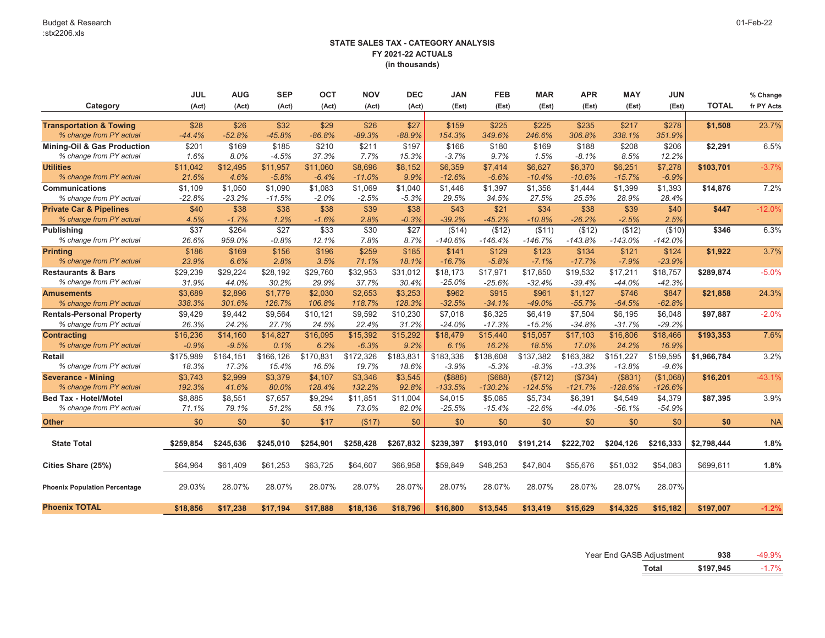|                                      | <b>JUL</b> | <b>AUG</b> | <b>SEP</b> | <b>OCT</b> | <b>NOV</b> | <b>DEC</b>            | <b>JAN</b> | <b>FEB</b> | <b>MAR</b> | <b>APR</b> | <b>MAY</b>            | <b>JUN</b> |              | % Change   |
|--------------------------------------|------------|------------|------------|------------|------------|-----------------------|------------|------------|------------|------------|-----------------------|------------|--------------|------------|
| Category                             | (Act)      | (Act)      | (Act)      | (Act)      | (Act)      | (Act)                 | (Est)      | (Est)      | (Est)      | (Est)      | (Est)                 | (Est)      | <b>TOTAL</b> | fr PY Acts |
|                                      |            |            |            |            |            |                       |            |            |            |            |                       |            |              |            |
| <b>Transportation &amp; Towing</b>   | \$28       | \$26       | \$32       | \$29       | \$26       | \$27                  | \$159      | \$225      | \$225      | \$235      | \$217                 | \$278      | \$1,508      | 23.7%      |
| % change from PY actual              | $-44.4%$   | $-52.8%$   | $-45.8%$   | $-86.8%$   | $-89.3%$   | $-88.9%$              | 154.3%     | 349.6%     | 246.6%     | 306.8%     | 338.1%                | 351.9%     |              |            |
| Mining-Oil & Gas Production          | \$201      | \$169      | \$185      | \$210      | \$211      | \$197                 | \$166      | \$180      | \$169      | \$188      | \$208                 | \$206      | \$2,291      | 6.5%       |
| % change from PY actual              | 1.6%       | 8.0%       | $-4.5%$    | 37.3%      | 7.7%       | 15.3%                 | $-3.7%$    | 9.7%       | 1.5%       | $-8.1%$    | 8.5%                  | 12.2%      |              |            |
| <b>Utilities</b>                     | \$11,042   | \$12,495   | \$11,957   | \$11,060   | \$8,696    | \$8,152               | \$6,359    | \$7,414    | \$6,627    | \$6,370    | \$6,251               | \$7,278    | \$103,701    | $-3.7%$    |
| % change from PY actual              | 21.6%      | 4.6%       | $-5.8%$    | $-6.4%$    | $-11.0%$   | 9.9%                  | $-12.6%$   | $-6.6%$    | $-10.4%$   | $-10.6%$   | $-15.7%$              | $-6.9%$    |              |            |
| <b>Communications</b>                | \$1,109    | \$1,050    | \$1,090    | \$1,083    | \$1,069    | \$1,040               | \$1,446    | \$1,397    | \$1,356    | \$1,444    | \$1,399               | \$1,393    | \$14,876     | 7.2%       |
| % change from PY actual              | $-22.8%$   | $-23.2%$   | $-11.5%$   | -2.0%      | $-2.5%$    | $-5.3%$               | 29.5%      | 34.5%      | 27.5%      | 25.5%      | 28.9%                 | 28.4%      |              |            |
| <b>Private Car &amp; Pipelines</b>   | \$40       | \$38       | \$38       | \$38       | \$39       | \$38                  | \$43       | \$21       | \$34       | \$38       | \$39                  | \$40       | \$447        | $-12.0%$   |
| % change from PY actual              | 4.5%       | $-1.7%$    | 1.2%       | $-1.6%$    | 2.8%       | $-0.3%$               | $-39.2%$   | $-45.2%$   | $-10.8%$   | $-26.2%$   | $-2.5%$               | 2.5%       |              |            |
| <b>Publishing</b>                    | \$37       | \$264      | \$27       | \$33       | \$30       | \$27                  | (\$14)     | (\$12)     | ( \$11)    | (\$12)     | (\$12)                | (\$10)     | \$346        | 6.3%       |
| % change from PY actual              | 26.6%      | 959.0%     | $-0.8%$    | 12.1%      | 7.8%       | 8.7%                  | $-140.6%$  | $-146.4%$  | $-146.7%$  | $-143.8%$  | $-143.0%$             | $-142.0%$  |              |            |
| <b>Printing</b>                      | \$186      | \$169      | \$156      | \$196      | \$259      | \$185                 | \$141      | \$129      | \$123      | \$134      | \$121                 | \$124      | \$1,922      | 3.7%       |
| % change from PY actual              | 23.9%      | 6.6%       | 2.8%       | 3.5%       | 71.1%      | 18.1%                 | $-16.7%$   | $-5.8%$    | $-7.1%$    | $-17.7%$   | $-7.9%$               | $-23.9%$   |              |            |
| <b>Restaurants &amp; Bars</b>        | \$29,239   | \$29,224   | \$28,192   | \$29,760   | \$32,953   | \$31,012              | \$18,173   | \$17,971   | \$17,850   | \$19,532   | \$17,211              | \$18,757   | \$289,874    | $-5.0%$    |
| % change from PY actual              | 31.9%      | 44.0%      | 30.2%      | 29.9%      | 37.7%      | 30.4%                 | $-25.0%$   | $-25.6%$   | $-32.4%$   | $-39.4%$   | $-44.0%$              | $-42.3%$   |              |            |
| <b>Amusements</b>                    | \$3,689    | \$2,896    | \$1.779    | \$2,030    | \$2,653    | \$3,253               | \$962      | \$915      | \$961      | \$1,127    | \$746                 | \$847      | \$21,858     | 24.3%      |
| % change from PY actual              | 338.3%     | 301.6%     | 126.7%     | 106.8%     | 118.7%     | 128.3%                | $-32.5%$   | $-34.1%$   | $-49.0%$   | $-55.7%$   | $-64.5%$              | $-62.8%$   |              |            |
| <b>Rentals-Personal Property</b>     | \$9,429    | \$9,442    | \$9,564    | \$10,121   | \$9,592    | \$10,230              | \$7,018    | \$6,325    | \$6,419    | \$7,504    | \$6,195               | \$6,048    | \$97,887     | $-2.0%$    |
| % change from PY actual              | 26.3%      | 24.2%      | 27.7%      | 24.5%      | 22.4%      | 31.2%                 | $-24.0\%$  | $-17.3%$   | $-15.2%$   | $-34.8%$   | $-31.7%$              | $-29.2%$   |              |            |
| <b>Contracting</b>                   | \$16,236   | \$14,160   | \$14,827   | \$16,095   | \$15,392   | \$15,292              | \$18,479   | \$15,440   | \$15,057   | \$17,103   | \$16,806              | \$18,466   | \$193,353    | 7.6%       |
| % change from PY actual              | $-0.9%$    | $-9.5%$    | 0.1%       | 6.2%       | $-6.3%$    | 9.2%                  | 6.1%       | 16.2%      | 18.5%      | 17.0%      | 24.2%                 | 16.9%      |              |            |
| Retail                               | \$175,989  | \$164,151  | \$166,126  | \$170,831  | \$172,326  | $\overline{$}183,831$ | \$183,336  | \$138,608  | \$137,382  | \$163,382  | $\overline{$151,227}$ | \$159,595  | \$1,966,784  | 3.2%       |
| % change from PY actual              | 18.3%      | 17.3%      | 15.4%      | 16.5%      | 19.7%      | 18.6%                 | $-3.9%$    | $-5.3%$    | $-8.3%$    | $-13.3%$   | $-13.8%$              | $-9.6%$    |              |            |
| <b>Severance - Mining</b>            | \$3,743    | \$2,999    | \$3,379    | \$4,107    | \$3,346    | \$3,545               | ( \$886)   | (\$688)    | (\$712)    | (\$734)    | (\$831)               | (\$1,068)  | \$16,201     | $-43.1%$   |
| % change from PY actual              | 192.3%     | 41.6%      | 80.0%      | 128.4%     | 132.2%     | 92.8%                 | $-133.5%$  | $-130.2%$  | $-124.5%$  | $-121.7%$  | $-128.6%$             | $-126.6%$  |              |            |
| <b>Bed Tax - Hotel/Motel</b>         | \$8,885    | \$8,551    | \$7,657    | \$9,294    | \$11,851   | \$11,004              | \$4,015    | \$5,085    | \$5,734    | \$6,391    | \$4,549               | \$4,379    | \$87,395     | 3.9%       |
| % change from PY actual              | 71.1%      | 79.1%      | 51.2%      | 58.1%      | 73.0%      | 82.0%                 | $-25.5%$   | $-15.4%$   | $-22.6%$   | $-44.0%$   | $-56.1%$              | $-54.9%$   |              |            |
| <b>Other</b>                         | \$0        | \$0        | \$0        | \$17       | (\$17)     | \$0                   | \$0        | \$0        | \$0        | \$0        | \$0                   | \$0        | \$0          | <b>NA</b>  |
|                                      |            |            |            |            |            |                       |            |            |            |            |                       |            |              |            |
| <b>State Total</b>                   | \$259,854  | \$245,636  | \$245,010  | \$254,901  | \$258,428  | \$267,832             | \$239,397  | \$193,010  | \$191,214  | \$222,702  | \$204,126             | \$216,333  | \$2,798,444  | 1.8%       |
| Cities Share (25%)                   | \$64,964   | \$61,409   | \$61,253   | \$63,725   | \$64,607   | \$66,958              | \$59,849   | \$48,253   | \$47,804   | \$55,676   | \$51,032              | \$54,083   | \$699,611    | 1.8%       |
|                                      |            |            |            |            |            |                       |            |            |            |            |                       |            |              |            |
| <b>Phoenix Population Percentage</b> | 29.03%     | 28.07%     | 28.07%     | 28.07%     | 28.07%     | 28.07%                | 28.07%     | 28.07%     | 28.07%     | 28.07%     | 28.07%                | 28.07%     |              |            |
| <b>Phoenix TOTAL</b>                 | \$18,856   | \$17,238   | \$17,194   | \$17,888   | \$18,136   | \$18,796              | \$16,800   | \$13.545   | \$13,419   | \$15,629   | \$14,325              | \$15.182   | \$197,007    | $-1.2%$    |

Year End GASB Adjustment **938** -49.9%

**Total \$197,945** -1.7%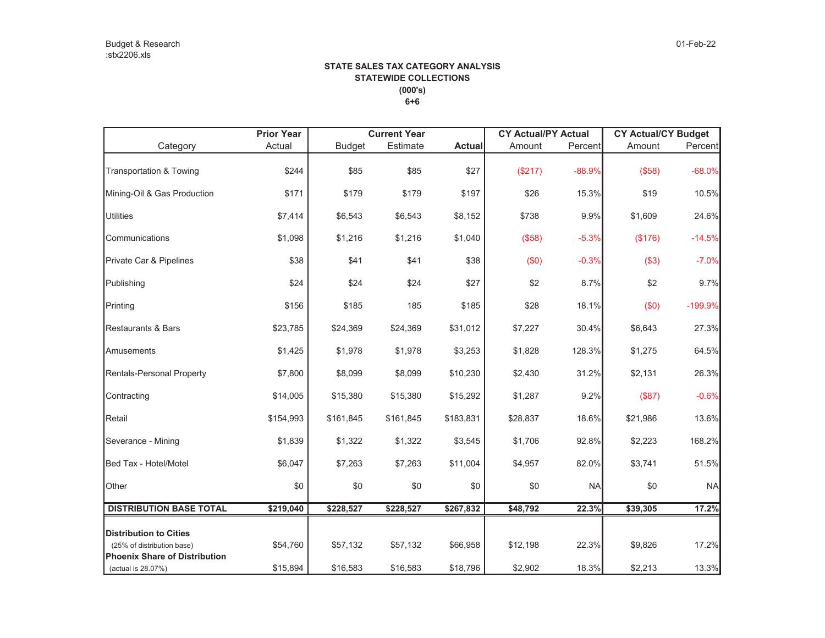### **STATE SALES TAX CATEGORY ANALYSIS STATEWIDE COLLECTIONS (000's) 6+6**

| <b>Prior Year</b> | <b>Current Year</b> |           |               |          |           |                            |                                                |
|-------------------|---------------------|-----------|---------------|----------|-----------|----------------------------|------------------------------------------------|
| Actual            | <b>Budget</b>       | Estimate  | <b>Actual</b> | Amount   | Percent   | Amount                     | Percent                                        |
| \$244             | \$85                | \$85      | \$27          | (\$217)  | $-88.9%$  | (\$58)                     | $-68.0%$                                       |
| \$171             | \$179               | \$179     | \$197         | \$26     | 15.3%     | \$19                       | 10.5%                                          |
| \$7,414           | \$6,543             | \$6,543   | \$8,152       | \$738    | 9.9%      | \$1,609                    | 24.6%                                          |
| \$1,098           | \$1,216             | \$1,216   | \$1,040       | (\$58)   | $-5.3%$   | (\$176)                    | $-14.5%$                                       |
| \$38              | \$41                | \$41      | \$38          | (\$0)    | $-0.3%$   | (\$3)                      | $-7.0%$                                        |
| \$24              | \$24                | \$24      | \$27          | \$2      | 8.7%      | \$2                        | 9.7%                                           |
| \$156             | \$185               | 185       | \$185         | \$28     | 18.1%     | (\$0)                      | $-199.9%$                                      |
| \$23,785          | \$24,369            | \$24,369  | \$31,012      | \$7,227  | 30.4%     | \$6,643                    | 27.3%                                          |
| \$1,425           | \$1,978             | \$1,978   | \$3,253       | \$1,828  | 128.3%    | \$1,275                    | 64.5%                                          |
| \$7,800           | \$8,099             | \$8,099   | \$10,230      | \$2,430  | 31.2%     | \$2,131                    | 26.3%                                          |
| \$14,005          | \$15,380            | \$15,380  | \$15,292      | \$1,287  | 9.2%      | (\$87)                     | $-0.6%$                                        |
| \$154,993         | \$161,845           | \$161,845 | \$183,831     | \$28,837 | 18.6%     | \$21,986                   | 13.6%                                          |
| \$1,839           | \$1,322             | \$1,322   | \$3,545       | \$1,706  | 92.8%     | \$2,223                    | 168.2%                                         |
| \$6,047           | \$7,263             | \$7,263   | \$11,004      | \$4,957  | 82.0%     | \$3,741                    | 51.5%                                          |
| \$0               | \$0                 | \$0       | \$0           | \$0      | <b>NA</b> | \$0                        | <b>NA</b>                                      |
| \$219,040         | \$228,527           | \$228,527 | \$267,832     | \$48,792 | 22.3%     | \$39,305                   | 17.2%                                          |
|                   |                     |           |               |          |           |                            |                                                |
| \$54,760          | \$57,132            | \$57,132  | \$66,958      | \$12,198 | 22.3%     | \$9,826                    | 17.2%                                          |
|                   |                     |           |               |          |           |                            | 13.3%                                          |
|                   | \$15,894            | \$16,583  | \$16,583      | \$18,796 | \$2,902   | <b>CY Actual/PY Actual</b> | <b>CY Actual/CY Budget</b><br>18.3%<br>\$2,213 |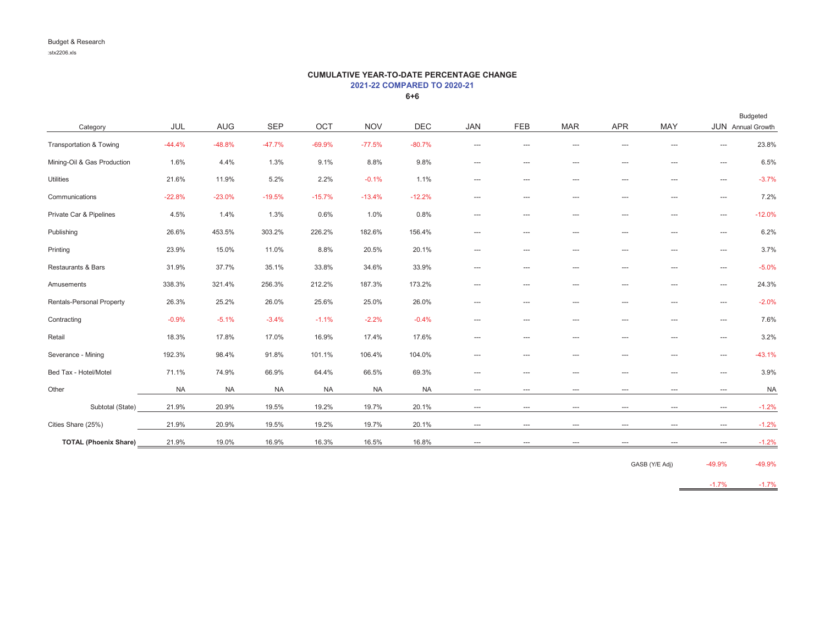### **CUMULATIVE YEAR-TO-DATE PERCENTAGE CHANGE 2021-22 COMPARED TO 2020-21**

**6+6**

|                              |           |            |            |           |            |            |                          |                          |                          |                          |                        |                        | Budgeted          |
|------------------------------|-----------|------------|------------|-----------|------------|------------|--------------------------|--------------------------|--------------------------|--------------------------|------------------------|------------------------|-------------------|
| Category                     | JUL       | <b>AUG</b> | <b>SEP</b> | OCT       | <b>NOV</b> | <b>DEC</b> | <b>JAN</b>               | <b>FEB</b>               | <b>MAR</b>               | <b>APR</b>               | <b>MAY</b>             |                        | JUN Annual Growth |
| Transportation & Towing      | $-44.4%$  | $-48.8%$   | $-47.7%$   | $-69.9%$  | $-77.5%$   | $-80.7%$   | ---                      | ---                      | ---                      | $---$                    | $---$                  | $---$                  | 23.8%             |
| Mining-Oil & Gas Production  | 1.6%      | 4.4%       | 1.3%       | 9.1%      | 8.8%       | 9.8%       | $\hspace{0.05cm} \ldots$ | $\hspace{0.05cm} \ldots$ | $\hspace{0.05cm} \ldots$ | $\overline{\phantom{a}}$ | ---                    | $\hspace{1.5cm} \dots$ | 6.5%              |
| <b>Utilities</b>             | 21.6%     | 11.9%      | 5.2%       | 2.2%      | $-0.1%$    | 1.1%       | ---                      | ---                      | ---                      | $\qquad \qquad -$        | $\qquad \qquad \cdots$ | $\qquad \qquad \cdots$ | $-3.7%$           |
| Communications               | $-22.8%$  | $-23.0%$   | $-19.5%$   | $-15.7%$  | $-13.4%$   | $-12.2%$   | $\cdots$                 | ---                      | ---                      | $\qquad \qquad -$        | $\qquad \qquad \cdots$ | $\hspace{1.5cm} \dots$ | 7.2%              |
| Private Car & Pipelines      | 4.5%      | 1.4%       | 1.3%       | 0.6%      | 1.0%       | 0.8%       | $\cdots$                 | ---                      | ---                      | $\cdots$                 | $\qquad \qquad -$      | $\hspace{1.5cm} \dots$ | $-12.0%$          |
| Publishing                   | 26.6%     | 453.5%     | 303.2%     | 226.2%    | 182.6%     | 156.4%     | ---                      | ---                      | ---                      | $\cdots$                 | $\qquad \qquad -$      | $\hspace{1.5cm} \dots$ | 6.2%              |
| Printing                     | 23.9%     | 15.0%      | 11.0%      | 8.8%      | 20.5%      | 20.1%      | ---                      | ---                      | ---                      | $\cdots$                 | $\qquad \qquad -$      | $\hspace{1.5cm} \dots$ | 3.7%              |
| Restaurants & Bars           | 31.9%     | 37.7%      | 35.1%      | 33.8%     | 34.6%      | 33.9%      | ---                      | ---                      | ---                      | $\cdots$                 | $\qquad \qquad -$      | $\cdots$               | $-5.0%$           |
| Amusements                   | 338.3%    | 321.4%     | 256.3%     | 212.2%    | 187.3%     | 173.2%     | $\overline{a}$           | $---$                    | ---                      | $---$                    | $---$                  | $\cdots$               | 24.3%             |
| Rentals-Personal Property    | 26.3%     | 25.2%      | 26.0%      | 25.6%     | 25.0%      | 26.0%      | $\hspace{0.05cm} \ldots$ | ---                      | ---                      | $\overline{\phantom{a}}$ | $\qquad \qquad -$      | $\hspace{1.5cm} \dots$ | $-2.0%$           |
| Contracting                  | $-0.9%$   | $-5.1%$    | $-3.4%$    | $-1.1%$   | $-2.2%$    | $-0.4%$    | ---                      | ---                      | ---                      | $\qquad \qquad -$        | $\qquad \qquad \cdots$ | $\qquad \qquad \cdots$ | 7.6%              |
| Retail                       | 18.3%     | 17.8%      | 17.0%      | 16.9%     | 17.4%      | 17.6%      | ---                      | ---                      | ---                      | $---$                    | $---$                  | $\qquad \qquad \cdots$ | 3.2%              |
| Severance - Mining           | 192.3%    | 98.4%      | 91.8%      | 101.1%    | 106.4%     | 104.0%     | ---                      | ---                      | ---                      | $---$                    | $---$                  | $---$                  | $-43.1%$          |
| Bed Tax - Hotel/Motel        | 71.1%     | 74.9%      | 66.9%      | 64.4%     | 66.5%      | 69.3%      | ---                      | ---                      | ---                      | $\cdots$                 | $---$                  | $\qquad \qquad \cdots$ | 3.9%              |
| Other                        | <b>NA</b> | <b>NA</b>  | <b>NA</b>  | <b>NA</b> | <b>NA</b>  | <b>NA</b>  | ---                      | ---                      | ---                      | $\qquad \qquad -$        | $\qquad \qquad \cdots$ | $\hspace{1.5cm} \dots$ | <b>NA</b>         |
| Subtotal (State)             | 21.9%     | 20.9%      | 19.5%      | 19.2%     | 19.7%      | 20.1%      | $\cdots$                 | ---                      | ---                      | $\qquad \qquad -$        | $\qquad \qquad \cdots$ | $\cdots$               | $-1.2%$           |
| Cities Share (25%)           | 21.9%     | 20.9%      | 19.5%      | 19.2%     | 19.7%      | 20.1%      | $\hspace{0.05cm} \ldots$ | $\hspace{0.05cm} \ldots$ | $\hspace{0.05cm} \ldots$ | $\hspace{0.05cm} \ldots$ | $\cdots$               | $\hspace{1.5cm} \dots$ | $-1.2%$           |
| <b>TOTAL (Phoenix Share)</b> | 21.9%     | 19.0%      | 16.9%      | 16.3%     | 16.5%      | 16.8%      | ---                      | ---                      | ---                      | $---$                    | $---$                  | $\cdots$               | $-1.2%$           |

GASB (Y/E Adj) -49.9% -49.9%

-1.7% -1.7%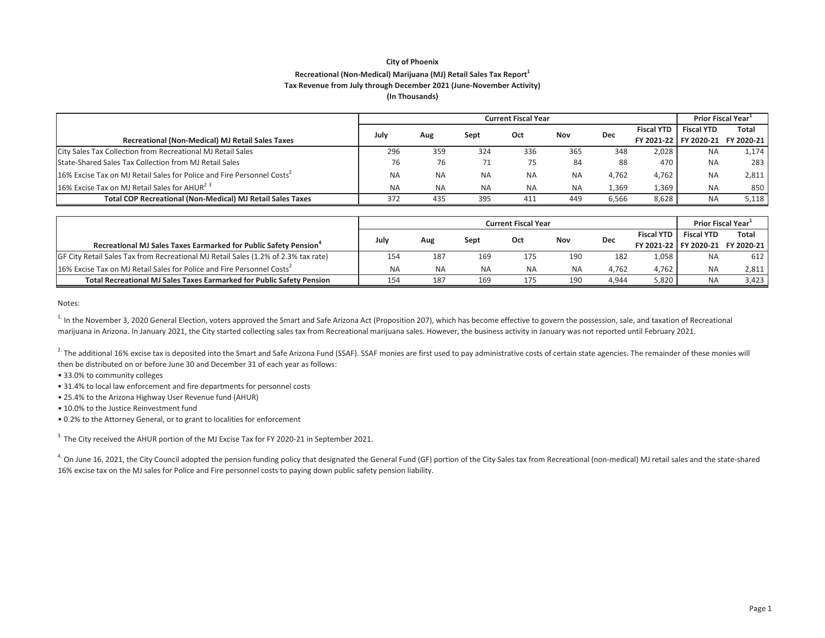### **City of Phoenix Recreational (NonͲMedical) Marijuana (MJ) Retail Sales Tax Report<sup>1</sup> Tax Revenue from July through December 2021 (JuneͲNovember Activity) (In Thousands)**

|                                                                                    |           |           |           | <b>Prior Fiscal Year</b> |           |            |                   |                   |                                    |
|------------------------------------------------------------------------------------|-----------|-----------|-----------|--------------------------|-----------|------------|-------------------|-------------------|------------------------------------|
|                                                                                    | July      | Aug       | Sept      | Oct                      | Nov       | <b>Dec</b> | <b>Fiscal YTD</b> | <b>Fiscal YTD</b> | <b>Total</b>                       |
| <b>Recreational (Non-Medical) MJ Retail Sales Taxes</b>                            |           |           |           |                          |           |            |                   |                   | FY 2021-22   FY 2020-21 FY 2020-21 |
| City Sales Tax Collection from Recreational MJ Retail Sales                        | 296       | 359       | 324       | 336                      | 365       | 348        | 2.028             | <b>NA</b>         | 1,174                              |
| State-Shared Sales Tax Collection from MJ Retail Sales                             | 76        | 76        | 71        | 75                       | 84        | 88         | 470               | <b>NA</b>         | 283                                |
| 16% Excise Tax on MJ Retail Sales for Police and Fire Personnel Costs <sup>2</sup> | <b>NA</b> | <b>NA</b> | <b>NA</b> | <b>NA</b>                | <b>NA</b> | 4.762      | 4.762             | <b>NA</b>         | 2,811                              |
| 16% Excise Tax on MJ Retail Sales for AHUR <sup>23</sup>                           | <b>NA</b> | <b>NA</b> | <b>NA</b> | <b>NA</b>                | <b>NA</b> | 1,369      | 1,369             | <b>NA</b>         | 850                                |
| <b>Total COP Recreational (Non-Medical) MJ Retail Sales Taxes</b>                  | 372       | 435       | 395       | 411                      | 449       | 6.566      | 8.628             | <b>NA</b>         | 5.118                              |

|                                                                                    | <b>Current Fiscal Year</b> |           |           |           |           |       |                   | <b>Prior Fiscal Year</b> |                                  |
|------------------------------------------------------------------------------------|----------------------------|-----------|-----------|-----------|-----------|-------|-------------------|--------------------------|----------------------------------|
|                                                                                    |                            |           |           | Oct       | Nov       |       | <b>Fiscal YTD</b> | <b>Fiscal YTD</b>        | <b>Total</b>                     |
| Recreational MJ Sales Taxes Earmarked for Public Safety Pension <sup>4</sup>       | July                       | Aug       | Sept      |           |           | Dec   |                   |                          | FY 2021-22 FY 2020-21 FY 2020-21 |
| GF City Retail Sales Tax from Recreational MJ Retail Sales (1.2% of 2.3% tax rate) | 154                        | 187       | 169       | 175       | 190       | 182   | 1.058             | <b>NA</b>                | 612                              |
| 16% Excise Tax on MJ Retail Sales for Police and Fire Personnel Costs <sup>2</sup> | <b>NA</b>                  | <b>NA</b> | <b>NA</b> | <b>NA</b> | <b>NA</b> | 4.762 | 4,762             | <b>NA</b>                | 2,811                            |
| Total Recreational MJ Sales Taxes Earmarked for Public Safety Pension              | 154                        | 187       | 169       | 175       | 190       | 4.944 | 5,820             | <b>NA</b>                | 3,423                            |

Notes:

<sup>1.</sup> In the November 3, 2020 General Election, voters approved the Smart and Safe Arizona Act (Proposition 207), which has become effective to govern the possession, sale, and taxation of Recreational marijuana in Arizona. In January 2021, the City started collecting sales tax from Recreational marijuana sales. However, the business activity in January was not reported until February 2021.

 $^{2}$  The additional 16% excise tax is deposited into the Smart and Safe Arizona Fund (SSAF). SSAF monies are first used to pay administrative costs of certain state agencies. The remainder of these monies will then be distributed on or before June 30 and December 31 of each year as follows:

• 33.0% to community colleges

• 31.4% to local law enforcement and fire departments for personnel costs

• 25.4% to the Arizona Highway User Revenue fund (AHUR)

• 10.0% to the Justice Reinvestment fund

• 0.2% to the Attorney General, or to grant to localities for enforcement

 $3.$  The City received the AHUR portion of the MJ Excise Tax for FY 2020-21 in September 2021.

<sup>4.</sup> On June 16, 2021, the City Council adopted the pension funding policy that designated the General Fund (GF) portion of the City Sales tax from Recreational (non-medical) MJ retail sales and the state-shared 16% excise tax on the MJ sales for Police and Fire personnel costs to paying down public safety pension liability.